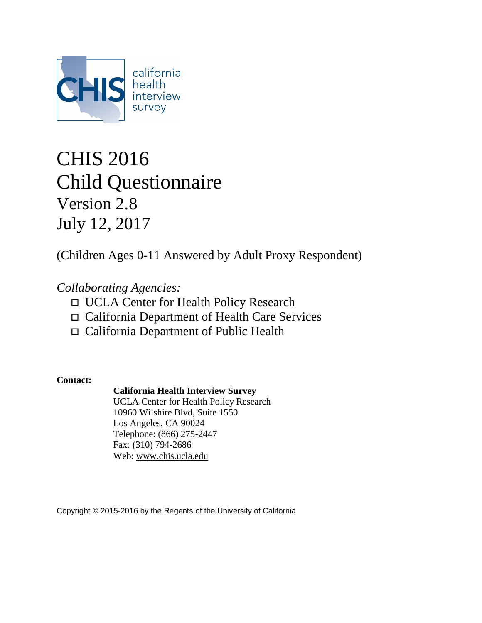

# CHIS 2016 Child Questionnaire Version 2.8 July 12, 2017

(Children Ages 0-11 Answered by Adult Proxy Respondent)

# *Collaborating Agencies:*

- UCLA Center for Health Policy Research
- California Department of Health Care Services
- California Department of Public Health

**Contact:**

### **California Health Interview Survey**

UCLA Center for Health Policy Research 10960 Wilshire Blvd, Suite 1550 Los Angeles, CA 90024 Telephone: (866) 275-2447 Fax: (310) 794-2686 Web: [www.chis.ucla.edu](http://www.chis.ucla.edu/)

Copyright © 2015-2016 by the Regents of the University of California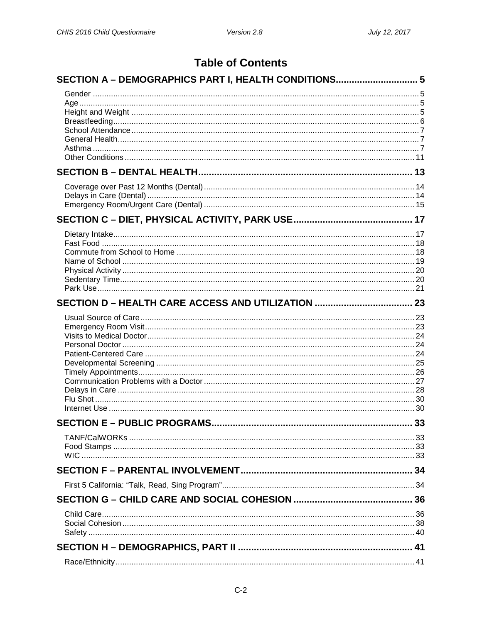### **Table of Contents**

| SECTION A - DEMOGRAPHICS PART I, HEALTH CONDITIONS 5 |    |
|------------------------------------------------------|----|
|                                                      |    |
|                                                      |    |
|                                                      |    |
|                                                      |    |
|                                                      |    |
|                                                      |    |
|                                                      |    |
|                                                      |    |
|                                                      |    |
|                                                      |    |
|                                                      |    |
|                                                      |    |
|                                                      |    |
|                                                      |    |
|                                                      |    |
|                                                      |    |
|                                                      |    |
|                                                      |    |
|                                                      |    |
|                                                      |    |
|                                                      |    |
|                                                      |    |
|                                                      |    |
|                                                      |    |
|                                                      |    |
|                                                      |    |
|                                                      |    |
|                                                      |    |
| <b>SECTION E - PUBLIC PROGRAMS.</b>                  | 33 |
|                                                      |    |
|                                                      |    |
|                                                      |    |
|                                                      |    |
|                                                      |    |
|                                                      |    |
|                                                      |    |
|                                                      |    |
|                                                      |    |
|                                                      |    |
|                                                      |    |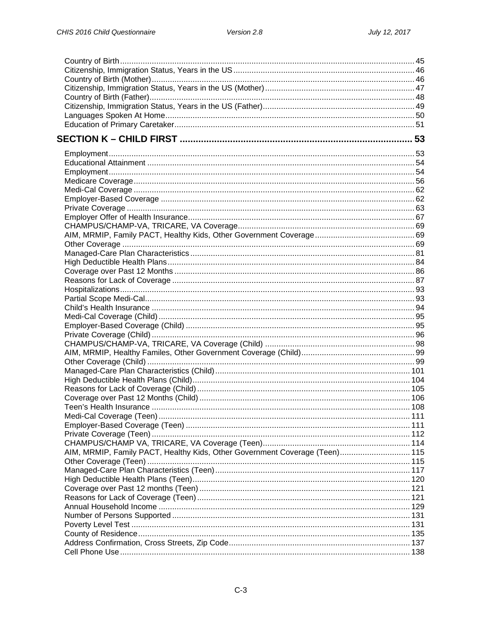| AIM, MRMIP, Family PACT, Healthy Kids, Other Government Coverage (Teen) 115 |  |
|-----------------------------------------------------------------------------|--|
|                                                                             |  |
|                                                                             |  |
|                                                                             |  |
|                                                                             |  |
|                                                                             |  |
|                                                                             |  |
|                                                                             |  |
|                                                                             |  |
|                                                                             |  |
|                                                                             |  |
|                                                                             |  |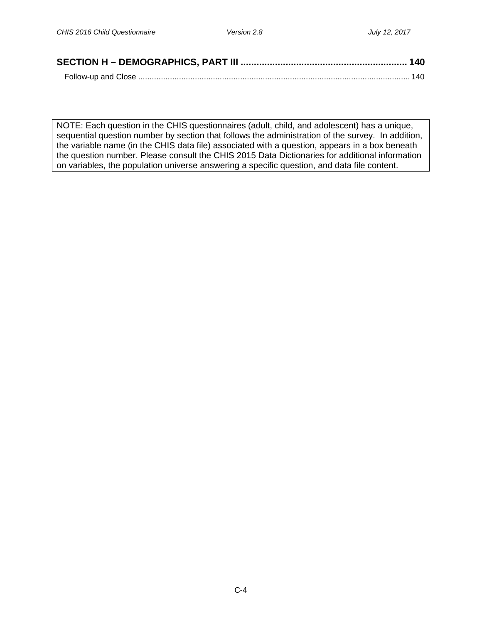NOTE: Each question in the CHIS questionnaires (adult, child, and adolescent) has a unique, sequential question number by section that follows the administration of the survey. In addition, the variable name (in the CHIS data file) associated with a question, appears in a box beneath the question number. Please consult the CHIS 2015 Data Dictionaries for additional information on variables, the population universe answering a specific question, and data file content.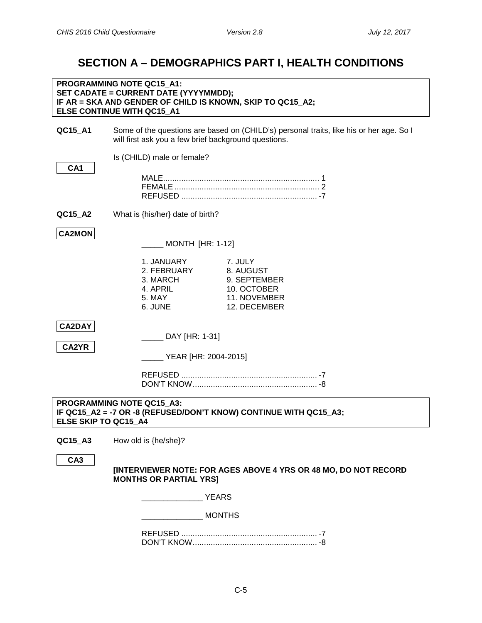# <span id="page-4-0"></span>**SECTION A – DEMOGRAPHICS PART I, HEALTH CONDITIONS**

<span id="page-4-2"></span><span id="page-4-1"></span>

|                        | <b>PROGRAMMING NOTE QC15 A1:</b><br>SET CADATE = CURRENT DATE (YYYYMMDD);<br>IF AR = SKA AND GENDER OF CHILD IS KNOWN, SKIP TO QC15_A2;<br>ELSE CONTINUE WITH QC15 A1 |                                                                                         |
|------------------------|-----------------------------------------------------------------------------------------------------------------------------------------------------------------------|-----------------------------------------------------------------------------------------|
| QC15_A1                | will first ask you a few brief background questions.                                                                                                                  | Some of the questions are based on (CHILD's) personal traits, like his or her age. So I |
|                        | Is (CHILD) male or female?                                                                                                                                            |                                                                                         |
| CA <sub>1</sub>        |                                                                                                                                                                       |                                                                                         |
| QC15_A2                | What is {his/her} date of birth?                                                                                                                                      |                                                                                         |
| <b>CA2MON</b>          | <b>MONTH [HR: 1-12]</b>                                                                                                                                               |                                                                                         |
|                        | 1. JANUARY<br>2. FEBRUARY<br>3. MARCH<br>4. APRIL<br>5. MAY<br>6. JUNE                                                                                                | 7. JULY<br>8. AUGUST<br>9. SEPTEMBER<br>10. OCTOBER<br>11. NOVEMBER<br>12. DECEMBER     |
| <b>CA2DAY</b><br>CA2YR | DAY [HR: 1-31]<br>YEAR [HR: 2004-2015]                                                                                                                                |                                                                                         |
| ELSE SKIP TO QC15 A4   | PROGRAMMING NOTE QC15_A3:                                                                                                                                             | IF QC15_A2 = -7 OR -8 (REFUSED/DON'T KNOW) CONTINUE WITH QC15_A3;                       |
| QC15_A3                | How old is {he/she}?                                                                                                                                                  |                                                                                         |
| CA <sub>3</sub>        | <b>MONTHS OR PARTIAL YRS]</b>                                                                                                                                         | [INTERVIEWER NOTE: FOR AGES ABOVE 4 YRS OR 48 MO, DO NOT RECORD                         |
|                        | <b>YEARS</b>                                                                                                                                                          |                                                                                         |
|                        |                                                                                                                                                                       | <b>MONTHS</b>                                                                           |

<span id="page-4-3"></span>REFUSED ............................................................ -7 DON'T KNOW....................................................... -8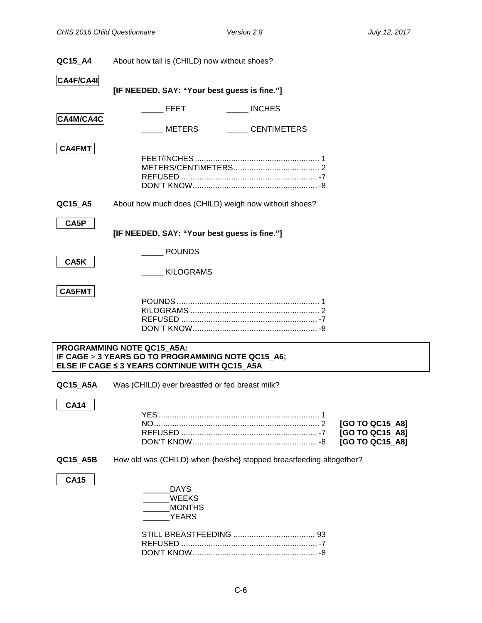<span id="page-5-0"></span>

| QC15_A4       | About how tall is (CHILD) now without shoes?                                                                                     |                                                       |
|---------------|----------------------------------------------------------------------------------------------------------------------------------|-------------------------------------------------------|
| CA4F/CA4I     |                                                                                                                                  |                                                       |
|               | [IF NEEDED, SAY: "Your best guess is fine."]                                                                                     |                                                       |
|               | <b>INCHES</b><br><b>FEET</b>                                                                                                     |                                                       |
| CA4M/CA4C     | <b>CENTIMETERS</b><br>METERS                                                                                                     |                                                       |
| <b>CA4FMT</b> |                                                                                                                                  |                                                       |
| QC15_A5       | About how much does (CHILD) weigh now without shoes?                                                                             |                                                       |
| CA5P          | [IF NEEDED, SAY: "Your best guess is fine."]                                                                                     |                                                       |
| CA5K          | <b>POUNDS</b>                                                                                                                    |                                                       |
|               | KILOGRAMS                                                                                                                        |                                                       |
| <b>CA5FMT</b> |                                                                                                                                  |                                                       |
|               | PROGRAMMING NOTE QC15_A5A:<br>IF CAGE > 3 YEARS GO TO PROGRAMMING NOTE QC15_A6;<br>ELSE IF CAGE ≤ 3 YEARS CONTINUE WITH QC15_A5A |                                                       |
| QC15_A5A      | Was (CHILD) ever breastfed or fed breast milk?                                                                                   |                                                       |
| <b>CA14</b>   |                                                                                                                                  |                                                       |
|               |                                                                                                                                  | [GO TO QC15_A8]<br>[GO TO QC15_A8]<br>[GO TO QC15_A8] |
| QC15_A5B      | How old was (CHILD) when {he/she} stopped breastfeeding altogether?                                                              |                                                       |
| <b>CA15</b>   | <b>DAYS</b><br>WEEKS<br><b>MONTHS</b><br><b>YEARS</b>                                                                            |                                                       |
|               |                                                                                                                                  |                                                       |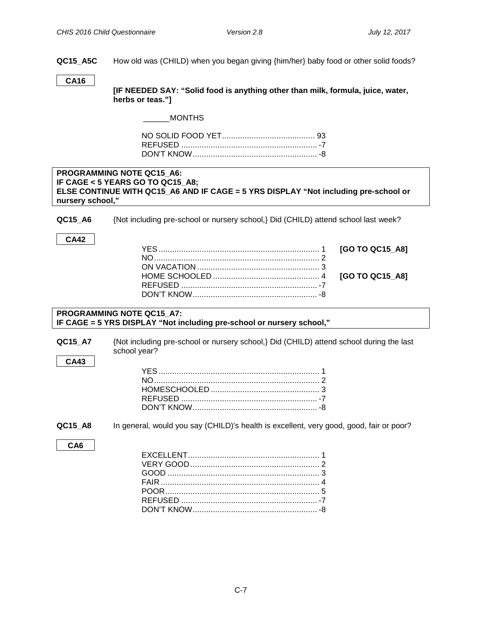**QC15\_A5C** How old was (CHILD) when you began giving {him/her} baby food or other solid foods?

#### **CA16**

**[IF NEEDED SAY: "Solid food is anything other than milk, formula, juice, water, herbs or teas."]**

\_\_\_\_\_\_MONTHS

#### <span id="page-6-0"></span>**PROGRAMMING NOTE QC15\_A6: IF CAGE < 5 YEARS GO TO QC15\_A8; ELSE CONTINUE WITH QC15\_A6 AND IF CAGE = 5 YRS DISPLAY "Not including pre-school or nursery school,"**

**QC15\_A6** {Not including pre-school or nursery school,} Did (CHILD) attend school last week?

#### **CA42**

#### **PROGRAMMING NOTE QC15\_A7: IF CAGE = 5 YRS DISPLAY "Not including pre-school or nursery school,"**

| QC15 A7 | {Not including pre-school or nursery school,} Did (CHILD) attend school during the last |
|---------|-----------------------------------------------------------------------------------------|
|         | school year?                                                                            |

<span id="page-6-1"></span>**QC15** A8 In general, would you say (CHILD)'s health is excellent, very good, good, fair or poor?

<span id="page-6-2"></span>**CA6**

**CA43**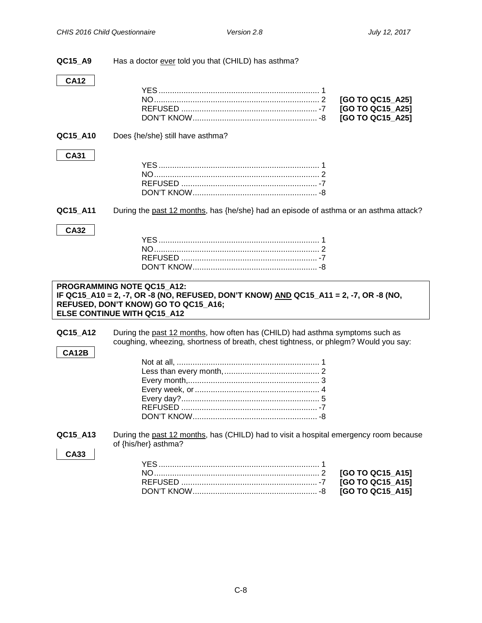| QC15_A9     | Has a doctor ever told you that (CHILD) has asthma?                                                                                                                 |
|-------------|---------------------------------------------------------------------------------------------------------------------------------------------------------------------|
| <b>CA12</b> |                                                                                                                                                                     |
|             |                                                                                                                                                                     |
|             | [GO TO QC15_A25]                                                                                                                                                    |
|             | [GO TO QC15_A25]                                                                                                                                                    |
|             | [GO TO QC15_A25]                                                                                                                                                    |
| QC15_A10    | Does {he/she} still have asthma?                                                                                                                                    |
| <b>CA31</b> |                                                                                                                                                                     |
|             |                                                                                                                                                                     |
|             |                                                                                                                                                                     |
|             |                                                                                                                                                                     |
|             |                                                                                                                                                                     |
| QC15_A11    | During the past 12 months, has {he/she} had an episode of asthma or an asthma attack?                                                                               |
| <b>CA32</b> |                                                                                                                                                                     |
|             |                                                                                                                                                                     |
|             |                                                                                                                                                                     |
|             |                                                                                                                                                                     |
|             |                                                                                                                                                                     |
|             |                                                                                                                                                                     |
|             |                                                                                                                                                                     |
|             | PROGRAMMING NOTE QC15 A12:                                                                                                                                          |
|             | IF QC15_A10 = 2, -7, OR -8 (NO, REFUSED, DON'T KNOW) AND QC15_A11 = 2, -7, OR -8 (NO,<br>REFUSED, DON'T KNOW) GO TO QC15_A16;                                       |
|             | ELSE CONTINUE WITH QC15 A12                                                                                                                                         |
|             |                                                                                                                                                                     |
| QC15_A12    | During the past 12 months, how often has (CHILD) had asthma symptoms such as<br>coughing, wheezing, shortness of breath, chest tightness, or phlegm? Would you say: |
| CA12B       |                                                                                                                                                                     |
|             |                                                                                                                                                                     |
|             |                                                                                                                                                                     |
|             |                                                                                                                                                                     |
|             |                                                                                                                                                                     |
|             |                                                                                                                                                                     |
|             |                                                                                                                                                                     |
|             |                                                                                                                                                                     |
| QC15_A13    | During the past 12 months, has (CHILD) had to visit a hospital emergency room because                                                                               |
|             | of {his/her} asthma?                                                                                                                                                |
| <b>CA33</b> |                                                                                                                                                                     |
|             |                                                                                                                                                                     |
|             | [GO TO QC15_A15]<br>[GO TO QC15_A15]                                                                                                                                |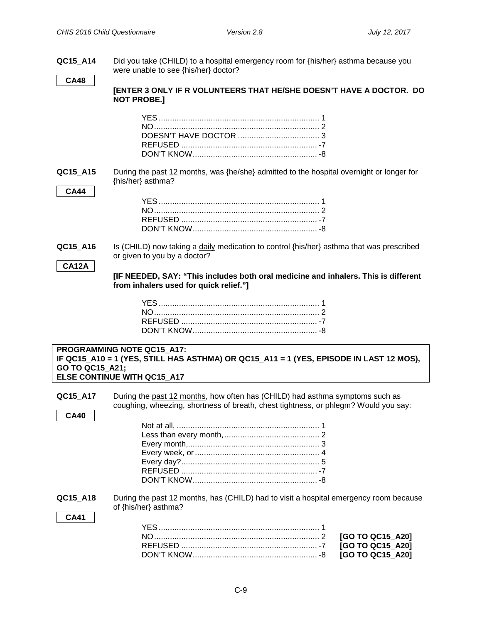| QC15_A14                 | Did you take (CHILD) to a hospital emergency room for {his/her} asthma because you<br>were unable to see {his/her} doctor?                                          |
|--------------------------|---------------------------------------------------------------------------------------------------------------------------------------------------------------------|
| <b>CA48</b>              | <b>[ENTER 3 ONLY IF R VOLUNTEERS THAT HE/SHE DOESN'T HAVE A DOCTOR. DO</b><br><b>NOT PROBE.]</b>                                                                    |
|                          |                                                                                                                                                                     |
| QC15_A15<br><b>CA44</b>  | During the past 12 months, was {he/she} admitted to the hospital overnight or longer for<br>{his/her} asthma?                                                       |
|                          |                                                                                                                                                                     |
| QC15_A16<br><b>CA12A</b> | Is (CHILD) now taking a daily medication to control {his/her} asthma that was prescribed<br>or given to you by a doctor?                                            |
|                          | [IF NEEDED, SAY: "This includes both oral medicine and inhalers. This is different<br>from inhalers used for quick relief."]                                        |
|                          |                                                                                                                                                                     |
| GO TO QC15_A21;          | PROGRAMMING NOTE QC15_A17:<br>IF QC15_A10 = 1 (YES, STILL HAS ASTHMA) OR QC15_A11 = 1 (YES, EPISODE IN LAST 12 MOS),<br>ELSE CONTINUE WITH QC15_A17                 |
| QC15_A17<br><b>CA40</b>  | During the past 12 months, how often has (CHILD) had asthma symptoms such as<br>coughing, wheezing, shortness of breath, chest tightness, or phlegm? Would you say: |
|                          |                                                                                                                                                                     |
| QC15_A18<br><b>CA41</b>  | During the past 12 months, has (CHILD) had to visit a hospital emergency room because<br>of {his/her} asthma?                                                       |
|                          | [GO TO QC15_A20]<br>[GO TO QC15_A20]<br>[GO TO QC15_A20]                                                                                                            |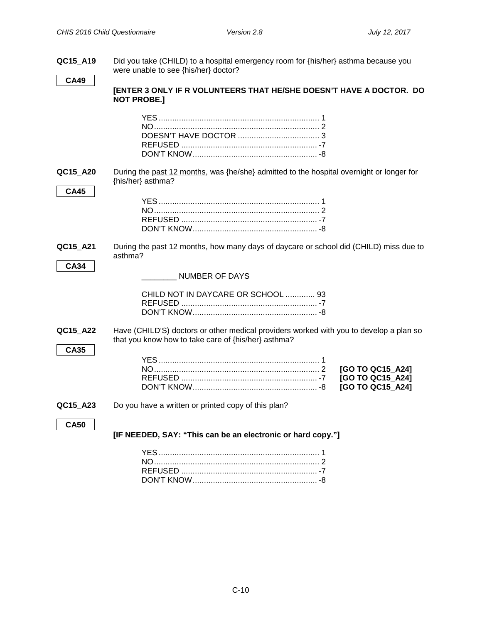| QC15 A19                | Did you take (CHILD) to a hospital emergency room for {his/her} asthma because you<br>were unable to see {his/her} doctor?                    |
|-------------------------|-----------------------------------------------------------------------------------------------------------------------------------------------|
| <b>CA49</b>             | [ENTER 3 ONLY IF R VOLUNTEERS THAT HE/SHE DOESN'T HAVE A DOCTOR. DO<br><b>NOT PROBE.]</b>                                                     |
|                         |                                                                                                                                               |
| QC15_A20<br><b>CA45</b> | During the past 12 months, was {he/she} admitted to the hospital overnight or longer for<br>{his/her} asthma?                                 |
|                         |                                                                                                                                               |
| QC15_A21                | During the past 12 months, how many days of daycare or school did (CHILD) miss due to<br>asthma?                                              |
| <b>CA34</b>             | <b>NUMBER OF DAYS</b><br>CHILD NOT IN DAYCARE OR SCHOOL  93                                                                                   |
|                         |                                                                                                                                               |
| QC15_A22<br><b>CA35</b> | Have (CHILD'S) doctors or other medical providers worked with you to develop a plan so<br>that you know how to take care of {his/her} asthma? |
|                         | [GO TO QC15 A24]<br>[GO TO QC15_A24]<br>[GO TO QC15_A24]                                                                                      |
| QC15_A23                | Do you have a written or printed copy of this plan?                                                                                           |
| <b>CA50</b>             | [IF NEEDED, SAY: "This can be an electronic or hard copy."]                                                                                   |
|                         |                                                                                                                                               |

DON'T KNOW....................................................... -8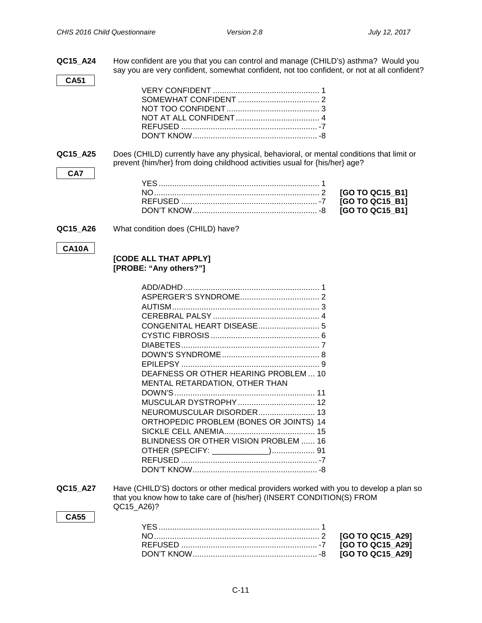NO......................................................................... 2 **[GO TO QC15\_B1]** REFUSED ............................................................ -7 **[GO TO QC15\_B1]** [GO TO QC15\_B1]

**QC15\_A24** How confident are you that you can control and manage (CHILD's) asthma? Would you say you are very confident, somewhat confident, not too confident, or not at all confident?

<span id="page-10-0"></span>**QC15\_A25** Does (CHILD) currently have any physical, behavioral, or mental conditions that limit or prevent {him/her} from doing childhood activities usual for {his/her} age?

**QC15\_A26** What condition does (CHILD) have?

#### **CA10A**

**CA7**

**CA51**

#### **[CODE ALL THAT APPLY] [PROBE: "Any others?"]**

| CONGENITAL HEART DISEASE 5              |
|-----------------------------------------|
|                                         |
|                                         |
|                                         |
|                                         |
| DEAFNESS OR OTHER HEARING PROBLEM  10   |
|                                         |
| <b>MENTAL RETARDATION, OTHER THAN</b>   |
|                                         |
| MUSCULAR DYSTROPHY 12                   |
| NEUROMUSCULAR DISORDER 13               |
| ORTHOPEDIC PROBLEM (BONES OR JOINTS) 14 |
|                                         |
| BLINDNESS OR OTHER VISION PROBLEM  16   |
|                                         |
| OTHER (SPECIFY: _____________) 91       |

**QC15\_A27** Have (CHILD'S) doctors or other medical providers worked with you to develop a plan so that you know how to take care of {his/her} (INSERT CONDITION(S) FROM QC15\_A26)?

#### **CA55**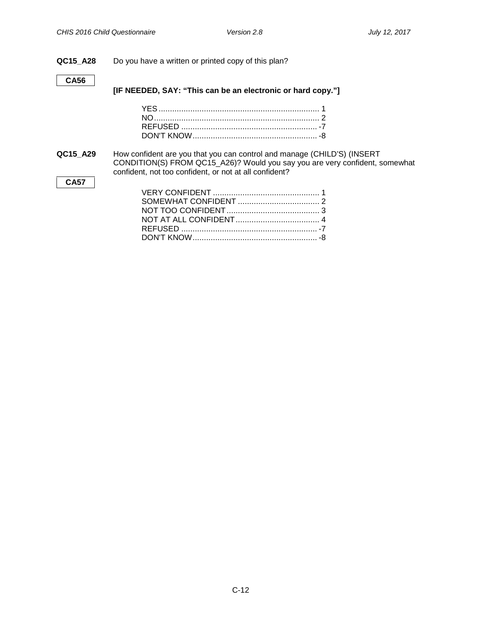#### **QC15\_A28** Do you have a written or printed copy of this plan?

#### **CA56**

**[IF NEEDED, SAY: "This can be an electronic or hard copy."]**

**QC15\_A29** How confident are you that you can control and manage (CHILD'S) (INSERT CONDITION(S) FROM QC15\_A26)? Would you say you are very confident, somewhat confident, not too confident, or not at all confident? **CA57**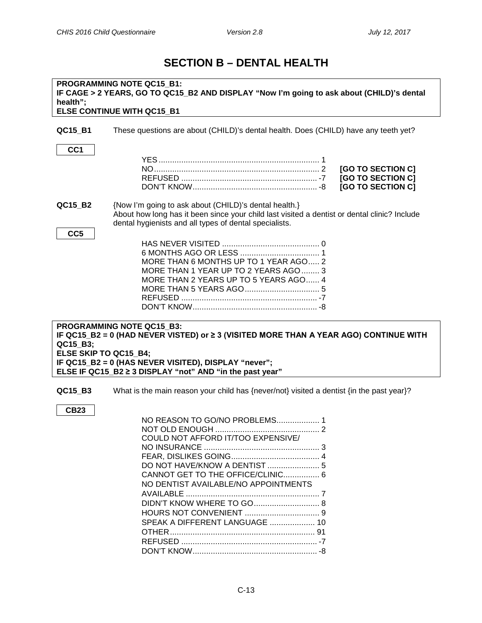# **SECTION B – DENTAL HEALTH**

<span id="page-12-0"></span>

| PROGRAMMING NOTE QC15_B1:<br>IF CAGE > 2 YEARS, GO TO QC15_B2 AND DISPLAY "Now I'm going to ask about (CHILD)'s dental<br>health";<br>ELSE CONTINUE WITH QC15_B1 |                                                                                                                                                                                                                                                    |  |
|------------------------------------------------------------------------------------------------------------------------------------------------------------------|----------------------------------------------------------------------------------------------------------------------------------------------------------------------------------------------------------------------------------------------------|--|
| QC15_B1                                                                                                                                                          | These questions are about (CHILD)'s dental health. Does (CHILD) have any teeth yet?                                                                                                                                                                |  |
| CC <sub>1</sub>                                                                                                                                                  | [GO TO SECTION C]<br>[GO TO SECTION C]<br>[GO TO SECTION C]                                                                                                                                                                                        |  |
| QC15_B2                                                                                                                                                          | {Now I'm going to ask about (CHILD)'s dental health.}<br>About how long has it been since your child last visited a dentist or dental clinic? Include<br>dental hygienists and all types of dental specialists.                                    |  |
| CC <sub>5</sub>                                                                                                                                                  | MORE THAN 6 MONTHS UP TO 1 YEAR AGO 2<br>MORE THAN 1 YEAR UP TO 2 YEARS AGO  3<br>MORE THAN 2 YEARS UP TO 5 YEARS AGO 4                                                                                                                            |  |
| QC15_B3;<br>ELSE SKIP TO QC15_B4;                                                                                                                                | <b>PROGRAMMING NOTE QC15_B3:</b><br>IF QC15_B2 = 0 (HAD NEVER VISTED) or $\geq$ 3 (VISITED MORE THAN A YEAR AGO) CONTINUE WITH<br>IF QC15_B2 = 0 (HAS NEVER VISITED), DISPLAY "never";<br>ELSE IF QC15_B2 ≥ 3 DISPLAY "not" AND "in the past year" |  |
| QC15_B3                                                                                                                                                          | What is the main reason your child has {never/not} visited a dentist {in the past year}?                                                                                                                                                           |  |
| <b>CB23</b>                                                                                                                                                      | NO REASON TO GO/NO PROBLEMS 1<br>NOT OLD ENOUGH<br>COULD NOT AFFORD IT/TOO EXPENSIVE/<br>DO NOT HAVE/KNOW A DENTIST  5<br>CANNOT GET TO THE OFFICE/CLINIC 6<br>NO DENTIST AVAILABLE/NO APPOINTMENTS<br>SPEAK A DIFFERENT LANGUAGE  10              |  |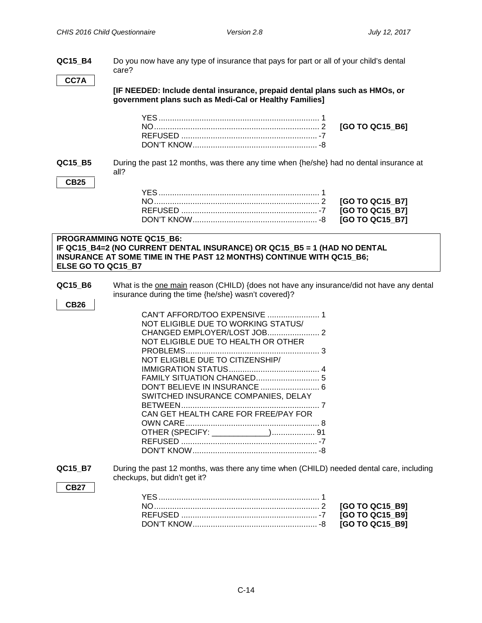**QC15\_B4** Do you now have any type of insurance that pays for part or all of your child's dental care?

**CC7A**

**[IF NEEDED: Include dental insurance, prepaid dental plans such as HMOs, or government plans such as Medi-Cal or Healthy Families]** 

NO......................................................................... 2 **[GO TO QC15\_B6]**

<span id="page-13-0"></span>**QC15\_B5** During the past 12 months, was there any time when {he/she} had no dental insurance at all?

#### **CB25**

#### **PROGRAMMING NOTE QC15\_B6: IF QC15\_B4=2 (NO CURRENT DENTAL INSURANCE) OR QC15\_B5 = 1 (HAD NO DENTAL INSURANCE AT SOME TIME IN THE PAST 12 MONTHS) CONTINUE WITH QC15\_B6; ELSE GO TO QC15\_B7**

**QC15\_B6** What is the one main reason (CHILD) {does not have any insurance/did not have any dental insurance during the time {he/she} wasn't covered}?

| CB26 |                                      |
|------|--------------------------------------|
|      |                                      |
|      | NOT ELIGIBLE DUE TO WORKING STATUS/  |
|      |                                      |
|      | NOT ELIGIBLE DUE TO HEALTH OR OTHER  |
|      |                                      |
|      | NOT ELIGIBLE DUE TO CITIZENSHIP/     |
|      |                                      |
|      | FAMILY SITUATION CHANGED             |
|      |                                      |
|      | SWITCHED INSURANCE COMPANIES, DELAY  |
|      |                                      |
|      | CAN GET HEALTH CARE FOR FREE/PAY FOR |
|      |                                      |
|      |                                      |
|      |                                      |
|      |                                      |
|      |                                      |

<span id="page-13-1"></span>**QC15\_B7** During the past 12 months, was there any time when (CHILD) needed dental care, including checkups, but didn't get it?

**CB27**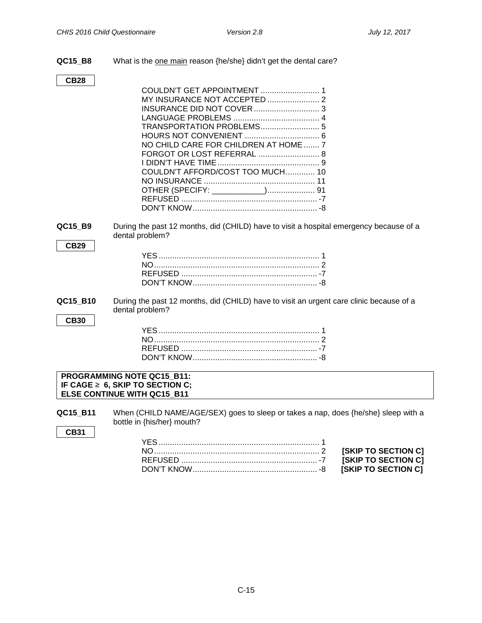**ISKIP TO SECTION C] FIREFULSHER TO SECTION CI**  $S$ KIP TO SECTION C]

**QC15\_B8** What is the one main reason {he/she} didn't get the dental care?

#### **CB28**

| NO CHILD CARE FOR CHILDREN AT HOME  7 |  |
|---------------------------------------|--|
|                                       |  |
|                                       |  |
| COULDN'T AFFORD/COST TOO MUCH 10      |  |
|                                       |  |
|                                       |  |
|                                       |  |
|                                       |  |

<span id="page-14-0"></span>**QC15\_B9** During the past 12 months, did (CHILD) have to visit a hospital emergency because of a dental problem?

#### **CB29**

**QC15\_B10** During the past 12 months, did (CHILD) have to visit an urgent care clinic because of a dental problem?

**CB30**

#### **PROGRAMMING NOTE QC15\_B11: IF CAGE** ≥ **6, SKIP TO SECTION C; ELSE CONTINUE WITH QC15\_B11**

**QC15\_B11** When (CHILD NAME/AGE/SEX) goes to sleep or takes a nap, does {he/she} sleep with a bottle in {his/her} mouth?

**CB31**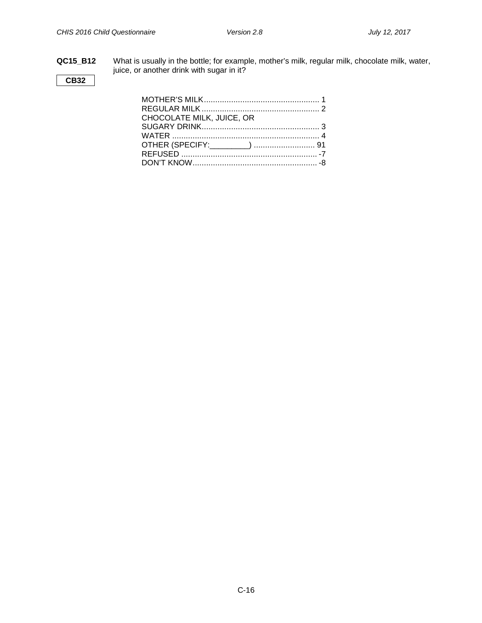**QC15\_B12** What is usually in the bottle; for example, mother's milk, regular milk, chocolate milk, water, juice, or another drink with sugar in it?

### **CB32**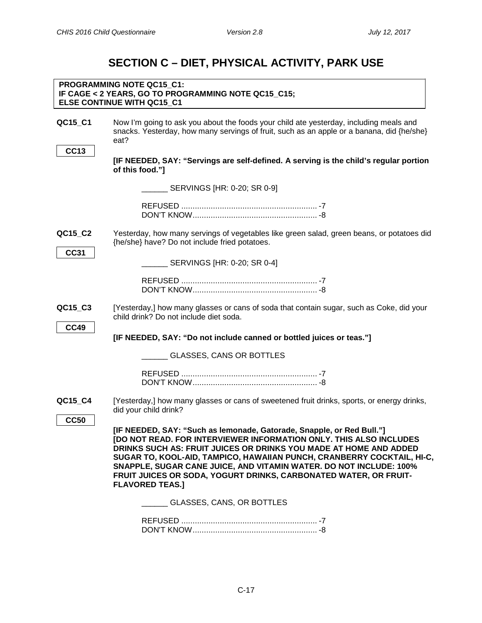# **SECTION C – DIET, PHYSICAL ACTIVITY, PARK USE**

<span id="page-16-1"></span><span id="page-16-0"></span>

|                        | PROGRAMMING NOTE QC15 C1:<br>IF CAGE < 2 YEARS, GO TO PROGRAMMING NOTE QC15_C15;<br>ELSE CONTINUE WITH QC15_C1                                                                                                                                                                                                 |                                                                                                                                              |
|------------------------|----------------------------------------------------------------------------------------------------------------------------------------------------------------------------------------------------------------------------------------------------------------------------------------------------------------|----------------------------------------------------------------------------------------------------------------------------------------------|
| QC15_C1                | Now I'm going to ask you about the foods your child ate yesterday, including meals and<br>eat?                                                                                                                                                                                                                 | snacks. Yesterday, how many servings of fruit, such as an apple or a banana, did {he/she}                                                    |
| <b>CC13</b>            | of this food."]                                                                                                                                                                                                                                                                                                | [IF NEEDED, SAY: "Servings are self-defined. A serving is the child's regular portion                                                        |
|                        |                                                                                                                                                                                                                                                                                                                |                                                                                                                                              |
|                        |                                                                                                                                                                                                                                                                                                                |                                                                                                                                              |
| QC15_C2<br><b>CC31</b> | {he/she} have? Do not include fried potatoes.                                                                                                                                                                                                                                                                  | Yesterday, how many servings of vegetables like green salad, green beans, or potatoes did                                                    |
|                        | SERVINGS [HR: 0-20; SR 0-4]                                                                                                                                                                                                                                                                                    |                                                                                                                                              |
|                        |                                                                                                                                                                                                                                                                                                                |                                                                                                                                              |
| QC15_C3<br><b>CC49</b> | child drink? Do not include diet soda.                                                                                                                                                                                                                                                                         | [Yesterday,] how many glasses or cans of soda that contain sugar, such as Coke, did your                                                     |
|                        | [IF NEEDED, SAY: "Do not include canned or bottled juices or teas."]                                                                                                                                                                                                                                           |                                                                                                                                              |
|                        | GLASSES, CANS OR BOTTLES                                                                                                                                                                                                                                                                                       |                                                                                                                                              |
|                        |                                                                                                                                                                                                                                                                                                                |                                                                                                                                              |
| QC15_C4                | did your child drink?                                                                                                                                                                                                                                                                                          | [Yesterday,] how many glasses or cans of sweetened fruit drinks, sports, or energy drinks,                                                   |
| <b>CC50</b>            | [IF NEEDED, SAY: "Such as lemonade, Gatorade, Snapple, or Red Bull."]<br>DRINKS SUCH AS: FRUIT JUICES OR DRINKS YOU MADE AT HOME AND ADDED<br>SNAPPLE, SUGAR CANE JUICE, AND VITAMIN WATER. DO NOT INCLUDE: 100%<br>FRUIT JUICES OR SODA, YOGURT DRINKS, CARBONATED WATER, OR FRUIT-<br><b>FLAVORED TEAS.1</b> | [DO NOT READ. FOR INTERVIEWER INFORMATION ONLY. THIS ALSO INCLUDES<br>SUGAR TO, KOOL-AID, TAMPICO, HAWAIIAN PUNCH, CRANBERRY COCKTAIL, HI-C, |
|                        | GLASSES, CANS, OR BOTTLES                                                                                                                                                                                                                                                                                      |                                                                                                                                              |
|                        | REFUSED.                                                                                                                                                                                                                                                                                                       |                                                                                                                                              |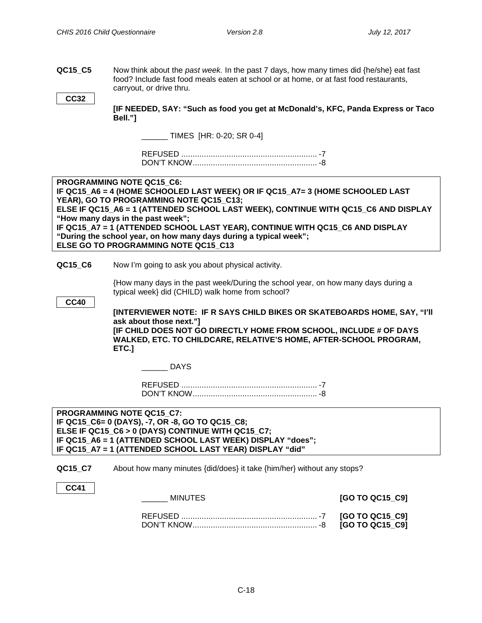<span id="page-17-0"></span>**QC15\_C5** Now think about the *past week.* In the past 7 days, how many times did {he/she} eat fast food? Include fast food meals eaten at school or at home, or at fast food restaurants, carryout, or drive thru.

```
CC32
```
**[IF NEEDED, SAY: "Such as food you get at McDonald's, KFC, Panda Express or Taco Bell."]**

\_\_\_\_\_\_ TIMES [HR: 0-20; SR 0-4]

REFUSED ............................................................ -7 DON'T KNOW....................................................... -8

<span id="page-17-1"></span>**Commute from School to Home PROGRAMMING NOTE QC15\_C6: IF QC15\_A6 = 4 (HOME SCHOOLED LAST WEEK) OR IF QC15\_A7= 3 (HOME SCHOOLED LAST YEAR), GO TO PROGRAMMING NOTE QC15\_C13; ELSE IF QC15\_A6 = 1 (ATTENDED SCHOOL LAST WEEK), CONTINUE WITH QC15\_C6 AND DISPLAY "How many days in the past week"; IF QC15\_A7 = 1 (ATTENDED SCHOOL LAST YEAR), CONTINUE WITH QC15\_C6 AND DISPLAY "During the school year, on how many days during a typical week"; ELSE GO TO PROGRAMMING NOTE QC15\_C13**

**QC15 C6** Now I'm going to ask you about physical activity.

{How many days in the past week/During the school year, on how many days during a typical week} did (CHILD) walk home from school?

**CC40**

**[INTERVIEWER NOTE: IF R SAYS CHILD BIKES OR SKATEBOARDS HOME, SAY, "I'll ask about those next."]**

**[IF CHILD DOES NOT GO DIRECTLY HOME FROM SCHOOL, INCLUDE # OF DAYS WALKED, ETC. TO CHILDCARE, RELATIVE'S HOME, AFTER-SCHOOL PROGRAM, ETC.]**

\_\_\_\_\_\_ DAYS

REFUSED ............................................................ -7 DON'T KNOW....................................................... -8

**PROGRAMMING NOTE QC15\_C7: IF QC15\_C6= 0 (DAYS), -7, OR -8, GO TO QC15\_C8; ELSE IF QC15\_C6 > 0 (DAYS) CONTINUE WITH QC15\_C7; IF QC15\_A6 = 1 (ATTENDED SCHOOL LAST WEEK) DISPLAY "does"; IF QC15\_A7 = 1 (ATTENDED SCHOOL LAST YEAR) DISPLAY "did"**

**QC15\_C7** About how many minutes {did/does} it take {him/her} without any stops?

#### **CC41**

\_\_\_\_\_\_ MINUTES **[GO TO QC15\_C9]** REFUSED ............................................................ -7 **[GO TO QC15\_C9]** DON'T KNOW....................................................... -8 **[GO TO QC15\_C9]**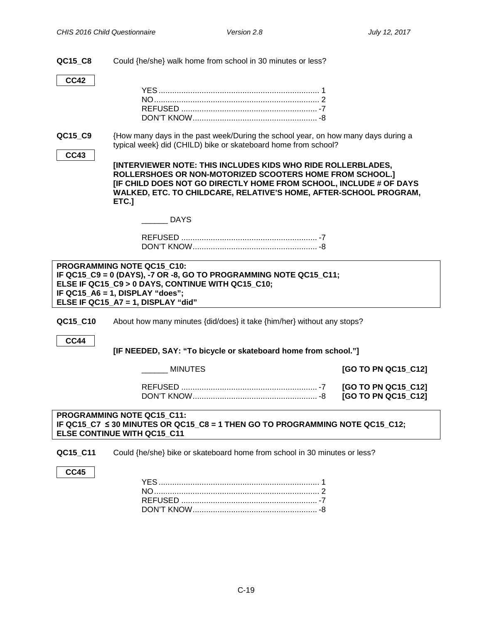**QC15\_C8** Could {he/she} walk home from school in 30 minutes or less?

| <b>CC42</b>            |                                                                                                                                                                                                                                                                              |                                            |
|------------------------|------------------------------------------------------------------------------------------------------------------------------------------------------------------------------------------------------------------------------------------------------------------------------|--------------------------------------------|
|                        |                                                                                                                                                                                                                                                                              |                                            |
|                        |                                                                                                                                                                                                                                                                              |                                            |
|                        |                                                                                                                                                                                                                                                                              |                                            |
| QC15_C9<br><b>CC43</b> | {How many days in the past week/During the school year, on how many days during a<br>typical week} did (CHILD) bike or skateboard home from school?                                                                                                                          |                                            |
|                        | [INTERVIEWER NOTE: THIS INCLUDES KIDS WHO RIDE ROLLERBLADES,<br>ROLLERSHOES OR NON-MOTORIZED SCOOTERS HOME FROM SCHOOL.]<br>[IF CHILD DOES NOT GO DIRECTLY HOME FROM SCHOOL, INCLUDE # OF DAYS<br>WALKED, ETC. TO CHILDCARE, RELATIVE'S HOME, AFTER-SCHOOL PROGRAM,<br>ETC.] |                                            |
|                        | DAYS                                                                                                                                                                                                                                                                         |                                            |
|                        |                                                                                                                                                                                                                                                                              |                                            |
|                        | PROGRAMMING NOTE QC15_C10:<br>IF QC15_C9 = 0 (DAYS), -7 OR -8, GO TO PROGRAMMING NOTE QC15_C11;<br>ELSE IF QC15_C9 > 0 DAYS, CONTINUE WITH QC15_C10;<br>IF QC15 A6 = 1, DISPLAY "does";<br>ELSE IF QC15_A7 = 1, DISPLAY "did"                                                |                                            |
| QC15_C10               | About how many minutes {did/does} it take {him/her} without any stops?                                                                                                                                                                                                       |                                            |
| <b>CC44</b>            | [IF NEEDED, SAY: "To bicycle or skateboard home from school."]                                                                                                                                                                                                               |                                            |
|                        | <b>MINUTES</b>                                                                                                                                                                                                                                                               | [GO TO PN QC15_C12]                        |
|                        |                                                                                                                                                                                                                                                                              | [GO TO PN QC15_C12]<br>[GO TO PN QC15 C12] |
|                        | <b>PROGRAMMING NOTE QC15 C11:</b><br>IF QC15_C7 ≤ 30 MINUTES OR QC15_C8 = 1 THEN GO TO PROGRAMMING NOTE QC15_C12;<br>ELSE CONTINUE WITH QC15 C11                                                                                                                             |                                            |
| QC15_C11               | Could {he/she} bike or skateboard home from school in 30 minutes or less?                                                                                                                                                                                                    |                                            |
| <b>CC45</b>            |                                                                                                                                                                                                                                                                              |                                            |

<span id="page-18-0"></span>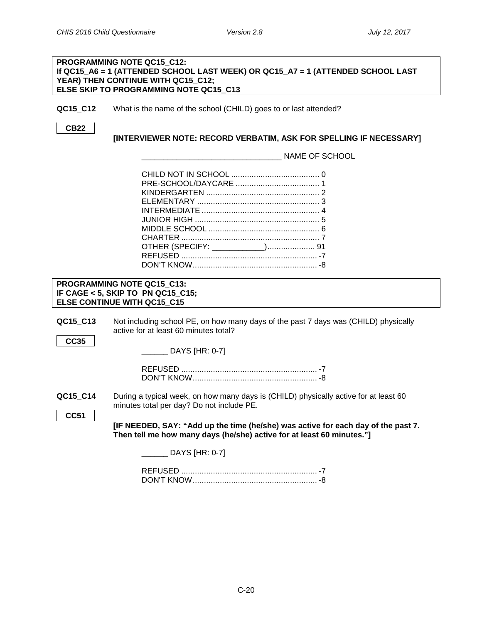<span id="page-19-1"></span><span id="page-19-0"></span>

|                         | PROGRAMMING NOTE QC15 C12:<br>If QC15_A6 = 1 (ATTENDED SCHOOL LAST WEEK) OR QC15_A7 = 1 (ATTENDED SCHOOL LAST<br>YEAR) THEN CONTINUE WITH QC15_C12;<br>ELSE SKIP TO PROGRAMMING NOTE QC15_C13                                                                                                   |
|-------------------------|-------------------------------------------------------------------------------------------------------------------------------------------------------------------------------------------------------------------------------------------------------------------------------------------------|
| QC15_C12                | What is the name of the school (CHILD) goes to or last attended?                                                                                                                                                                                                                                |
| <b>CB22</b>             | [INTERVIEWER NOTE: RECORD VERBATIM, ASK FOR SPELLING IF NECESSARY]                                                                                                                                                                                                                              |
|                         | NAME OF SCHOOL                                                                                                                                                                                                                                                                                  |
|                         |                                                                                                                                                                                                                                                                                                 |
|                         | PROGRAMMING NOTE QC15_C13:<br>IF CAGE < 5, SKIP TO PN QC15_C15;<br><b>ELSE CONTINUE WITH QC15_C15</b>                                                                                                                                                                                           |
| QC15_C13<br><b>CC35</b> | Not including school PE, on how many days of the past 7 days was (CHILD) physically<br>active for at least 60 minutes total?<br>DAYS [HR: 0-7]                                                                                                                                                  |
| QC15_C14<br><b>CC51</b> | During a typical week, on how many days is (CHILD) physically active for at least 60<br>minutes total per day? Do not include PE.<br>[IF NEEDED, SAY: "Add up the time (he/she) was active for each day of the past 7.<br>Then tell me how many days (he/she) active for at least 60 minutes."] |
|                         | DAYS [HR: 0-7]                                                                                                                                                                                                                                                                                  |
|                         |                                                                                                                                                                                                                                                                                                 |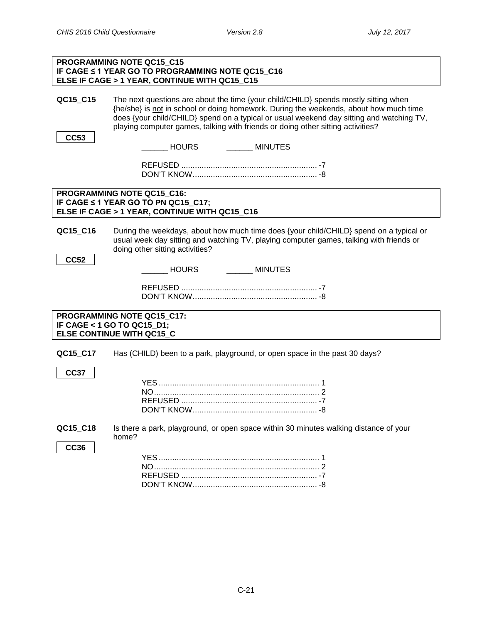<span id="page-20-0"></span>

|                         | <b>PROGRAMMING NOTE QC15 C15</b><br>IF CAGE ≤ 1 YEAR GO TO PROGRAMMING NOTE QC15_C16<br>ELSE IF CAGE > 1 YEAR, CONTINUE WITH QC15_C15                                                                                                                                                                                                                       |
|-------------------------|-------------------------------------------------------------------------------------------------------------------------------------------------------------------------------------------------------------------------------------------------------------------------------------------------------------------------------------------------------------|
| QC15_C15                | The next questions are about the time {your child/CHILD} spends mostly sitting when<br>{he/she} is not in school or doing homework. During the weekends, about how much time<br>does {your child/CHILD} spend on a typical or usual weekend day sitting and watching TV,<br>playing computer games, talking with friends or doing other sitting activities? |
| <b>CC53</b>             | MINUTES<br>_____ HOURS                                                                                                                                                                                                                                                                                                                                      |
|                         |                                                                                                                                                                                                                                                                                                                                                             |
|                         | PROGRAMMING NOTE QC15_C16:<br>IF CAGE ≤ 1 YEAR GO TO PN QC15_C17;<br>ELSE IF CAGE > 1 YEAR, CONTINUE WITH QC15_C16                                                                                                                                                                                                                                          |
| QC15_C16                | During the weekdays, about how much time does {your child/CHILD} spend on a typical or<br>usual week day sitting and watching TV, playing computer games, talking with friends or<br>doing other sitting activities?                                                                                                                                        |
| <b>CC52</b>             | ________ MINUTES<br>HOURS                                                                                                                                                                                                                                                                                                                                   |
|                         |                                                                                                                                                                                                                                                                                                                                                             |
|                         | PROGRAMMING NOTE QC15_C17:<br>IF CAGE < 1 GO TO QC15_D1;<br>ELSE CONTINUE WITH QC15_C                                                                                                                                                                                                                                                                       |
| QC15_C17                | Has (CHILD) been to a park, playground, or open space in the past 30 days?                                                                                                                                                                                                                                                                                  |
| <b>CC37</b>             |                                                                                                                                                                                                                                                                                                                                                             |
| QC15_C18<br><b>CC36</b> | Is there a park, playground, or open space within 30 minutes walking distance of your<br>home?                                                                                                                                                                                                                                                              |
|                         |                                                                                                                                                                                                                                                                                                                                                             |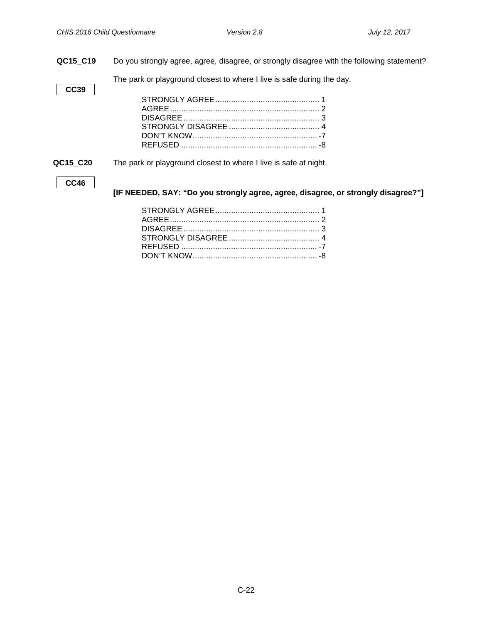**QC15\_C19** Do you strongly agree, agree, disagree, or strongly disagree with the following statement?

The park or playground closest to where I live is safe during the day.

**QC15\_C20** The park or playground closest to where I live is safe at night.

#### **CC46**

**CC39**

**[IF NEEDED, SAY: "Do you strongly agree, agree, disagree, or strongly disagree?"]**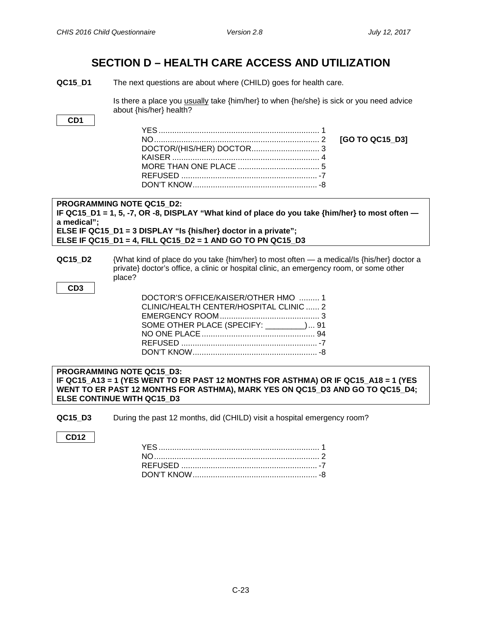### **SECTION D – HEALTH CARE ACCESS AND UTILIZATION**

<span id="page-22-1"></span><span id="page-22-0"></span>**QC15\_D1** The next questions are about where (CHILD) goes for health care.

Is there a place you usually take {him/her} to when {he/she} is sick or you need advice about {his/her} health?

| CD <sub>1</sub>                                                                                                                                                                                           |                 |
|-----------------------------------------------------------------------------------------------------------------------------------------------------------------------------------------------------------|-----------------|
|                                                                                                                                                                                                           |                 |
|                                                                                                                                                                                                           | [GO TO QC15_D3] |
|                                                                                                                                                                                                           |                 |
|                                                                                                                                                                                                           |                 |
|                                                                                                                                                                                                           |                 |
|                                                                                                                                                                                                           |                 |
|                                                                                                                                                                                                           |                 |
| <b>PROGRAMMING NOTE QC15 D2:</b>                                                                                                                                                                          |                 |
| IF QC15_D1 = 1, 5, -7, OR -8, DISPLAY "What kind of place do you take {him/her} to most often $-$<br>a medical":                                                                                          |                 |
| ELSE IF QC15_D1 = 3 DISPLAY "Is {his/her} doctor in a private";                                                                                                                                           |                 |
| ELSE IF QC15 D1 = 4, FILL QC15 D2 = 1 AND GO TO PN QC15 D3                                                                                                                                                |                 |
|                                                                                                                                                                                                           |                 |
| QC15 D2<br>{What kind of place do you take {him/her} to most often — a medical/ls {his/her} doctor a<br>private} doctor's office, a clinic or hospital clinic, an emergency room, or some other<br>place? |                 |
| CD <sub>3</sub>                                                                                                                                                                                           |                 |
| DOCTOR'S OFFICE/KAISER/OTHER HMO  1                                                                                                                                                                       |                 |
| CLINIC/HEALTH CENTER/HOSPITAL CLINIC  2                                                                                                                                                                   |                 |
|                                                                                                                                                                                                           |                 |
| SOME OTHER PLACE (SPECIFY: ________) 91                                                                                                                                                                   |                 |
|                                                                                                                                                                                                           |                 |
|                                                                                                                                                                                                           |                 |
|                                                                                                                                                                                                           |                 |
| <b>PROGRAMMING NOTE QC15 D3:</b>                                                                                                                                                                          |                 |
| IF QC15_A13 = 1 (YES WENT TO ER PAST 12 MONTHS FOR ASTHMA) OR IF QC15_A18 = 1 (YES<br>WENT TO ER PAST 12 MONTHS FOR ASTHMA), MARK YES ON QC15_D3 AND GO TO QC15_D4;<br><b>ELSE CONTINUE WITH QC15 D3</b>  |                 |

<span id="page-22-2"></span>**QC15\_D3** During the past 12 months, did (CHILD) visit a hospital emergency room?

**CD12**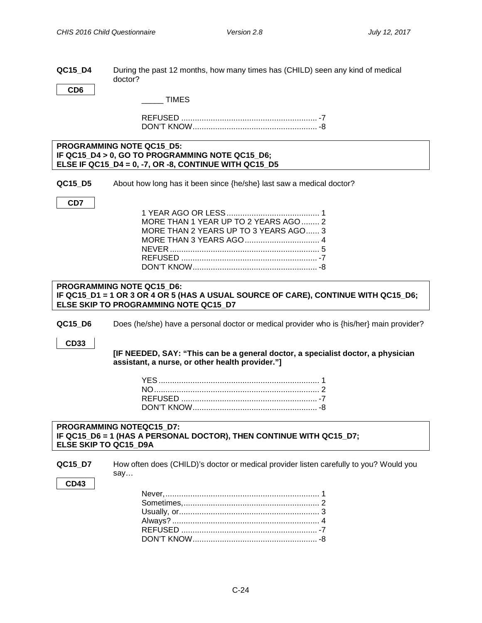<span id="page-23-0"></span>

| QC15 D4 | During the past 12 months, how many times has (CHILD) seen any kind of medical |
|---------|--------------------------------------------------------------------------------|
|         | doctor?                                                                        |

**CD6**

\_\_\_\_\_ TIMES

REFUSED ............................................................ -7 DON'T KNOW....................................................... -8

#### **PROGRAMMING NOTE QC15\_D5: IF QC15\_D4 > 0, GO TO PROGRAMMING NOTE QC15\_D6; ELSE IF QC15\_D4 = 0, -7, OR -8, CONTINUE WITH QC15\_D5**

**QC15\_D5** About how long has it been since {he/she} last saw a medical doctor?

**CD7**

| MORE THAN 1 YEAR UP TO 2 YEARS AGO  2 |  |
|---------------------------------------|--|
| MORE THAN 2 YEARS UP TO 3 YEARS AGO 3 |  |
| MORE THAN 3 YEARS AGO 4               |  |
|                                       |  |
|                                       |  |
|                                       |  |

#### <span id="page-23-1"></span>**PROGRAMMING NOTE QC15\_D6: IF QC15\_D1 = 1 OR 3 OR 4 OR 5 (HAS A USUAL SOURCE OF CARE), CONTINUE WITH QC15\_D6; ELSE SKIP TO PROGRAMMING NOTE QC15\_D7**

**QC15\_D6** Does (he/she) have a personal doctor or medical provider who is {his/her} main provider?

**CD33**

#### **[IF NEEDED, SAY: "This can be a general doctor, a specialist doctor, a physician assistant, a nurse, or other health provider."]**

#### <span id="page-23-2"></span>**PROGRAMMING NOTEQC15\_D7: IF QC15\_D6 = 1 (HAS A PERSONAL DOCTOR), THEN CONTINUE WITH QC15\_D7; ELSE SKIP TO QC15\_D9A**

**QC15\_D7** How often does (CHILD)'s doctor or medical provider listen carefully to you? Would you say…

#### **CD43**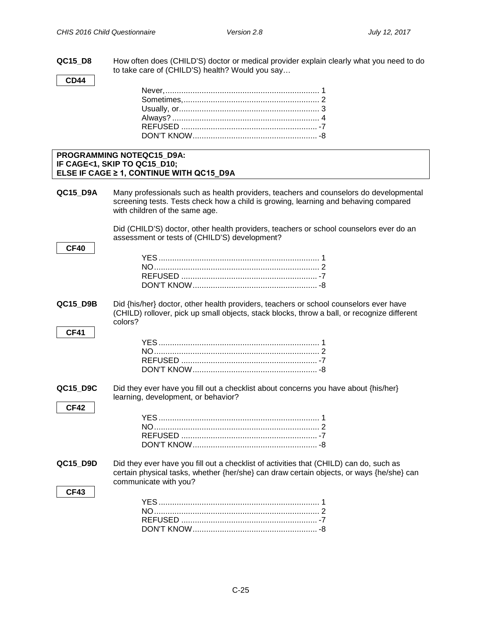**QC15\_D8** How often does (CHILD'S) doctor or medical provider explain clearly what you need to do to take care of (CHILD'S) health? Would you say…

**CD44**

**CF40**

**CF41**

**CF42**

**CF43**

#### **PROGRAMMING NOTEQC15\_D9A: IF CAGE<1, SKIP TO QC15\_D10; ELSE IF CAGE ≥ 1, CONTINUE WITH QC15\_D9A**

<span id="page-24-0"></span>**QC15\_D9A** Many professionals such as health providers, teachers and counselors do developmental screening tests. Tests check how a child is growing, learning and behaving compared with children of the same age.

> Did (CHILD'S) doctor, other health providers, teachers or school counselors ever do an assessment or tests of (CHILD'S) development?

**QC15\_D9B** Did {his/her} doctor, other health providers, teachers or school counselors ever have (CHILD) rollover, pick up small objects, stack blocks, throw a ball, or recognize different colors?

**QC15\_D9C** Did they ever have you fill out a checklist about concerns you have about {his/her} learning, development, or behavior?

**QC15\_D9D** Did they ever have you fill out a checklist of activities that (CHILD) can do, such as certain physical tasks, whether {her/she} can draw certain objects, or ways {he/she} can communicate with you?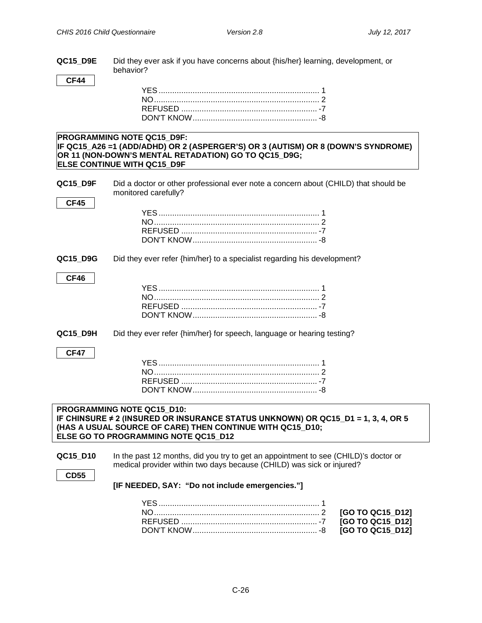**QC15\_D9E** Did they ever ask if you have concerns about {his/her} learning, development, or behavior?

**CF44**

#### **PROGRAMMING NOTE QC15\_D9F: IF QC15\_A26 =1 (ADD/ADHD) OR 2 (ASPERGER'S) OR 3 (AUTISM) OR 8 (DOWN'S SYNDROME) OR 11 (NON-DOWN'S MENTAL RETADATION) GO TO QC15\_D9G; ELSE CONTINUE WITH QC15\_D9F**

**QC15\_D9F** Did a doctor or other professional ever note a concern about (CHILD) that should be monitored carefully?

**QC15\_D9G** Did they ever refer {him/her} to a specialist regarding his development?

#### **CF46**

**CF45**

**QC15 D9H** Did they ever refer {him/her} for speech, language or hearing testing?

#### **CF47**

<span id="page-25-0"></span>**Timely Appointments**

#### **PROGRAMMING NOTE QC15\_D10: IF CHINSURE ≠ 2 (INSURED OR INSURANCE STATUS UNKNOWN) OR QC15\_D1 = 1, 3, 4, OR 5 (HAS A USUAL SOURCE OF CARE) THEN CONTINUE WITH QC15\_D10; ELSE GO TO PROGRAMMING NOTE QC15\_D12**

**QC15 D10** In the past 12 months, did you try to get an appointment to see (CHILD)'s doctor or medical provider within two days because (CHILD) was sick or injured?

#### **CD55**

**[IF NEEDED, SAY: "Do not include emergencies."]**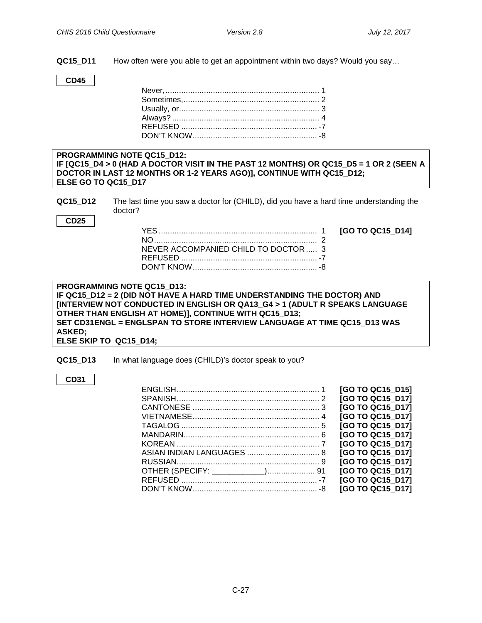<span id="page-26-0"></span>**Communication Problems with a Doctor**

**QC15\_D11** How often were you able to get an appointment within two days? Would you say…

**CD45**

#### **PROGRAMMING NOTE QC15\_D12: IF [QC15\_D4 > 0 (HAD A DOCTOR VISIT IN THE PAST 12 MONTHS) OR QC15\_D5 = 1 OR 2 (SEEN A DOCTOR IN LAST 12 MONTHS OR 1-2 YEARS AGO)], CONTINUE WITH QC15\_D12; ELSE GO TO QC15\_D17**

**QC15\_D12** The last time you saw a doctor for (CHILD), did you have a hard time understanding the doctor?

**CD25**

| NEVER ACCOMPANIED CHILD TO DOCTOR  3 |  |
|--------------------------------------|--|
|                                      |  |
|                                      |  |

[GO TO QC15\_D14]

| <b>PROGRAMMING NOTE QC15 D13:</b>                                           |
|-----------------------------------------------------------------------------|
| IF QC15_D12 = 2 (DID NOT HAVE A HARD TIME UNDERSTANDING THE DOCTOR) AND     |
| [INTERVIEW NOT CONDUCTED IN ENGLISH OR QA13_G4 > 1 (ADULT R SPEAKS LANGUAGE |
| OTHER THAN ENGLISH AT HOME)], CONTINUE WITH QC15 D13;                       |
| SET CD31ENGL = ENGLSPAN TO STORE INTERVIEW LANGUAGE AT TIME QC15 D13 WAS    |
| <b>ASKED;</b>                                                               |
| ELSE SKIP TO QC15 D14;                                                      |

#### **QC15\_D13** In what language does (CHILD)'s doctor speak to you?

#### **CD31**

| [GO TO QC15 D15] |
|------------------|
| [GO TO QC15 D17] |
| [GO TO QC15 D17] |
| [GO TO QC15 D17] |
| [GO TO QC15 D17] |
| [GO TO QC15 D17] |
| [GO TO QC15 D17] |
| [GO TO QC15_D17] |
| [GO TO QC15 D17] |
| [GO TO QC15 D17] |
| [GO TO QC15 D17] |
| [GO TO QC15 D17] |
|                  |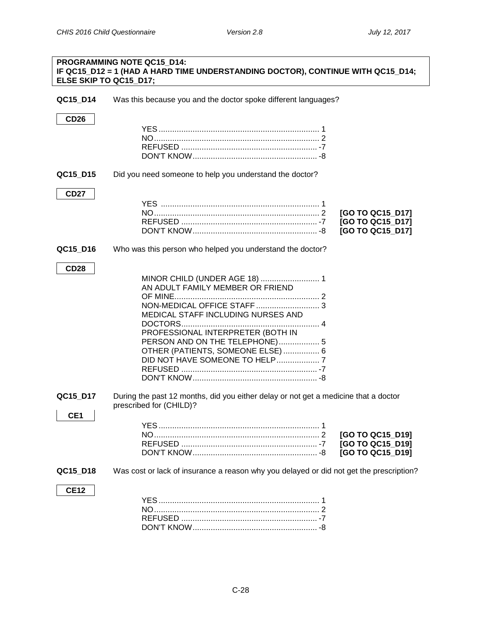<span id="page-27-0"></span>

| ELSE SKIP TO QC15 D17;      | PROGRAMMING NOTE QC15_D14:<br>IF QC15_D12 = 1 (HAD A HARD TIME UNDERSTANDING DOCTOR), CONTINUE WITH QC15_D14;                                                                      |                                                          |
|-----------------------------|------------------------------------------------------------------------------------------------------------------------------------------------------------------------------------|----------------------------------------------------------|
| QC15_D14                    | Was this because you and the doctor spoke different languages?                                                                                                                     |                                                          |
| <b>CD26</b>                 |                                                                                                                                                                                    |                                                          |
| QC15_D15                    | Did you need someone to help you understand the doctor?                                                                                                                            |                                                          |
| <b>CD27</b>                 |                                                                                                                                                                                    | [GO TO QC15 D17]<br>[GO TO QC15_D17]<br>[GO TO QC15_D17] |
| QC15_D16                    | Who was this person who helped you understand the doctor?                                                                                                                          |                                                          |
| <b>CD28</b>                 | AN ADULT FAMILY MEMBER OR FRIEND<br>MEDICAL STAFF INCLUDING NURSES AND<br>PROFESSIONAL INTERPRETER (BOTH IN<br>PERSON AND ON THE TELEPHONE) 5<br>OTHER (PATIENTS, SOMEONE ELSE)  6 |                                                          |
| QC15_D17<br>CE <sub>1</sub> | During the past 12 months, did you either delay or not get a medicine that a doctor<br>prescribed for (CHILD)?                                                                     |                                                          |
|                             |                                                                                                                                                                                    | [GO TO QC15_D19]<br>[GO TO QC15_D19]<br>[GO TO QC15_D19] |
| QC15_D18                    | Was cost or lack of insurance a reason why you delayed or did not get the prescription?                                                                                            |                                                          |
| <b>CE12</b>                 |                                                                                                                                                                                    |                                                          |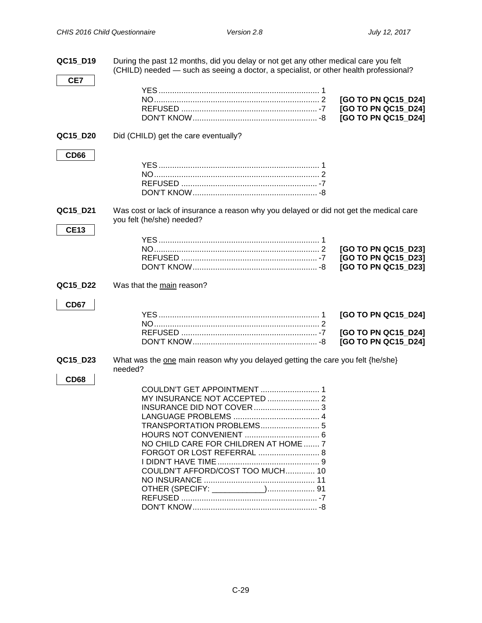| QC15_D19                | During the past 12 months, did you delay or not get any other medical care you felt<br>(CHILD) needed — such as seeing a doctor, a specialist, or other health professional? |                                                                   |  |
|-------------------------|------------------------------------------------------------------------------------------------------------------------------------------------------------------------------|-------------------------------------------------------------------|--|
| CE7                     |                                                                                                                                                                              | [GO TO PN QC15_D24]<br>[GO TO PN QC15_D24]                        |  |
|                         |                                                                                                                                                                              | [GO TO PN QC15_D24]                                               |  |
| QC15 D20<br><b>CD66</b> | Did (CHILD) get the care eventually?                                                                                                                                         |                                                                   |  |
|                         |                                                                                                                                                                              |                                                                   |  |
| QC15_D21<br><b>CE13</b> | Was cost or lack of insurance a reason why you delayed or did not get the medical care<br>you felt (he/she) needed?                                                          |                                                                   |  |
|                         |                                                                                                                                                                              | [GO TO PN QC15 D23]<br>[GO TO PN QC15_D23]<br>[GO TO PN QC15 D23] |  |
| QC15_D22                | Was that the main reason?                                                                                                                                                    |                                                                   |  |
| <b>CD67</b>             |                                                                                                                                                                              | [GO TO PN QC15_D24]<br>[GO TO PN QC15_D24]<br>[GO TO PN QC15_D24] |  |
| QC15_D23<br><b>CD68</b> | What was the one main reason why you delayed getting the care you felt {he/she}<br>needed?                                                                                   |                                                                   |  |
|                         | MY INSURANCE NOT ACCEPTED  2<br>TRANSPORTATION PROBLEMS 5<br>NO CHILD CARE FOR CHILDREN AT HOME  7<br>FORGOT OR LOST REFERRAL  8<br>COULDN'T AFFORD/COST TOO MUCH 10         |                                                                   |  |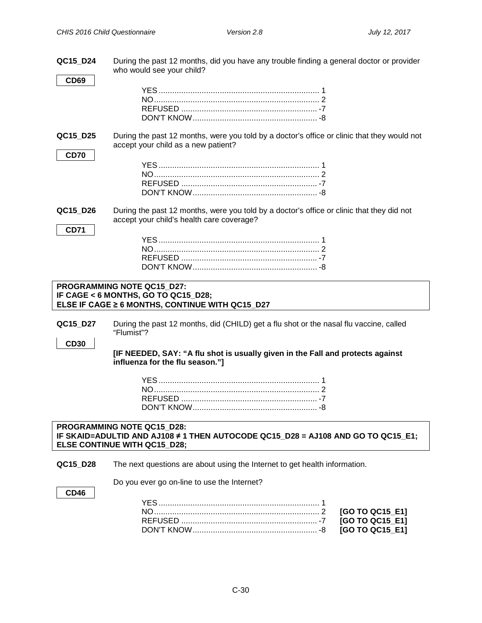<span id="page-29-1"></span><span id="page-29-0"></span>

| QC15_D24                | During the past 12 months, did you have any trouble finding a general doctor or provider<br>who would see your child?                                 |
|-------------------------|-------------------------------------------------------------------------------------------------------------------------------------------------------|
| <b>CD69</b>             |                                                                                                                                                       |
| QC15_D25<br><b>CD70</b> | During the past 12 months, were you told by a doctor's office or clinic that they would not<br>accept your child as a new patient?                    |
|                         |                                                                                                                                                       |
| QC15_D26<br><b>CD71</b> | During the past 12 months, were you told by a doctor's office or clinic that they did not<br>accept your child's health care coverage?                |
|                         |                                                                                                                                                       |
|                         | PROGRAMMING NOTE QC15_D27:<br>IF CAGE < 6 MONTHS, GO TO QC15_D28;<br>ELSE IF CAGE ≥ 6 MONTHS, CONTINUE WITH QC15_D27                                  |
| QC15_D27                | During the past 12 months, did (CHILD) get a flu shot or the nasal flu vaccine, called<br>"Flumist"?                                                  |
| <b>CD30</b>             | [IF NEEDED, SAY: "A flu shot is usually given in the Fall and protects against<br>influenza for the flu season."]                                     |
|                         |                                                                                                                                                       |
|                         | PROGRAMMING NOTE QC15 D28:<br>IF SKAID=ADULTID AND AJ108 ≠ 1 THEN AUTOCODE QC15_D28 = AJ108 AND GO TO QC15_E1;<br><b>ELSE CONTINUE WITH QC15_D28;</b> |
| QC15_D28                | The next questions are about using the Internet to get health information.                                                                            |
| <b>CD46</b>             | Do you ever go on-line to use the Internet?                                                                                                           |
|                         | [GO TO QC15_E1]<br>[GO TO QC15_E1]<br>[GO TO QC15_E1]                                                                                                 |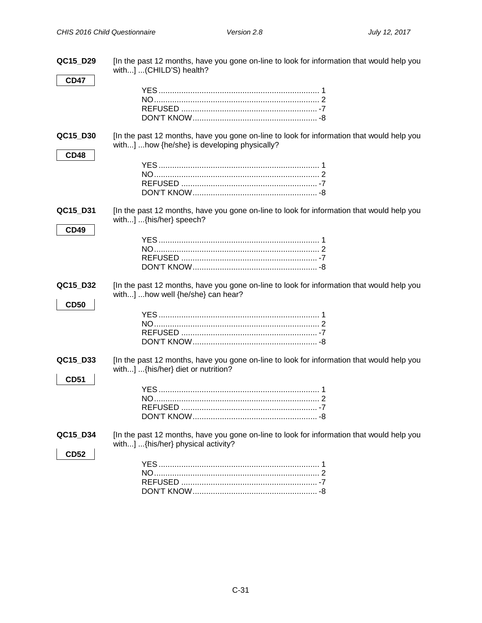| QC15_D29                | [In the past 12 months, have you gone on-line to look for information that would help you<br>with] (CHILD'S) health?                      |
|-------------------------|-------------------------------------------------------------------------------------------------------------------------------------------|
| <b>CD47</b>             |                                                                                                                                           |
| QC15_D30<br><b>CD48</b> | [In the past 12 months, have you gone on-line to look for information that would help you<br>with] how {he/she} is developing physically? |
| QC15_D31<br><b>CD49</b> | [In the past 12 months, have you gone on-line to look for information that would help you<br>with] {his/her} speech?                      |
| QC15_D32<br><b>CD50</b> | [In the past 12 months, have you gone on-line to look for information that would help you<br>with] how well {he/she} can hear?            |
| QC15_D33<br><b>CD51</b> | [In the past 12 months, have you gone on-line to look for information that would help you<br>with] {his/her} diet or nutrition?           |
| QC15_D34<br><b>CD52</b> | [In the past 12 months, have you gone on-line to look for information that would help you<br>with] {his/her} physical activity?           |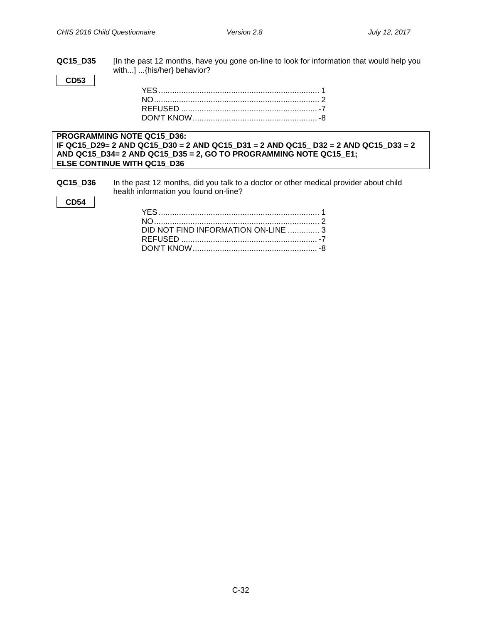**QC15\_D35** [In the past 12 months, have you gone on-line to look for information that would help you with...] ...{his/her} behavior?

**CD53**

#### **PROGRAMMING NOTE QC15\_D36: IF QC15\_D29= 2 AND QC15\_D30 = 2 AND QC15\_D31 = 2 AND QC15\_ D32 = 2 AND QC15\_D33 = 2 AND QC15\_D34= 2 AND QC15\_D35 = 2, GO TO PROGRAMMING NOTE QC15\_E1; ELSE CONTINUE WITH QC15\_D36**

**QC15** D36 In the past 12 months, did you talk to a doctor or other medical provider about child health information you found on-line?

#### **CD54**

| DID NOT FIND INFORMATION ON-LINE  3 |  |
|-------------------------------------|--|
|                                     |  |
|                                     |  |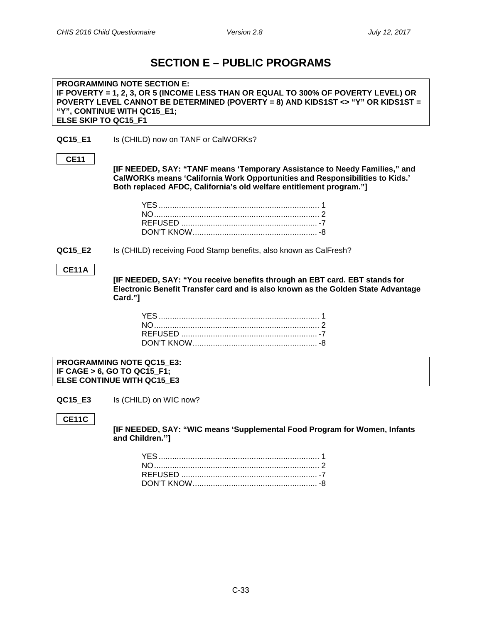### **SECTION E – PUBLIC PROGRAMS**

<span id="page-32-1"></span><span id="page-32-0"></span>**PROGRAMMING NOTE SECTION E: IF POVERTY = 1, 2, 3, OR 5 (INCOME LESS THAN OR EQUAL TO 300% OF POVERTY LEVEL) OR POVERTY LEVEL CANNOT BE DETERMINED (POVERTY = 8) AND KIDS1ST <> "Y" OR KIDS1ST = "Y", CONTINUE WITH QC15\_E1; ELSE SKIP TO QC15\_F1**

**QC15 E1** Is (CHILD) now on TANF or CalWORKs?

#### **CE11**

**[IF NEEDED, SAY: "TANF means 'Temporary Assistance to Needy Families," and CalWORKs means 'California Work Opportunities and Responsibilities to Kids.' Both replaced AFDC, California's old welfare entitlement program."]**

<span id="page-32-2"></span>**QC15\_E2** Is (CHILD) receiving Food Stamp benefits, also known as CalFresh?

#### **CE11A**

**[IF NEEDED, SAY: "You receive benefits through an EBT card. EBT stands for Electronic Benefit Transfer card and is also known as the Golden State Advantage Card."]**

<span id="page-32-3"></span>**PROGRAMMING NOTE QC15\_E3: IF CAGE > 6, GO TO QC15\_F1; ELSE CONTINUE WITH QC15\_E3**

**QC15 E3** Is (CHILD) on WIC now?

**CE11C**

**[IF NEEDED, SAY: "WIC means 'Supplemental Food Program for Women, Infants and Children.'']**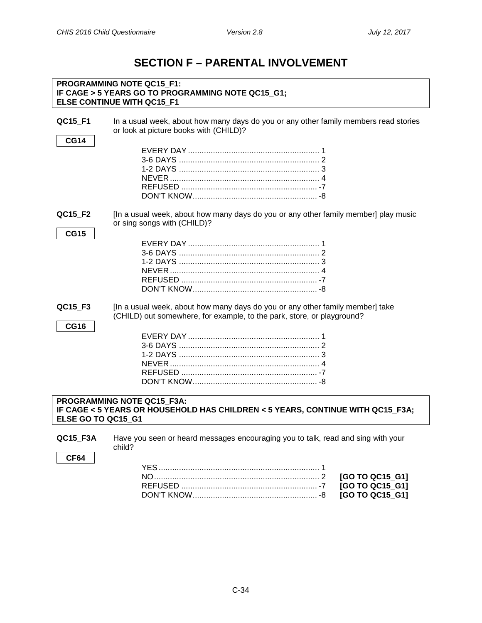## **SECTION F – PARENTAL INVOLVEMENT**

<span id="page-33-0"></span>

| <b>PROGRAMMING NOTE QC15 F1:</b><br>IF CAGE > 5 YEARS GO TO PROGRAMMING NOTE QC15_G1;<br><b>ELSE CONTINUE WITH QC15 F1</b>         |                                                                                                                                                         |
|------------------------------------------------------------------------------------------------------------------------------------|---------------------------------------------------------------------------------------------------------------------------------------------------------|
| QC15_F1<br><b>CG14</b>                                                                                                             | In a usual week, about how many days do you or any other family members read stories<br>or look at picture books with (CHILD)?                          |
|                                                                                                                                    |                                                                                                                                                         |
| QC15_F2<br><b>CG15</b>                                                                                                             | [In a usual week, about how many days do you or any other family member] play music<br>or sing songs with (CHILD)?                                      |
|                                                                                                                                    |                                                                                                                                                         |
| QC15_F3<br><b>CG16</b>                                                                                                             | [In a usual week, about how many days do you or any other family member] take<br>(CHILD) out somewhere, for example, to the park, store, or playground? |
|                                                                                                                                    |                                                                                                                                                         |
| PROGRAMMING NOTE QC15 F3A:<br>IF CAGE < 5 YEARS OR HOUSEHOLD HAS CHILDREN < 5 YEARS, CONTINUE WITH QC15_F3A;<br>ELSE GO TO QC15_G1 |                                                                                                                                                         |
| QC15_F3A<br>CF64                                                                                                                   | Have you seen or heard messages encouraging you to talk, read and sing with your<br>child?                                                              |
|                                                                                                                                    |                                                                                                                                                         |

<span id="page-33-1"></span>NO......................................................................... 2 **[GO TO QC15\_G1]** REFUSED ............................................................ -7 **[GO TO QC15\_G1]**

DON'T KNOW....................................................... -8 **[GO TO QC15\_G1]**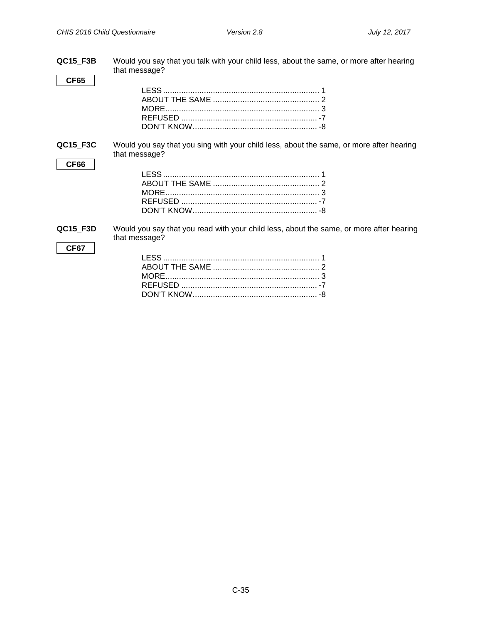| <b>QC15_F3B</b><br>CF65 | Would you say that you talk with your child less, about the same, or more after hearing<br>that message? |
|-------------------------|----------------------------------------------------------------------------------------------------------|
| QC15_F3C<br>CF66        | Would you say that you sing with your child less, about the same, or more after hearing<br>that message? |
| QC15_F3D<br>CF67        | Would you say that you read with your child less, about the same, or more after hearing<br>that message? |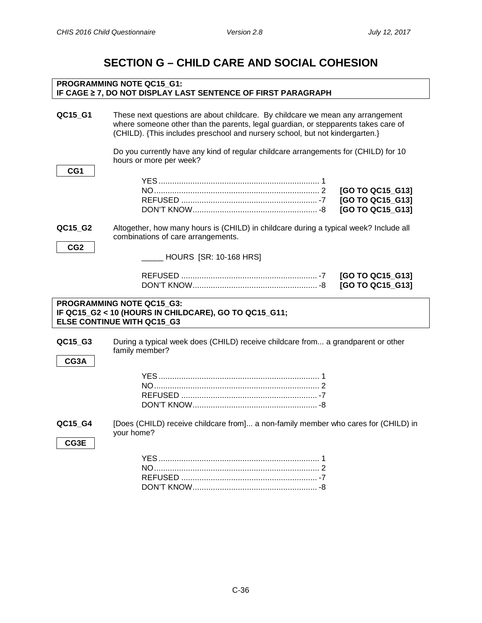### **SECTION G – CHILD CARE AND SOCIAL COHESION**

### <span id="page-35-1"></span><span id="page-35-0"></span>**PROGRAMMING NOTE QC15\_G1: IF CAGE ≥ 7, DO NOT DISPLAY LAST SENTENCE OF FIRST PARAGRAPH QC15\_G1** These next questions are about childcare. By childcare we mean any arrangement where someone other than the parents, legal guardian, or stepparents takes care of (CHILD). {This includes preschool and nursery school, but not kindergarten.} Do you currently have any kind of regular childcare arrangements for (CHILD) for 10 hours or more per week? **CG1** YES....................................................................... 1 NO......................................................................... 2 **[GO TO QC15\_G13]** REFUSED ............................................................ -7 **[GO TO QC15\_G13]** DON'T KNOW....................................................... -8 **[GO TO QC15\_G13] QC15\_G2** Altogether, how many hours is (CHILD) in childcare during a typical week? Include all combinations of care arrangements. **CG2** \_\_\_\_\_ HOURS [SR: 10-168 HRS] REFUSED ............................................................ -7 **[GO TO QC15\_G13]** DON'T KNOW....................................................... -8 **[GO TO QC15\_G13] PROGRAMMING NOTE QC15\_G3: IF QC15\_G2 < 10 (HOURS IN CHILDCARE), GO TO QC15\_G11; ELSE CONTINUE WITH QC15\_G3 QC15\_G3** During a typical week does (CHILD) receive childcare from... a grandparent or other family member? **CG3A** YES....................................................................... 1 NO......................................................................... 2 REFUSED ............................................................ -7 DON'T KNOW....................................................... -8 **QC15\_G4** [Does (CHILD) receive childcare from]... a non-family member who cares for (CHILD) in your home? **CG3E** YES....................................................................... 1 NO......................................................................... 2 REFUSED ............................................................ -7 DON'T KNOW....................................................... -8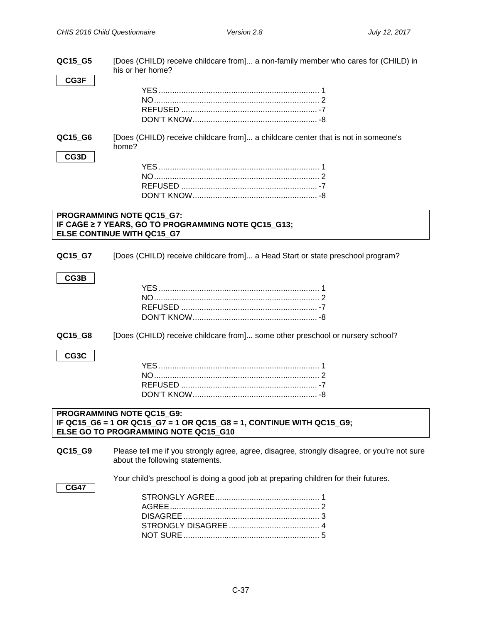| QC15_G5                                                                                                                                   | [Does (CHILD) receive childcare from] a non-family member who cares for (CHILD) in<br>his or her home?                          |  |  |  |
|-------------------------------------------------------------------------------------------------------------------------------------------|---------------------------------------------------------------------------------------------------------------------------------|--|--|--|
| CG3F                                                                                                                                      |                                                                                                                                 |  |  |  |
| QC15_G6                                                                                                                                   | [Does (CHILD) receive childcare from] a childcare center that is not in someone's<br>home?                                      |  |  |  |
| CG3D                                                                                                                                      |                                                                                                                                 |  |  |  |
|                                                                                                                                           |                                                                                                                                 |  |  |  |
|                                                                                                                                           |                                                                                                                                 |  |  |  |
|                                                                                                                                           |                                                                                                                                 |  |  |  |
|                                                                                                                                           |                                                                                                                                 |  |  |  |
|                                                                                                                                           | PROGRAMMING NOTE QC15_G7:                                                                                                       |  |  |  |
|                                                                                                                                           | IF CAGE ≥ 7 YEARS, GO TO PROGRAMMING NOTE QC15_G13;                                                                             |  |  |  |
|                                                                                                                                           | ELSE CONTINUE WITH QC15_G7                                                                                                      |  |  |  |
| QC15_G7                                                                                                                                   | [Does (CHILD) receive childcare from] a Head Start or state preschool program?                                                  |  |  |  |
| CG3B                                                                                                                                      |                                                                                                                                 |  |  |  |
|                                                                                                                                           |                                                                                                                                 |  |  |  |
|                                                                                                                                           |                                                                                                                                 |  |  |  |
|                                                                                                                                           |                                                                                                                                 |  |  |  |
|                                                                                                                                           |                                                                                                                                 |  |  |  |
| QC15_G8                                                                                                                                   | [Does (CHILD) receive childcare from] some other preschool or nursery school?                                                   |  |  |  |
| CG3C                                                                                                                                      |                                                                                                                                 |  |  |  |
|                                                                                                                                           |                                                                                                                                 |  |  |  |
|                                                                                                                                           |                                                                                                                                 |  |  |  |
|                                                                                                                                           |                                                                                                                                 |  |  |  |
|                                                                                                                                           |                                                                                                                                 |  |  |  |
|                                                                                                                                           |                                                                                                                                 |  |  |  |
| PROGRAMMING NOTE QC15 G9:<br>IF QC15_G6 = 1 OR QC15_G7 = 1 OR QC15_G8 = 1, CONTINUE WITH QC15_G9;<br>ELSE GO TO PROGRAMMING NOTE QC15 G10 |                                                                                                                                 |  |  |  |
| QC15_G9                                                                                                                                   | Please tell me if you strongly agree, agree, disagree, strongly disagree, or you're not sure<br>about the following statements. |  |  |  |
| <b>CG47</b>                                                                                                                               | Your child's preschool is doing a good job at preparing children for their futures.                                             |  |  |  |
|                                                                                                                                           |                                                                                                                                 |  |  |  |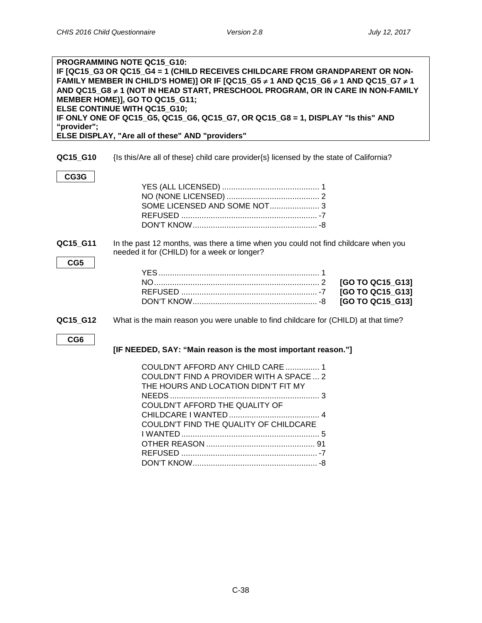| PROGRAMMING NOTE QC15 G10:<br>IF [QC15_G3 OR QC15_G4 = 1 (CHILD RECEIVES CHILDCARE FROM GRANDPARENT OR NON-<br>FAMILY MEMBER IN CHILD'S HOME)] OR IF [QC15 G5 $\neq$ 1 AND QC15 G6 $\neq$ 1 AND QC15 G7 $\neq$ 1<br>AND QC15_G8 ≠ 1 (NOT IN HEAD START, PRESCHOOL PROGRAM, OR IN CARE IN NON-FAMILY<br>MEMBER HOME)], GO TO QC15_G11;<br>ELSE CONTINUE WITH QC15_G10;<br>IF ONLY ONE OF QC15_G5, QC15_G6, QC15_G7, OR QC15_G8 = 1, DISPLAY "Is this" AND<br>"provider";<br>ELSE DISPLAY, "Are all of these" AND "providers" |                                                                                                                                                                                                   |  |  |  |
|-----------------------------------------------------------------------------------------------------------------------------------------------------------------------------------------------------------------------------------------------------------------------------------------------------------------------------------------------------------------------------------------------------------------------------------------------------------------------------------------------------------------------------|---------------------------------------------------------------------------------------------------------------------------------------------------------------------------------------------------|--|--|--|
| QC15_G10                                                                                                                                                                                                                                                                                                                                                                                                                                                                                                                    | {Is this/Are all of these} child care provider{s} licensed by the state of California?                                                                                                            |  |  |  |
| CG3G                                                                                                                                                                                                                                                                                                                                                                                                                                                                                                                        |                                                                                                                                                                                                   |  |  |  |
| QC15_G11<br>CG5                                                                                                                                                                                                                                                                                                                                                                                                                                                                                                             | In the past 12 months, was there a time when you could not find childcare when you<br>needed it for (CHILD) for a week or longer?                                                                 |  |  |  |
|                                                                                                                                                                                                                                                                                                                                                                                                                                                                                                                             | [GO TO QC15_G13]<br>[GO TO QC15_G13]<br>[GO TO QC15_G13]                                                                                                                                          |  |  |  |
| QC15_G12                                                                                                                                                                                                                                                                                                                                                                                                                                                                                                                    | What is the main reason you were unable to find childcare for (CHILD) at that time?                                                                                                               |  |  |  |
| CG6                                                                                                                                                                                                                                                                                                                                                                                                                                                                                                                         | [IF NEEDED, SAY: "Main reason is the most important reason."]                                                                                                                                     |  |  |  |
|                                                                                                                                                                                                                                                                                                                                                                                                                                                                                                                             | COULDN'T AFFORD ANY CHILD CARE  1<br>COULDN'T FIND A PROVIDER WITH A SPACE  2<br>THE HOURS AND LOCATION DIDN'T FIT MY<br>COULDN'T AFFORD THE QUALITY OF<br>COULDN'T FIND THE QUALITY OF CHILDCARE |  |  |  |

DON'T KNOW....................................................... -8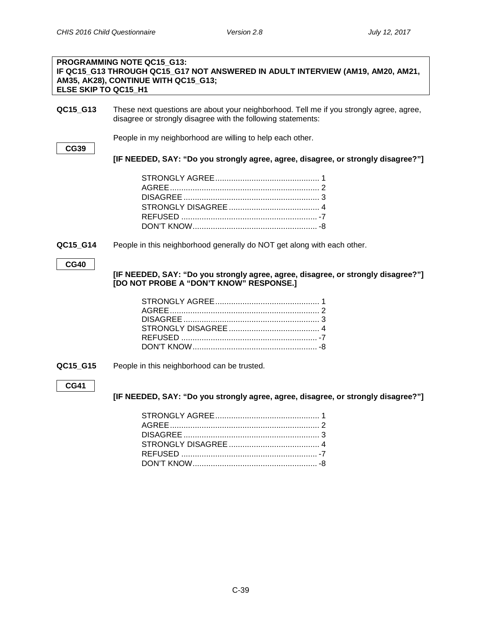#### **PROGRAMMING NOTE QC15\_G13: IF QC15\_G13 THROUGH QC15\_G17 NOT ANSWERED IN ADULT INTERVIEW (AM19, AM20, AM21, AM35, AK28), CONTINUE WITH QC15\_G13; ELSE SKIP TO QC15\_H1**

**QC15\_G13** These next questions are about your neighborhood. Tell me if you strongly agree, agree, disagree or strongly disagree with the following statements:

People in my neighborhood are willing to help each other.

**CG39**

**[IF NEEDED, SAY: "Do you strongly agree, agree, disagree, or strongly disagree?"]**

**QC15\_G14** People in this neighborhood generally do NOT get along with each other.

**CG40**

**[IF NEEDED, SAY: "Do you strongly agree, agree, disagree, or strongly disagree?"] [DO NOT PROBE A "DON'T KNOW" RESPONSE.]**

**QC15 G15** People in this neighborhood can be trusted.

### **CG41**

**[IF NEEDED, SAY: "Do you strongly agree, agree, disagree, or strongly disagree?"]**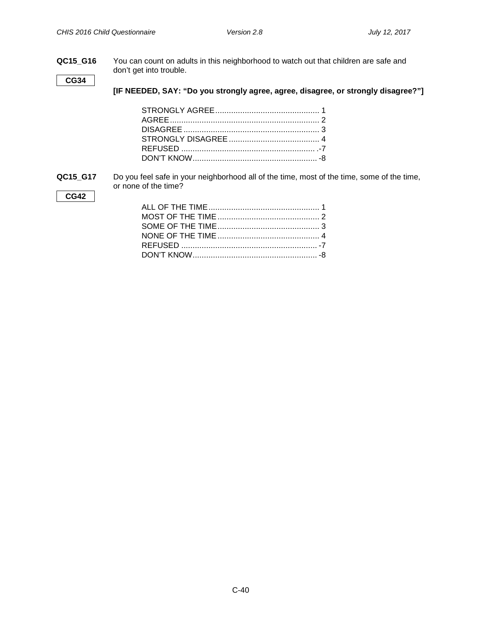**QC15\_G16** You can count on adults in this neighborhood to watch out that children are safe and don't get into trouble.

**CG34**

**[IF NEEDED, SAY: "Do you strongly agree, agree, disagree, or strongly disagree?"]**

**QC15\_G17** Do you feel safe in your neighborhood all of the time, most of the time, some of the time, or none of the time?

**CG42**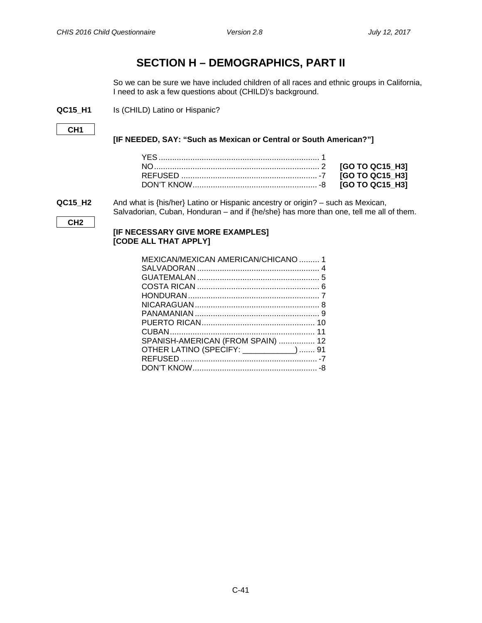# **SECTION H – DEMOGRAPHICS, PART II**

So we can be sure we have included children of all races and ethnic groups in California, I need to ask a few questions about (CHILD)'s background.

**QC15\_H1** Is (CHILD) Latino or Hispanic?

```
CH1
```
**[IF NEEDED, SAY: "Such as Mexican or Central or South American?"]**

**QC15\_H2** And what is {his/her} Latino or Hispanic ancestry or origin? – such as Mexican, Salvadorian, Cuban, Honduran – and if {he/she} has more than one, tell me all of them.

**CH2**

# **[IF NECESSARY GIVE MORE EXAMPLES] [CODE ALL THAT APPLY]**

| MEXICAN/MEXICAN AMERICAN/CHICANO  1     |  |
|-----------------------------------------|--|
|                                         |  |
|                                         |  |
|                                         |  |
|                                         |  |
|                                         |  |
|                                         |  |
|                                         |  |
|                                         |  |
| SPANISH-AMERICAN (FROM SPAIN)  12       |  |
| OTHER LATINO (SPECIFY: ___________)  91 |  |
|                                         |  |
|                                         |  |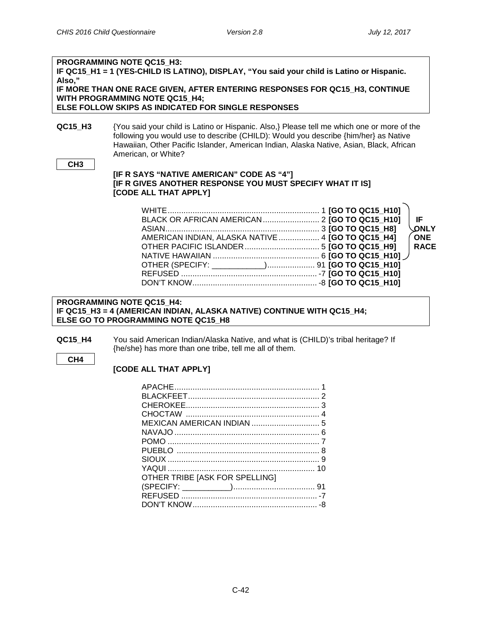| Also,"          | <b>PROGRAMMING NOTE QC15 H3:</b><br>IF QC15 H1 = 1 (YES-CHILD IS LATINO), DISPLAY, "You said your child is Latino or Hispanic.<br>IF MORE THAN ONE RACE GIVEN, AFTER ENTERING RESPONSES FOR QC15 H3, CONTINUE<br><b>WITH PROGRAMMING NOTE QC15 H4;</b><br>ELSE FOLLOW SKIPS AS INDICATED FOR SINGLE RESPONSES |
|-----------------|---------------------------------------------------------------------------------------------------------------------------------------------------------------------------------------------------------------------------------------------------------------------------------------------------------------|
| QC15 H3         | {You said your child is Latino or Hispanic. Also,} Please tell me which one or more of the<br>following you would use to describe (CHILD): Would you describe {him/her} as Native<br>Hawaiian, Other Pacific Islander, American Indian, Alaska Native, Asian, Black, African<br>American, or White?           |
| CH <sub>3</sub> | [IF R SAYS "NATIVE AMERICAN" CODE AS "4"]                                                                                                                                                                                                                                                                     |

#### **[IF R SAYS "NATIVE AMERICAN" CODE AS "4"] [IF R GIVES ANOTHER RESPONSE YOU MUST SPECIFY WHAT IT IS] [CODE ALL THAT APPLY]**

|                                                   |  |  | -IF         |
|---------------------------------------------------|--|--|-------------|
|                                                   |  |  | <b>ONLY</b> |
| AMERICAN INDIAN, ALASKA NATIVE  4 [GO TO QC15_H4] |  |  | ONE         |
|                                                   |  |  | <b>RACE</b> |
|                                                   |  |  |             |
|                                                   |  |  |             |
|                                                   |  |  |             |
|                                                   |  |  |             |

### **PROGRAMMING NOTE QC15\_H4: IF QC15\_H3 = 4 (AMERICAN INDIAN, ALASKA NATIVE) CONTINUE WITH QC15\_H4; ELSE GO TO PROGRAMMING NOTE QC15\_H8**

- **QC15\_H4** You said American Indian/Alaska Native, and what is (CHILD)'s tribal heritage? If {he/she} has more than one tribe, tell me all of them.
	- **CH4**

# **[CODE ALL THAT APPLY]**

| OTHER TRIBE [ASK FOR SPELLING] |  |
|--------------------------------|--|
|                                |  |
|                                |  |
|                                |  |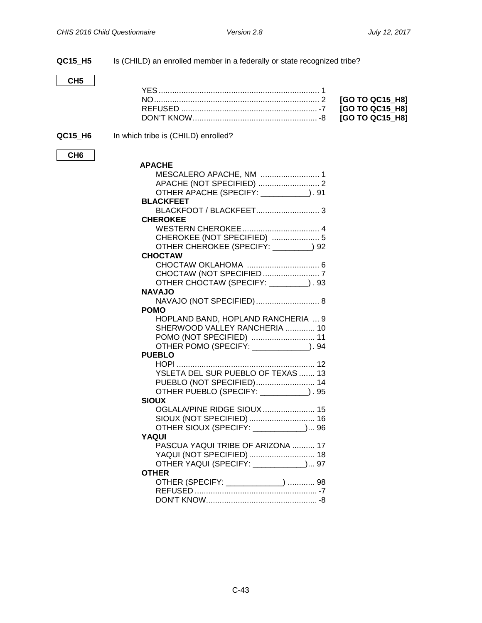| QC15_H5         | Is (CHILD) an enrolled member in a federally or state recognized tribe? |                 |
|-----------------|-------------------------------------------------------------------------|-----------------|
|                 |                                                                         |                 |
| CH <sub>5</sub> |                                                                         |                 |
|                 |                                                                         |                 |
|                 |                                                                         | [GO TO QC15_H8] |
|                 |                                                                         | [GO TO QC15_H8] |
|                 |                                                                         | [GO TO QC15_H8] |
|                 |                                                                         |                 |
| QC15_H6         | In which tribe is (CHILD) enrolled?                                     |                 |
| CH <sub>6</sub> |                                                                         |                 |
|                 | <b>APACHE</b>                                                           |                 |
|                 |                                                                         |                 |
|                 |                                                                         |                 |
|                 | OTHER APACHE (SPECIFY: __________). 91                                  |                 |
|                 | <b>BLACKFEET</b>                                                        |                 |
|                 |                                                                         |                 |
|                 | <b>CHEROKEE</b>                                                         |                 |
|                 |                                                                         |                 |
|                 | CHEROKEE (NOT SPECIFIED)  5                                             |                 |
|                 | OTHER CHEROKEE (SPECIFY: 02) 92                                         |                 |
|                 | <b>CHOCTAW</b>                                                          |                 |
|                 |                                                                         |                 |
|                 |                                                                         |                 |
|                 | OTHER CHOCTAW (SPECIFY: ________). 93                                   |                 |
|                 | <b>NAVAJO</b>                                                           |                 |
|                 | NAVAJO (NOT SPECIFIED)  8                                               |                 |
|                 | <b>POMO</b>                                                             |                 |
|                 | HOPLAND BAND, HOPLAND RANCHERIA  9                                      |                 |
|                 | SHERWOOD VALLEY RANCHERIA  10                                           |                 |
|                 |                                                                         |                 |
|                 | OTHER POMO (SPECIFY: _____________). 94                                 |                 |
|                 | <b>PUEBLO</b>                                                           |                 |
|                 |                                                                         |                 |
|                 | YSLETA DEL SUR PUEBLO OF TEXAS  13                                      |                 |
|                 | PUEBLO (NOT SPECIFIED) 14                                               |                 |
|                 | OTHER PUEBLO (SPECIFY: ___________). 95                                 |                 |
|                 | <b>SIOUX</b>                                                            |                 |
|                 | OGLALA/PINE RIDGE SIOUX.<br>15                                          |                 |
|                 | SIOUX (NOT SPECIFIED)  16                                               |                 |
|                 | OTHER SIOUX (SPECIFY: \[\]                                              |                 |
|                 | <b>YAQUI</b>                                                            |                 |
|                 | PASCUA YAQUI TRIBE OF ARIZONA  17                                       |                 |
|                 | YAQUI (NOT SPECIFIED)  18                                               |                 |
|                 | OTHER YAQUI (SPECIFY: ___________) 97                                   |                 |
|                 | <b>OTHER</b>                                                            |                 |
|                 | OTHER (SPECIFY: _____________)  98                                      |                 |
|                 |                                                                         |                 |
|                 |                                                                         |                 |
|                 |                                                                         |                 |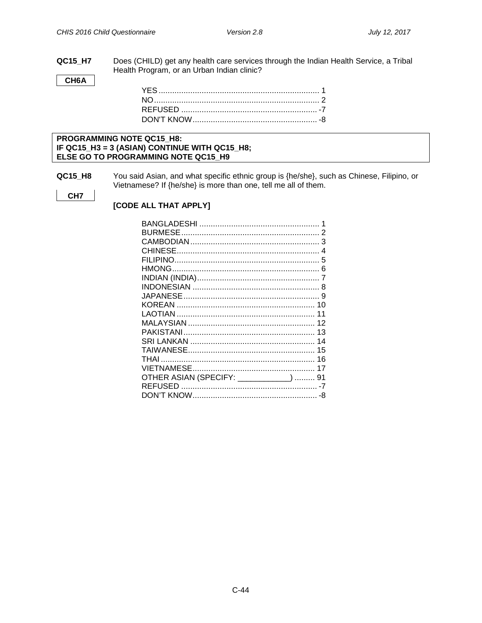**QC15\_H7** Does (CHILD) get any health care services through the Indian Health Service, a Tribal Health Program, or an Urban Indian clinic?

CH6A

#### PROGRAMMING NOTE QC15\_H8: IF QC15\_H3 = 3 (ASIAN) CONTINUE WITH QC15\_H8; ELSE GO TO PROGRAMMING NOTE QC15\_H9

**QC15\_H8** You said Asian, and what specific ethnic group is {he/she}, such as Chinese, Filipino, or Vietnamese? If {he/she} is more than one, tell me all of them.

CH<sub>7</sub>

[CODE ALL THAT APPLY]

| OTHER ASIAN (SPECIFY: ___________)  91 |  |
|----------------------------------------|--|
|                                        |  |
|                                        |  |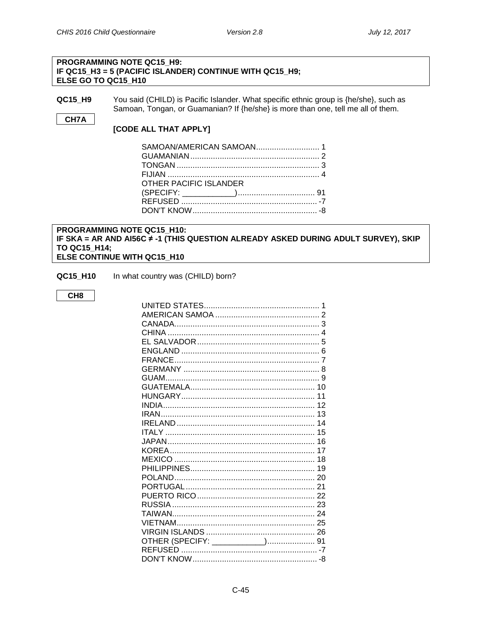### **PROGRAMMING NOTE QC15 H9:** IF QC15\_H3 = 5 (PACIFIC ISLANDER) CONTINUE WITH QC15\_H9; ELSE GO TO QC15 H10

**QC15 H9** You said (CHILD) is Pacific Islander. What specific ethnic group is {he/she}, such as Samoan, Tongan, or Guamanian? If {he/she} is more than one, tell me all of them.

### CH7A

[CODE ALL THAT APPLY]

| SAMOAN/AMERICAN SAMOAN 1 |  |
|--------------------------|--|
|                          |  |
|                          |  |
|                          |  |
| OTHER PACIFIC ISLANDER   |  |
|                          |  |
|                          |  |
|                          |  |
|                          |  |

#### PROGRAMMING NOTE QC15\_H10: IF SKA = AR AND AI56C # -1 (THIS QUESTION ALREADY ASKED DURING ADULT SURVEY), SKIP TO QC15 H14; ELSE CONTINUE WITH QC15\_H10

QC15\_H10 In what country was (CHILD) born?

#### CH<sub>8</sub>

| OTHER (SPECIFY: ____________) 91 |  |
|----------------------------------|--|
|                                  |  |
|                                  |  |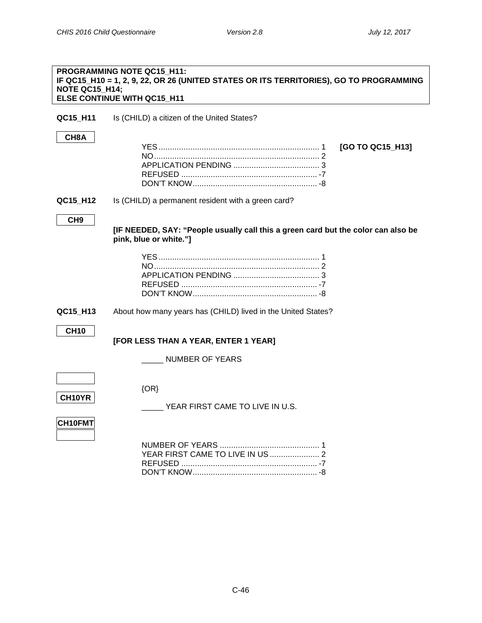| <b>PROGRAMMING NOTE QC15_H11:</b><br>IF QC15_H10 = 1, 2, 9, 22, OR 26 (UNITED STATES OR ITS TERRITORIES), GO TO PROGRAMMING<br>NOTE QC15 H14;<br>ELSE CONTINUE WITH QC15_H11 |                                                                                                             |  |
|------------------------------------------------------------------------------------------------------------------------------------------------------------------------------|-------------------------------------------------------------------------------------------------------------|--|
| QC15_H11                                                                                                                                                                     | Is (CHILD) a citizen of the United States?                                                                  |  |
| CH8A                                                                                                                                                                         | [GO TO QC15_H13]                                                                                            |  |
| QC15_H12                                                                                                                                                                     | Is (CHILD) a permanent resident with a green card?                                                          |  |
| CH <sub>9</sub>                                                                                                                                                              | [IF NEEDED, SAY: "People usually call this a green card but the color can also be<br>pink, blue or white."] |  |
|                                                                                                                                                                              |                                                                                                             |  |
| QC15_H13                                                                                                                                                                     | About how many years has (CHILD) lived in the United States?                                                |  |
| <b>CH10</b>                                                                                                                                                                  | [FOR LESS THAN A YEAR, ENTER 1 YEAR]                                                                        |  |
|                                                                                                                                                                              | <b>NUMBER OF YEARS</b>                                                                                      |  |
| <b>CH10YR</b>                                                                                                                                                                | $\{OR\}$<br>YEAR FIRST CAME TO LIVE IN U.S.                                                                 |  |
| CH10FMT                                                                                                                                                                      | YEAR FIRST CAME TO LIVE IN US  2                                                                            |  |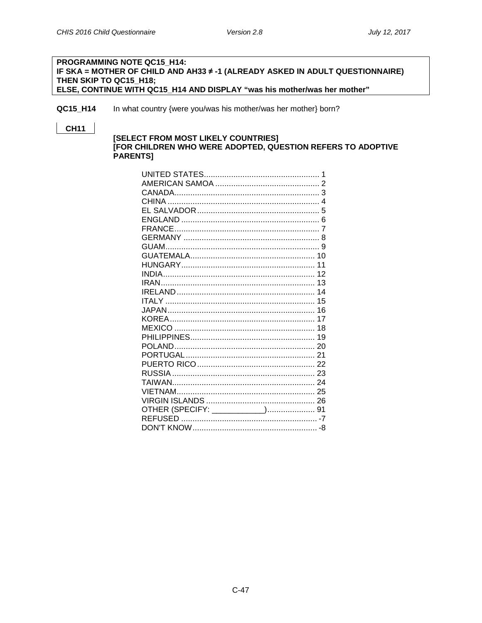#### PROGRAMMING NOTE QC15 H14: IF SKA = MOTHER OF CHILD AND AH33 ≠ -1 (ALREADY ASKED IN ADULT QUESTIONNAIRE) THEN SKIP TO QC15 H18; ELSE, CONTINUE WITH QC15\_H14 AND DISPLAY "was his mother/was her mother"

QC15 H14 In what country {were you/was his mother/was her mother} born?

### **CH11**

#### [SELECT FROM MOST LIKELY COUNTRIES] [FOR CHILDREN WHO WERE ADOPTED, QUESTION REFERS TO ADOPTIVE PARENTS]

|                                  | 1 |
|----------------------------------|---|
|                                  |   |
|                                  |   |
|                                  |   |
|                                  |   |
|                                  |   |
|                                  |   |
|                                  |   |
|                                  |   |
|                                  |   |
|                                  |   |
|                                  |   |
|                                  |   |
|                                  |   |
|                                  |   |
|                                  |   |
|                                  |   |
|                                  |   |
|                                  |   |
|                                  |   |
|                                  |   |
|                                  |   |
|                                  |   |
|                                  |   |
|                                  |   |
|                                  |   |
|                                  |   |
|                                  |   |
| OTHER (SPECIFY: ____________) 91 |   |
|                                  |   |
|                                  |   |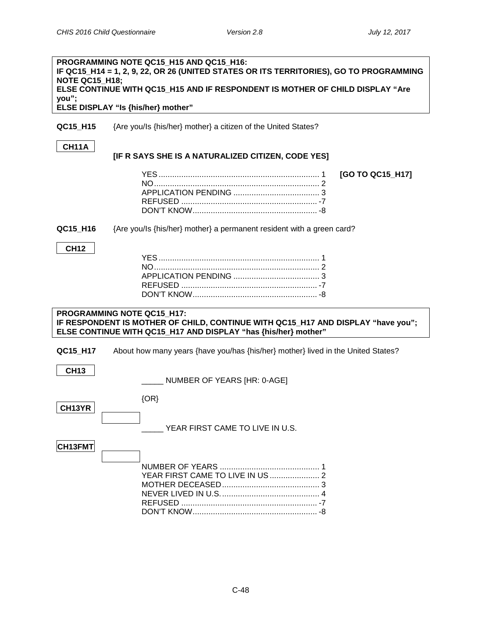| <b>NOTE QC15_H18;</b><br>you"; | PROGRAMMING NOTE QC15_H15 AND QC15_H16:<br>IF QC15_H14 = 1, 2, 9, 22, OR 26 (UNITED STATES OR ITS TERRITORIES), GO TO PROGRAMMING<br>ELSE CONTINUE WITH QC15_H15 AND IF RESPONDENT IS MOTHER OF CHILD DISPLAY "Are<br>ELSE DISPLAY "Is {his/her} mother" |
|--------------------------------|----------------------------------------------------------------------------------------------------------------------------------------------------------------------------------------------------------------------------------------------------------|
| QC15_H15                       | {Are you/Is {his/her} mother} a citizen of the United States?                                                                                                                                                                                            |
| <b>CH11A</b>                   | [IF R SAYS SHE IS A NATURALIZED CITIZEN, CODE YES]                                                                                                                                                                                                       |
|                                | [GO TO QC15_H17]                                                                                                                                                                                                                                         |
| QC15_H16                       | {Are you/Is {his/her} mother} a permanent resident with a green card?                                                                                                                                                                                    |
| <b>CH12</b>                    |                                                                                                                                                                                                                                                          |
|                                | PROGRAMMING NOTE QC15_H17:<br>IF RESPONDENT IS MOTHER OF CHILD, CONTINUE WITH QC15_H17 AND DISPLAY "have you";<br>ELSE CONTINUE WITH QC15_H17 AND DISPLAY "has {his/her} mother"                                                                         |
| QC15_H17                       | About how many years {have you/has {his/her} mother} lived in the United States?                                                                                                                                                                         |
| <b>CH13</b>                    | NUMBER OF YEARS [HR: 0-AGE]                                                                                                                                                                                                                              |
| CH13YR                         | $\{OR\}$<br>YEAR FIRST CAME TO LIVE IN U.S.                                                                                                                                                                                                              |
| CH13FMT                        | YEAR FIRST CAME TO LIVE IN US  2                                                                                                                                                                                                                         |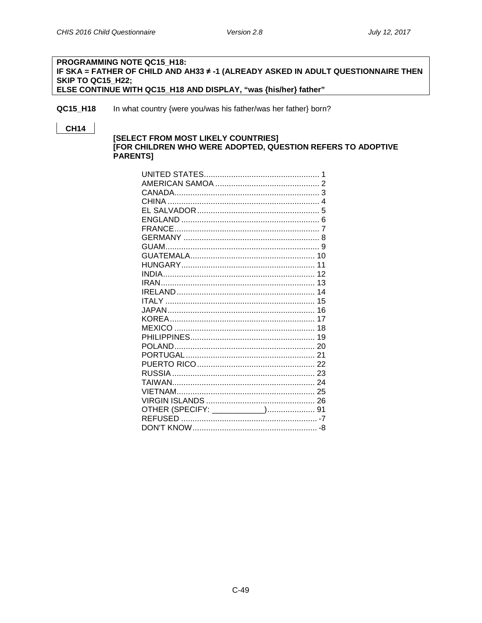#### PROGRAMMING NOTE QC15 H18: IF SKA = FATHER OF CHILD AND AH33 ≠ -1 (ALREADY ASKED IN ADULT QUESTIONNAIRE THEN SKIP TO QC15 H22; ELSE CONTINUE WITH QC15\_H18 AND DISPLAY, "was {his/her} father"

QC15\_H18 In what country {were you/was his father/was her father} born?

# **CH14**

#### [SELECT FROM MOST LIKELY COUNTRIES] [FOR CHILDREN WHO WERE ADOPTED, QUESTION REFERS TO ADOPTIVE PARENTS]

|                                  | 1 |
|----------------------------------|---|
|                                  |   |
|                                  |   |
|                                  |   |
|                                  |   |
|                                  |   |
|                                  |   |
|                                  |   |
|                                  |   |
|                                  |   |
|                                  |   |
|                                  |   |
|                                  |   |
|                                  |   |
|                                  |   |
|                                  |   |
|                                  |   |
|                                  |   |
|                                  |   |
|                                  |   |
|                                  |   |
|                                  |   |
|                                  |   |
|                                  |   |
|                                  |   |
|                                  |   |
|                                  |   |
| OTHER (SPECIFY: ____________) 91 |   |
|                                  |   |
|                                  |   |
|                                  |   |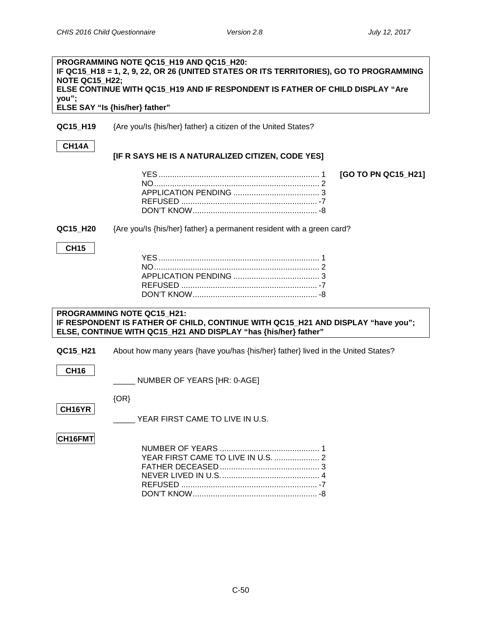| PROGRAMMING NOTE QC15_H19 AND QC15 H20:<br>IF QC15_H18 = 1, 2, 9, 22, OR 26 (UNITED STATES OR ITS TERRITORIES), GO TO PROGRAMMING<br><b>NOTE QC15 H22;</b><br>ELSE CONTINUE WITH QC15_H19 AND IF RESPONDENT IS FATHER OF CHILD DISPLAY "Are |                                                                                                                                                                                          |  |
|---------------------------------------------------------------------------------------------------------------------------------------------------------------------------------------------------------------------------------------------|------------------------------------------------------------------------------------------------------------------------------------------------------------------------------------------|--|
| you";                                                                                                                                                                                                                                       | ELSE SAY "Is {his/her} father"                                                                                                                                                           |  |
| QC15_H19                                                                                                                                                                                                                                    | {Are you/Is {his/her} father} a citizen of the United States?                                                                                                                            |  |
| <b>CH14A</b>                                                                                                                                                                                                                                | [IF R SAYS HE IS A NATURALIZED CITIZEN, CODE YES]                                                                                                                                        |  |
|                                                                                                                                                                                                                                             | [GO TO PN QC15_H21]                                                                                                                                                                      |  |
| QC15_H20                                                                                                                                                                                                                                    | {Are you/Is {his/her} father} a permanent resident with a green card?                                                                                                                    |  |
| <b>CH15</b>                                                                                                                                                                                                                                 |                                                                                                                                                                                          |  |
|                                                                                                                                                                                                                                             | <b>PROGRAMMING NOTE QC15_H21:</b><br>IF RESPONDENT IS FATHER OF CHILD, CONTINUE WITH QC15_H21 AND DISPLAY "have you";<br>ELSE, CONTINUE WITH QC15_H21 AND DISPLAY "has {his/her} father" |  |
| QC15_H21                                                                                                                                                                                                                                    | About how many years {have you/has {his/her} father} lived in the United States?                                                                                                         |  |
| <b>CH16</b>                                                                                                                                                                                                                                 | NUMBER OF YEARS [HR: 0-AGE]                                                                                                                                                              |  |
| CH16YR                                                                                                                                                                                                                                      | $\{OR\}$<br>YEAR FIRST CAME TO LIVE IN U.S.                                                                                                                                              |  |
| CH16FMT                                                                                                                                                                                                                                     | YEAR FIRST CAME TO LIVE IN U.S.  2                                                                                                                                                       |  |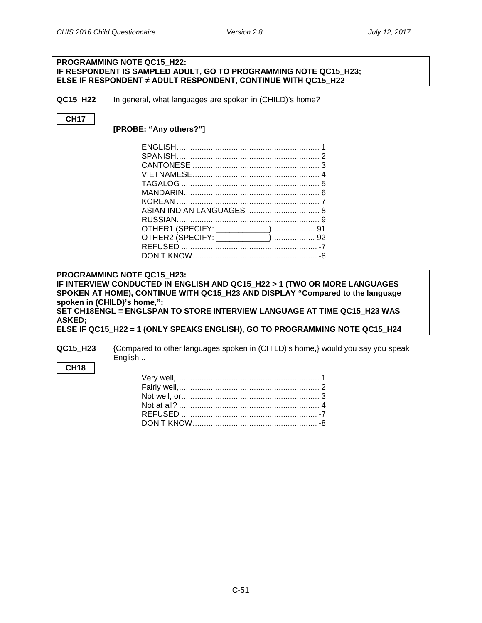#### **PROGRAMMING NOTE QC15\_H22: IF RESPONDENT IS SAMPLED ADULT, GO TO PROGRAMMING NOTE QC15\_H23; ELSE IF RESPONDENT ≠ ADULT RESPONDENT, CONTINUE WITH QC15\_H22**

**QC15\_H22** In general, what languages are spoken in (CHILD)'s home?

# **CH17**

**[PROBE: "Any others?"]**

**PROGRAMMING NOTE QC15\_H23: IF INTERVIEW CONDUCTED IN ENGLISH AND QC15\_H22 > 1 (TWO OR MORE LANGUAGES SPOKEN AT HOME), CONTINUE WITH QC15\_H23 AND DISPLAY "Compared to the language spoken in (CHILD)'s home,"; SET CH18ENGL = ENGLSPAN TO STORE INTERVIEW LANGUAGE AT TIME QC15\_H23 WAS ASKED; ELSE IF QC15\_H22 = 1 (ONLY SPEAKS ENGLISH), GO TO PROGRAMMING NOTE QC15\_H24**

**QC15\_H23** {Compared to other languages spoken in (CHILD)'s home,} would you say you speak English...

### **CH18**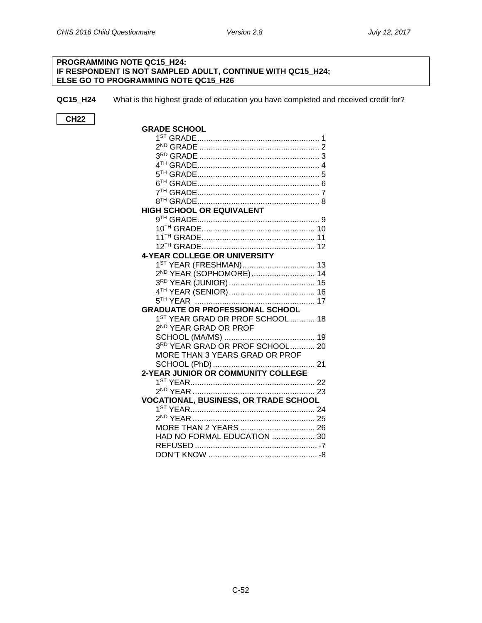#### **PROGRAMMING NOTE QC15\_H24: IF RESPONDENT IS NOT SAMPLED ADULT, CONTINUE WITH QC15\_H24; ELSE GO TO PROGRAMMING NOTE QC15\_H26**

**QC15\_H24** What is the highest grade of education you have completed and received credit for?

**CH22**

| <b>GRADE SCHOOL</b>                          |  |
|----------------------------------------------|--|
|                                              |  |
|                                              |  |
|                                              |  |
|                                              |  |
|                                              |  |
|                                              |  |
|                                              |  |
|                                              |  |
| HIGH SCHOOL OR EQUIVALENT                    |  |
|                                              |  |
|                                              |  |
|                                              |  |
|                                              |  |
| <b>4-YEAR COLLEGE OR UNIVERSITY</b>          |  |
| 1 <sup>ST</sup> YEAR (FRESHMAN) 13           |  |
| 2 <sup>ND</sup> YEAR (SOPHOMORE) 14          |  |
|                                              |  |
|                                              |  |
|                                              |  |
| <b>GRADUATE OR PROFESSIONAL SCHOOL</b>       |  |
| 1 <sup>ST</sup> YEAR GRAD OR PROF SCHOOL  18 |  |
| 2 <sup>ND</sup> YEAR GRAD OR PROF            |  |
|                                              |  |
| 3RD YEAR GRAD OR PROF SCHOOL 20              |  |
| MORE THAN 3 YEARS GRAD OR PROF               |  |
|                                              |  |
| 2-YEAR JUNIOR OR COMMUNITY COLLEGE           |  |
|                                              |  |
|                                              |  |
| <b>VOCATIONAL, BUSINESS, OR TRADE SCHOOL</b> |  |
|                                              |  |
|                                              |  |
| MORE THAN 2 YEARS  26                        |  |
| HAD NO FORMAL EDUCATION  30                  |  |
|                                              |  |
|                                              |  |
|                                              |  |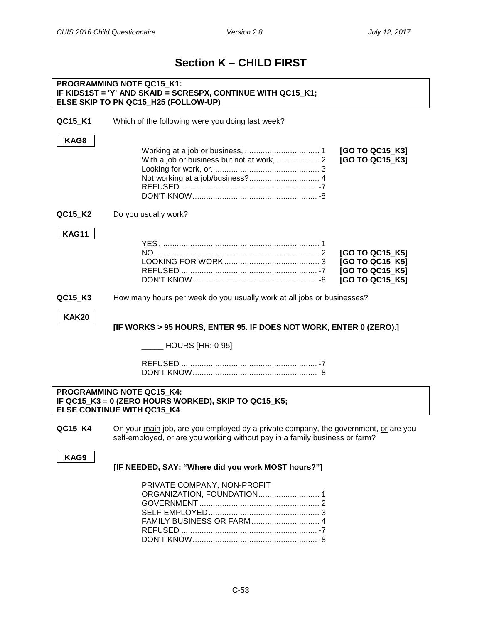# **Section K – CHILD FIRST**

#### **PROGRAMMING NOTE QC15\_K1: IF KIDS1ST = 'Y' AND SKAID = SCRESPX, CONTINUE WITH QC15\_K1; ELSE SKIP TO PN QC15\_H25 (FOLLOW-UP)**

| QC15_K1      | Which of the following were you doing last week?                                                                                                                   |
|--------------|--------------------------------------------------------------------------------------------------------------------------------------------------------------------|
| KAG8         | [GO TO QC15_K3]<br>[GO TO QC15_K3]                                                                                                                                 |
| QC15_K2      | Do you usually work?                                                                                                                                               |
| <b>KAG11</b> | [GO TO QC15_K5]<br>[GO TO QC15_K5]<br>[GO TO QC15_K5]<br>[GO TO QC15 K5]                                                                                           |
| QC15_K3      | How many hours per week do you usually work at all jobs or businesses?                                                                                             |
| <b>KAK20</b> | [IF WORKS > 95 HOURS, ENTER 95. IF DOES NOT WORK, ENTER 0 (ZERO).]<br>_ HOURS [HR: 0-95]                                                                           |
|              | <b>PROGRAMMING NOTE QC15 K4:</b><br>IF QC15_K3 = 0 (ZERO HOURS WORKED), SKIP TO QC15_K5;<br>ELSE CONTINUE WITH QC15 K4                                             |
| QC15_K4      | On your main job, are you employed by a private company, the government, or are you<br>self-employed, or are you working without pay in a family business or farm? |
| KAG9         | [IF NEEDED, SAY: "Where did you work MOST hours?"]                                                                                                                 |
|              | PRIVATE COMPANY, NON-PROFIT<br>ORGANIZATION, FOUNDATION 1<br>FAMILY BUSINESS OR FARM  4                                                                            |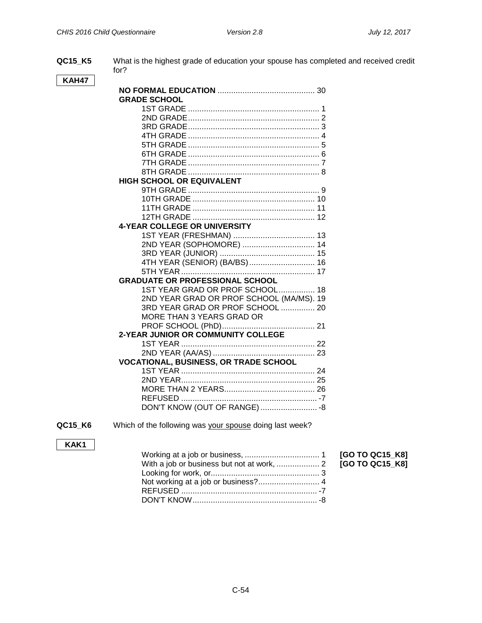$[GO TO QC15_K8]$  $[GO TO QC15_K8]$ 

**QC15\_K5** What is the highest grade of education your spouse has completed and received credit for?

# **KAH47**

| <b>GRADE SCHOOL</b>                          |
|----------------------------------------------|
| 1                                            |
|                                              |
|                                              |
|                                              |
|                                              |
|                                              |
|                                              |
|                                              |
| <b>HIGH SCHOOL OR EQUIVALENT</b>             |
|                                              |
|                                              |
|                                              |
|                                              |
| 4-YEAR COLLEGE OR UNIVERSITY                 |
|                                              |
| 2ND YEAR (SOPHOMORE)  14                     |
|                                              |
| 4TH YEAR (SENIOR) (BA/BS) 16                 |
|                                              |
| <b>GRADUATE OR PROFESSIONAL SCHOOL</b>       |
| 1ST YEAR GRAD OR PROF SCHOOL 18              |
| 2ND YEAR GRAD OR PROF SCHOOL (MA/MS). 19     |
| 3RD YEAR GRAD OR PROF SCHOOL  20             |
| MORE THAN 3 YEARS GRAD OR                    |
|                                              |
| 2-YEAR JUNIOR OR COMMUNITY COLLEGE           |
|                                              |
|                                              |
| <b>VOCATIONAL, BUSINESS, OR TRADE SCHOOL</b> |
|                                              |
|                                              |
|                                              |
|                                              |
| DON'T KNOW (OUT OF RANGE)  - 8               |

# **QC15\_K6**

Which of the following was your spouse doing last week?

# **KAK1**

### C-54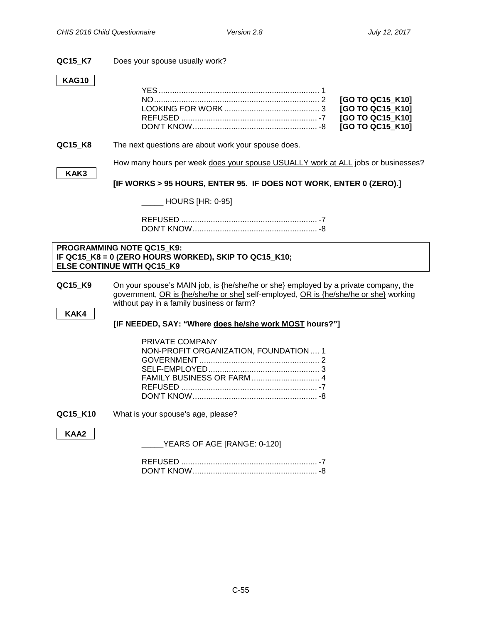#### **QC15\_K7** Does your spouse usually work?

#### **KAG10**

|         |                                                                                                                                         | [GO TO QC15 K10] |
|---------|-----------------------------------------------------------------------------------------------------------------------------------------|------------------|
|         |                                                                                                                                         | [GO TO QC15_K10] |
|         |                                                                                                                                         | [GO TO QC15 K10] |
|         |                                                                                                                                         | [GO TO QC15 K10] |
| QC15 K8 | The next questions are about work your spouse does.<br>How many hours per week does your spouse USUALLY work at ALL jobs or businesses? |                  |
| KAK3    |                                                                                                                                         |                  |

# **[IF WORKS > 95 HOURS, ENTER 95. IF DOES NOT WORK, ENTER 0 (ZERO).]**

\_\_\_\_\_ HOURS [HR: 0-95]

REFUSED ............................................................ -7 DON'T KNOW....................................................... -8

#### **PROGRAMMING NOTE QC15\_K9: IF QC15\_K8 = 0 (ZERO HOURS WORKED), SKIP TO QC15\_K10; ELSE CONTINUE WITH QC15\_K9**

**QC15\_K9** On your spouse's MAIN job, is {he/she/he or she} employed by a private company, the government, OR is {he/she/he or she] self-employed, OR is {he/she/he or she} working without pay in a family business or farm?

**KAK4**

### **[IF NEEDED, SAY: "Where does he/she work MOST hours?"]**

| PRIVATE COMPANY                        |  |
|----------------------------------------|--|
| NON-PROFIT ORGANIZATION, FOUNDATION  1 |  |
|                                        |  |
|                                        |  |
|                                        |  |
|                                        |  |
|                                        |  |
|                                        |  |

**QC15\_K10** What is your spouse's age, please?

**KAA2**

\_\_\_\_\_YEARS OF AGE [RANGE: 0-120]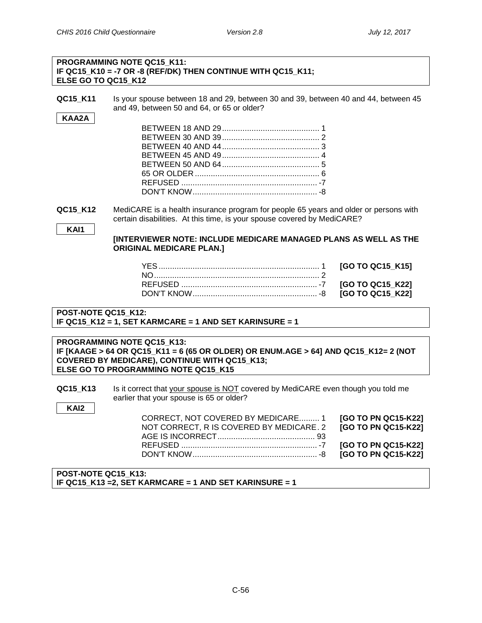# **PROGRAMMING NOTE QC15\_K11: IF QC15\_K10 = -7 OR -8 (REF/DK) THEN CONTINUE WITH QC15\_K11; ELSE GO TO QC15\_K12**

**QC15\_K11** Is your spouse between 18 and 29, between 30 and 39, between 40 and 44, between 45 and 49, between 50 and 64, or 65 or older?

**QC15\_K12** MediCARE is a health insurance program for people 65 years and older or persons with certain disabilities. At this time, is your spouse covered by MediCARE?

**KAI1**

**KAI2**

**[INTERVIEWER NOTE: INCLUDE MEDICARE MANAGED PLANS AS WELL AS THE ORIGINAL MEDICARE PLAN.]**

# **POST-NOTE QC15\_K12: IF QC15\_K12 = 1, SET KARMCARE = 1 AND SET KARINSURE = 1**

#### **PROGRAMMING NOTE QC15\_K13: IF [KAAGE > 64 OR QC15\_K11 = 6 (65 OR OLDER) OR ENUM.AGE > 64] AND QC15\_K12= 2 (NOT COVERED BY MEDICARE), CONTINUE WITH QC15\_K13; ELSE GO TO PROGRAMMING NOTE QC15\_K15**

**QC15\_K13** Is it correct that your spouse is NOT covered by MediCARE even though you told me earlier that your spouse is 65 or older?

| the contract of the contract of the contract of | CORRECT, NOT COVERED BY MEDICARE 1 [GO TO PN QC15-K22]<br>NOT CORRECT, R IS COVERED BY MEDICARE. 2 <b>[GO TO PN QC15-K22]</b> |  |
|-------------------------------------------------|-------------------------------------------------------------------------------------------------------------------------------|--|
|                                                 |                                                                                                                               |  |

#### **POST-NOTE QC15\_K13: IF QC15\_K13 =2, SET KARMCARE = 1 AND SET KARINSURE = 1**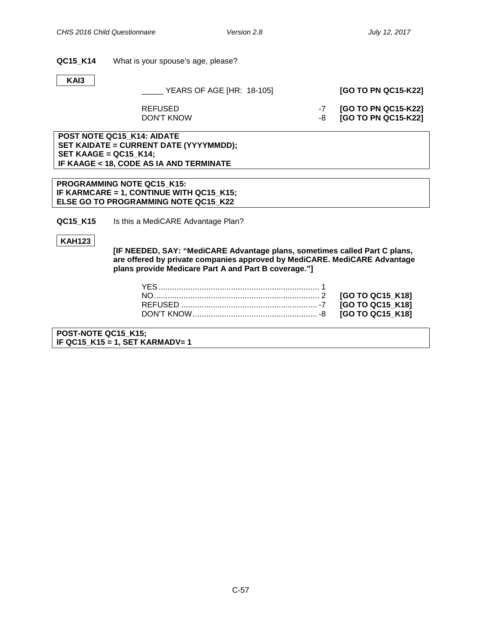#### **QC15\_K14** What is your spouse's age, please?

**KAI3**

#### \_\_\_\_\_ YEARS OF AGE [HR: 18-105] **[GO TO PN QC15-K22]**

REFUSED -7 **[GO TO PN QC15-K22]**  $\overline{G}$  **CO TO PN QC15-K22** 

**POST NOTE QC15\_K14: AIDATE SET KAIDATE = CURRENT DATE (YYYYMMDD); SET KAAGE = QC15\_K14; IF KAAGE < 18, CODE AS IA AND TERMINATE**

**PROGRAMMING NOTE QC15\_K15: IF KARMCARE = 1, CONTINUE WITH QC15\_K15; ELSE GO TO PROGRAMMING NOTE QC15\_K22**

**QC15\_K15** Is this a MediCARE Advantage Plan?

**KAH123**

**[IF NEEDED, SAY: "MediCARE Advantage plans, sometimes called Part C plans, are offered by private companies approved by MediCARE. MediCARE Advantage plans provide Medicare Part A and Part B coverage."]**

**POST-NOTE QC15\_K15; IF QC15\_K15 = 1, SET KARMADV= 1**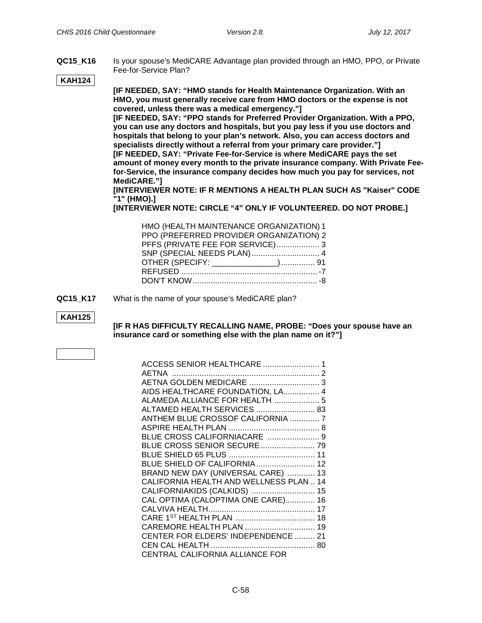**QC15\_K16** Is your spouse's MediCARE Advantage plan provided through an HMO, PPO, or Private Fee-for-Service Plan?

#### **KAH124**

**[IF NEEDED, SAY: "HMO stands for Health Maintenance Organization. With an HMO, you must generally receive care from HMO doctors or the expense is not covered, unless there was a medical emergency."]**

**[IF NEEDED, SAY: "PPO stands for Preferred Provider Organization. With a PPO, you can use any doctors and hospitals, but you pay less if you use doctors and hospitals that belong to your plan's network. Also, you can access doctors and specialists directly without a referral from your primary care provider."] [IF NEEDED, SAY: "Private Fee-for-Service is where MediCARE pays the set** 

**amount of money every month to the private insurance company. With Private Feefor-Service, the insurance company decides how much you pay for services, not MediCARE."]**

**[INTERVIEWER NOTE: IF R MENTIONS A HEALTH PLAN SUCH AS "Kaiser" CODE "1" (HMO).]**

**[INTERVIEWER NOTE: CIRCLE "4" ONLY IF VOLUNTEERED. DO NOT PROBE.]**

| HMO (HEALTH MAINTENANCE ORGANIZATION) 1 |  |
|-----------------------------------------|--|
| PPO (PREFERRED PROVIDER ORGANIZATION) 2 |  |
| PFFS (PRIVATE FEE FOR SERVICE) 3        |  |
| SNP (SPECIAL NEEDS PLAN) 4              |  |
| OTHER (SPECIFY: ______________) 91      |  |
|                                         |  |
|                                         |  |

**QC15\_K17** What is the name of your spouse's MediCARE plan?

### **KAH125**

**[IF R HAS DIFFICULTY RECALLING NAME, PROBE: "Does your spouse have an insurance card or something else with the plan name on it?"]**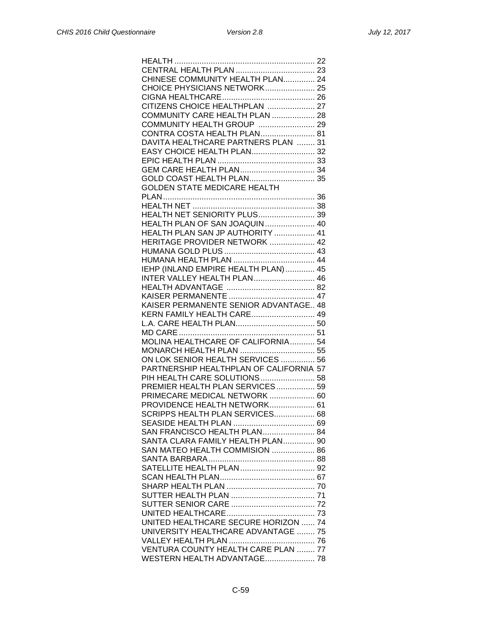| CHINESE COMMUNITY HEALTH PLAN 24        |
|-----------------------------------------|
| CHOICE PHYSICIANS NETWORK 25            |
|                                         |
| CITIZENS CHOICE HEALTHPLAN  27          |
| COMMUNITY CARE HEALTH PLAN  28          |
|                                         |
| COMMUNITY HEALTH GROUP  29              |
| CONTRA COSTA HEALTH PLAN 81             |
| DAVITA HEALTHCARE PARTNERS PLAN  31     |
| EASY CHOICE HEALTH PLAN 32              |
|                                         |
|                                         |
| GOLD COAST HEALTH PLAN 35               |
| <b>GOLDEN STATE MEDICARE HEALTH</b>     |
|                                         |
|                                         |
|                                         |
| HEALTH NET SENIORITY PLUS 39            |
| HEALTH PLAN OF SAN JOAQUIN 40           |
| HEALTH PLAN SAN JP AUTHORITY  41        |
| HERITAGE PROVIDER NETWORK  42           |
|                                         |
|                                         |
| IEHP (INLAND EMPIRE HEALTH PLAN) 45     |
| <b>INTER VALLEY HEALTH PLAN 46</b>      |
|                                         |
|                                         |
|                                         |
| KAISER PERMANENTE SENIOR ADVANTAGE., 48 |
| KERN FAMILY HEALTH CARE 49              |
|                                         |
|                                         |
| MOLINA HEALTHCARE OF CALIFORNIA 54      |
| MONARCH HEALTH PLAN  55                 |
| ON LOK SENIOR HEALTH SERVICES  56       |
| PARTNERSHIP HEALTHPLAN OF CALIFORNIA 57 |
| PIH HEALTH CARE SOLUTIONS 58            |
| PREMIER HEALTH PLAN SERVICES 59         |
| PRIMECARE MEDICAL NETWORK  60           |
| PROVIDENCE HEALTH NETWORK 61            |
|                                         |
| SCRIPPS HEALTH PLAN SERVICES 68         |
|                                         |
| SAN FRANCISCO HEALTH PLAN 84            |
| SANTA CLARA FAMILY HEALTH PLAN 90       |
| SAN MATEO HEALTH COMMISION  86          |
|                                         |
|                                         |
|                                         |
|                                         |
|                                         |
|                                         |
|                                         |
|                                         |
| UNITED HEALTHCARE SECURE HORIZON  74    |
| UNIVERSITY HEALTHCARE ADVANTAGE  75     |
|                                         |
| VENTURA COUNTY HEALTH CARE PLAN  77     |
| WESTERN HEALTH ADVANTAGE 78             |
|                                         |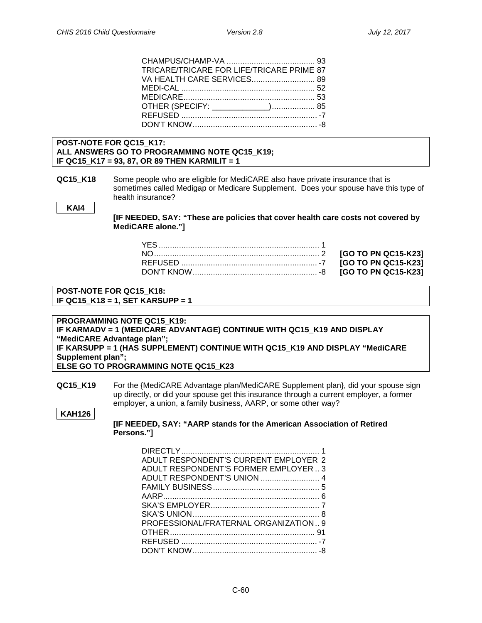| TRICARE/TRICARE FOR LIFE/TRICARE PRIME 87 |  |
|-------------------------------------------|--|
| VA HEALTH CARE SERVICES 89                |  |
|                                           |  |
|                                           |  |
| OTHER (SPECIFY: _____________) 85         |  |
|                                           |  |
|                                           |  |
|                                           |  |

#### **POST-NOTE FOR QC15\_K17: ALL ANSWERS GO TO PROGRAMMING NOTE QC15\_K19; IF QC15\_K17 = 93, 87, OR 89 THEN KARMILIT = 1**

**QC15 K18** Some people who are eligible for MediCARE also have private insurance that is sometimes called Medigap or Medicare Supplement. Does your spouse have this type of health insurance?

**KAI4**

**[IF NEEDED, SAY: "These are policies that cover health care costs not covered by MediCARE alone."]**

NO......................................................................... 2 **[GO TO PN QC15-K23]** REFUSED ............................................................ -7 **[GO TO PN QC15-K23]**  $[GO$  TO PN QC15-K23]

**POST-NOTE FOR QC15\_K18: IF QC15\_K18 = 1, SET KARSUPP = 1**

**PROGRAMMING NOTE QC15\_K19: IF KARMADV = 1 (MEDICARE ADVANTAGE) CONTINUE WITH QC15\_K19 AND DISPLAY "MediCARE Advantage plan"; IF KARSUPP = 1 (HAS SUPPLEMENT) CONTINUE WITH QC15\_K19 AND DISPLAY "MediCARE Supplement plan"; ELSE GO TO PROGRAMMING NOTE QC15\_K23**

**QC15\_K19** For the {MediCARE Advantage plan/MediCARE Supplement plan}, did your spouse sign up directly, or did your spouse get this insurance through a current employer, a former employer, a union, a family business, AARP, or some other way?

#### **KAH126**

**[IF NEEDED, SAY: "AARP stands for the American Association of Retired Persons."]**

| ADULT RESPONDENT'S CURRENT EMPLOYER 2 |
|---------------------------------------|
| ADULT RESPONDENT'S FORMER EMPLOYER3   |
| ADULT RESPONDENT'S UNION  4           |
|                                       |
|                                       |
|                                       |
|                                       |
| PROFESSIONAL/FRATERNAL ORGANIZATION 9 |
|                                       |
|                                       |
|                                       |
|                                       |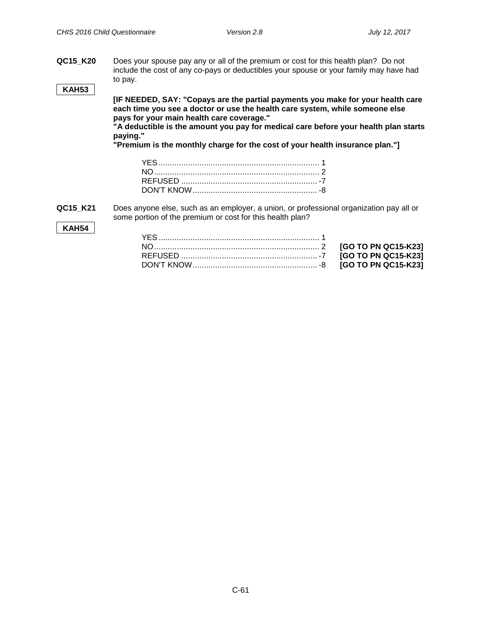**QC15\_K20** Does your spouse pay any or all of the premium or cost for this health plan? Do not include the cost of any co-pays or deductibles your spouse or your family may have had to pay.

# **KAH53**

**[IF NEEDED, SAY: "Copays are the partial payments you make for your health care each time you see a doctor or use the health care system, while someone else pays for your main health care coverage."**

**"A deductible is the amount you pay for medical care before your health plan starts paying."**

**"Premium is the monthly charge for the cost of your health insurance plan."]**

**QC15\_K21** Does anyone else, such as an employer, a union, or professional organization pay all or some portion of the premium or cost for this health plan?

#### **KAH54**

|  |  | [GO TO PN QC15-K23] |
|--|--|---------------------|
|  |  | [GO TO PN QC15-K23] |
|  |  | [GO TO PN QC15-K23] |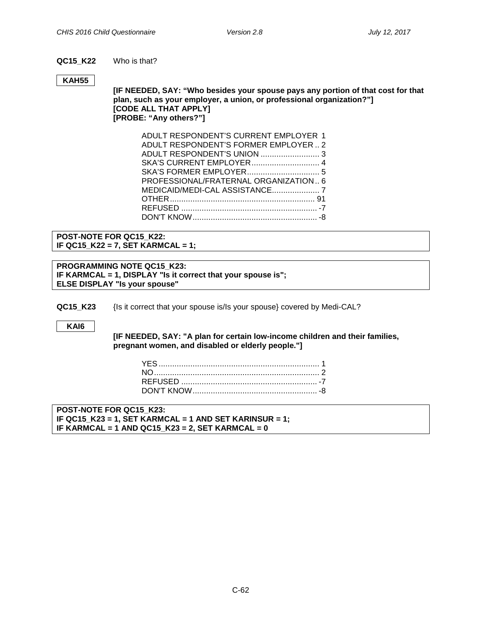#### **QC15\_K22** Who is that?

#### **KAH55**

**[IF NEEDED, SAY: "Who besides your spouse pays any portion of that cost for that plan, such as your employer, a union, or professional organization?"] [CODE ALL THAT APPLY] [PROBE: "Any others?"]**

| ADULT RESPONDENT'S CURRENT EMPLOYER 1 |
|---------------------------------------|
| ADULT RESPONDENT'S FORMER EMPLOYER  2 |
| ADULT RESPONDENT'S UNION  3           |
| SKA'S CURRENT EMPLOYER 4              |
|                                       |
| PROFESSIONAL/FRATERNAL ORGANIZATION 6 |
|                                       |
|                                       |
|                                       |
|                                       |
|                                       |

**POST-NOTE FOR QC15\_K22: IF QC15\_K22 = 7, SET KARMCAL = 1;**

**PROGRAMMING NOTE QC15\_K23: IF KARMCAL = 1, DISPLAY "Is it correct that your spouse is"; ELSE DISPLAY "Is your spouse"**

**QC15\_K23** {Is it correct that your spouse is/Is your spouse} covered by Medi-CAL?

#### **KAI6**

**Medi-Cal Coverage**

**[IF NEEDED, SAY: "A plan for certain low-income children and their families, pregnant women, and disabled or elderly people."]**

**POST-NOTE FOR QC15\_K23: IF QC15\_K23 = 1, SET KARMCAL = 1 AND SET KARINSUR = 1; IF KARMCAL = 1 AND QC15\_K23 = 2, SET KARMCAL = 0**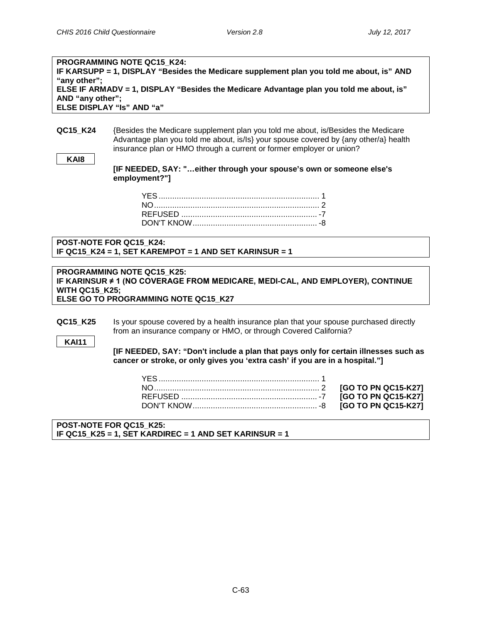NO......................................................................... 2 **[GO TO PN QC15-K27]** REFUSED ............................................................ -7 **[GO TO PN QC15-K27]**  $[GO TO PN QC15-K27]$ 

| <b>PROGRAMMING NOTE QC15 K24:</b>                                                        |
|------------------------------------------------------------------------------------------|
| IF KARSUPP = 1, DISPLAY "Besides the Medicare supplement plan you told me about, is" AND |
| "any other";                                                                             |
| ELSE IF ARMADV = 1, DISPLAY "Besides the Medicare Advantage plan you told me about, is"  |
| AND "any other";                                                                         |
| <b>ELSE DISPLAY "Is" AND "a"</b>                                                         |
|                                                                                          |

**QC15\_K24** {Besides the Medicare supplement plan you told me about, is/Besides the Medicare Advantage plan you told me about, is/Is} your spouse covered by {any other/a} health insurance plan or HMO through a current or former employer or union?

**[IF NEEDED, SAY: "…either through your spouse's own or someone else's employment?"]**

**POST-NOTE FOR QC15\_K24: IF QC15\_K24 = 1, SET KAREMPOT = 1 AND SET KARINSUR = 1**

#### **PROGRAMMING NOTE QC15\_K25: IF KARINSUR ≠ 1 (NO COVERAGE FROM MEDICARE, MEDI-CAL, AND EMPLOYER), CONTINUE WITH QC15\_K25; ELSE GO TO PROGRAMMING NOTE QC15\_K27**

**QC15 K25** Is your spouse covered by a health insurance plan that your spouse purchased directly from an insurance company or HMO, or through Covered California?

**KAI11**

**Private Coverage**

**[IF NEEDED, SAY: "Don't include a plan that pays only for certain illnesses such as cancer or stroke, or only gives you 'extra cash' if you are in a hospital."]**

**POST-NOTE FOR QC15\_K25: IF QC15\_K25 = 1, SET KARDIREC = 1 AND SET KARINSUR = 1**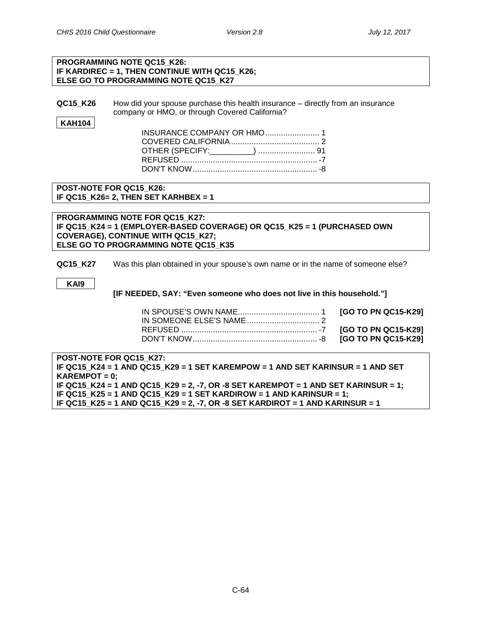#### **PROGRAMMING NOTE QC15\_K26: IF KARDIREC = 1, THEN CONTINUE WITH QC15\_K26; ELSE GO TO PROGRAMMING NOTE QC15\_K27**

**QC15\_K26** How did your spouse purchase this health insurance – directly from an insurance company or HMO, or through Covered California?

#### **KAH104**

| INSURANCE COMPANY OR HMO 1 |  |
|----------------------------|--|
|                            |  |
|                            |  |
|                            |  |
|                            |  |
|                            |  |

**POST-NOTE FOR QC15\_K26: IF QC15\_K26= 2, THEN SET KARHBEX = 1**

**PROGRAMMING NOTE FOR QC15\_K27: IF QC15\_K24 = 1 (EMPLOYER-BASED COVERAGE) OR QC15\_K25 = 1 (PURCHASED OWN COVERAGE), CONTINUE WITH QC15\_K27; ELSE GO TO PROGRAMMING NOTE QC15\_K35**

**QC15\_K27** Was this plan obtained in your spouse's own name or in the name of someone else?

**KAI9**

**[IF NEEDED, SAY: "Even someone who does not live in this household."]**

**POST-NOTE FOR QC15\_K27: IF QC15\_K24 = 1 AND QC15\_K29 = 1 SET KAREMPOW = 1 AND SET KARINSUR = 1 AND SET KAREMPOT = 0; IF QC15\_K24 = 1 AND QC15\_K29 = 2, -7, OR -8 SET KAREMPOT = 1 AND SET KARINSUR = 1; IF QC15\_K25 = 1 AND QC15\_K29 = 1 SET KARDIROW = 1 AND KARINSUR = 1; IF QC15\_K25 = 1 AND QC15\_K29 = 2, -7, OR -8 SET KARDIROT = 1 AND KARINSUR = 1**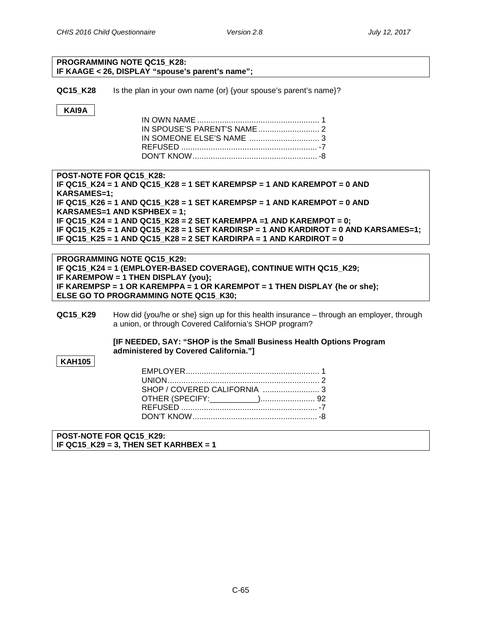#### **PROGRAMMING NOTE QC15\_K28: IF KAAGE < 26, DISPLAY "spouse's parent's name";**

**QC15\_K28** Is the plan in your own name {or} {your spouse's parent's name}?

### **KAI9A**

**POST-NOTE FOR QC15\_K28: IF QC15\_K24 = 1 AND QC15\_K28 = 1 SET KAREMPSP = 1 AND KAREMPOT = 0 AND KARSAMES=1; IF QC15\_K26 = 1 AND QC15\_K28 = 1 SET KAREMPSP = 1 AND KAREMPOT = 0 AND KARSAMES=1 AND KSPHBEX = 1; IF QC15\_K24 = 1 AND QC15\_K28 = 2 SET KAREMPPA =1 AND KAREMPOT = 0; IF QC15\_K25 = 1 AND QC15\_K28 = 1 SET KARDIRSP = 1 AND KARDIROT = 0 AND KARSAMES=1; IF QC15\_K25 = 1 AND QC15\_K28 = 2 SET KARDIRPA = 1 AND KARDIROT = 0**

**PROGRAMMING NOTE QC15\_K29: IF QC15\_K24 = 1 (EMPLOYER-BASED COVERAGE), CONTINUE WITH QC15\_K29; IF KAREMPOW = 1 THEN DISPLAY {you}; IF KAREMPSP = 1 OR KAREMPPA = 1 OR KAREMPOT = 1 THEN DISPLAY {he or she}; ELSE GO TO PROGRAMMING NOTE QC15\_K30;**

**QC15\_K29** How did {you/he or she} sign up for this health insurance – through an employer, through a union, or through Covered California's SHOP program?

#### **[IF NEEDED, SAY: "SHOP is the Small Business Health Options Program administered by Covered California."]**

#### **KAH105**

| SHOP / COVERED CALIFORNIA 3 |  |
|-----------------------------|--|
|                             |  |
|                             |  |
|                             |  |

**POST-NOTE FOR QC15\_K29: IF QC15\_K29 = 3, THEN SET KARHBEX = 1**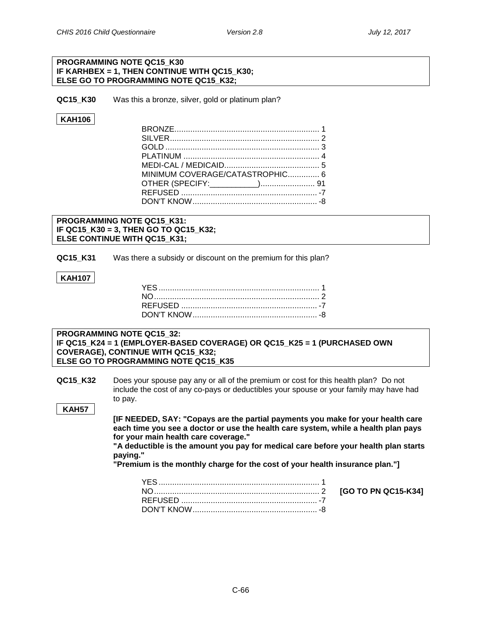$[GO TO PN QC15-K34]$ 

#### **PROGRAMMING NOTE QC15\_K30 IF KARHBEX = 1, THEN CONTINUE WITH QC15\_K30; ELSE GO TO PROGRAMMING NOTE QC15\_K32;**

**QC15 K30** Was this a bronze, silver, gold or platinum plan?

### **KAH106**

| MINIMUM COVERAGE/CATASTROPHIC 6 |  |
|---------------------------------|--|
|                                 |  |
|                                 |  |
|                                 |  |
|                                 |  |

#### **PROGRAMMING NOTE QC15\_K31: IF QC15\_K30 = 3, THEN GO TO QC15\_K32; ELSE CONTINUE WITH QC15\_K31;**

**QC15 K31** Was there a subsidy or discount on the premium for this plan?

#### **KAH107**

#### **PROGRAMMING NOTE QC15\_32: IF QC15\_K24 = 1 (EMPLOYER-BASED COVERAGE) OR QC15\_K25 = 1 (PURCHASED OWN COVERAGE), CONTINUE WITH QC15\_K32; ELSE GO TO PROGRAMMING NOTE QC15\_K35**

**QC15\_K32** Does your spouse pay any or all of the premium or cost for this health plan? Do not include the cost of any co-pays or deductibles your spouse or your family may have had to pay.

#### **KAH57**

**[IF NEEDED, SAY: "Copays are the partial payments you make for your health care each time you see a doctor or use the health care system, while a health plan pays for your main health care coverage."**

**"A deductible is the amount you pay for medical care before your health plan starts paying."**

**"Premium is the monthly charge for the cost of your health insurance plan."]**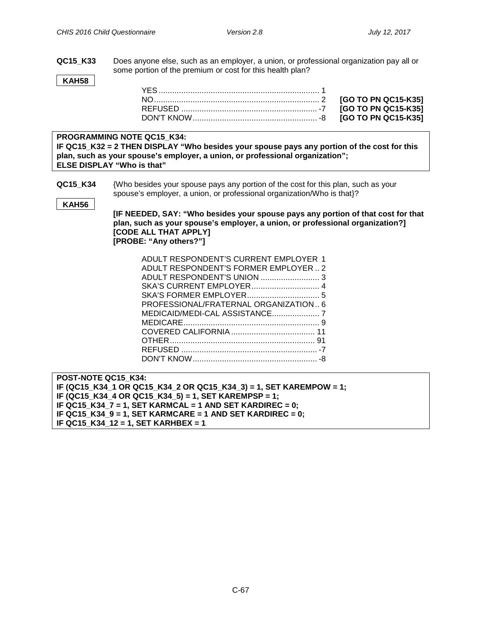**QC15\_K33** Does anyone else, such as an employer, a union, or professional organization pay all or some portion of the premium or cost for this health plan?

**KAH58**

**PROGRAMMING NOTE QC15\_K34:**

**IF QC15\_K32 = 2 THEN DISPLAY "Who besides your spouse pays any portion of the cost for this plan, such as your spouse's employer, a union, or professional organization"; ELSE DISPLAY "Who is that"**

**QC15 K34** {Who besides your spouse pays any portion of the cost for this plan, such as your spouse's employer, a union, or professional organization/Who is that}?

**KAH56**

**[IF NEEDED, SAY: "Who besides your spouse pays any portion of that cost for that plan, such as your spouse's employer, a union, or professional organization?] [CODE ALL THAT APPLY] [PROBE: "Any others?"]**

| ADULT RESPONDENT'S CURRENT EMPLOYER 1 |  |
|---------------------------------------|--|
| ADULT RESPONDENT'S FORMER EMPLOYER2   |  |
|                                       |  |
|                                       |  |
|                                       |  |
| PROFESSIONAL/FRATERNAL ORGANIZATION6  |  |
|                                       |  |
|                                       |  |
|                                       |  |
|                                       |  |
|                                       |  |
|                                       |  |
|                                       |  |

**POST-NOTE QC15\_K34: IF (QC15\_K34\_1 OR QC15\_K34\_2 OR QC15\_K34\_3) = 1, SET KAREMPOW = 1; IF (QC15\_K34\_4 OR QC15\_K34\_5) = 1, SET KAREMPSP = 1; IF QC15\_K34\_7 = 1, SET KARMCAL = 1 AND SET KARDIREC = 0; IF QC15\_K34\_9 = 1, SET KARMCARE = 1 AND SET KARDIREC = 0; IF QC15\_K34\_12 = 1, SET KARHBEX = 1**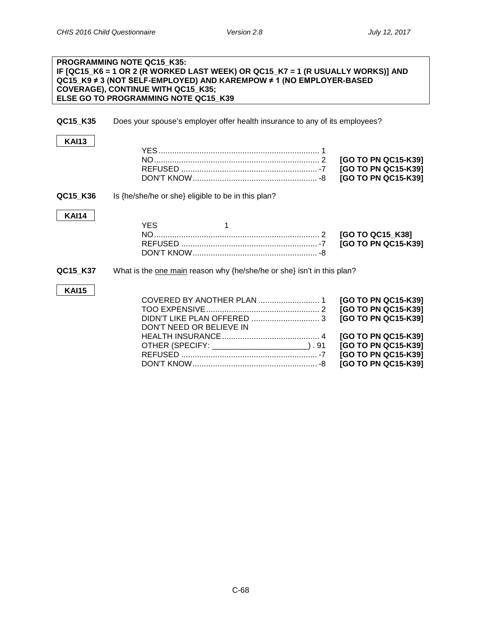$\blacksquare$ 

#### **PROGRAMMING NOTE QC15\_K35: IF [QC15\_K6 = 1 OR 2 (R WORKED LAST WEEK) OR QC15\_K7 = 1 (R USUALLY WORKS)] AND QC15\_K9 ≠ 3 (NOT SELF-EMPLOYED) AND KAREMPOW ≠ 1 (NO EMPLOYER-BASED COVERAGE), CONTINUE WITH QC15\_K35; ELSE GO TO PROGRAMMING NOTE QC15\_K39**

**QC15\_K35** Does your spouse's employer offer health insurance to any of its employees?

| <b>KAI13</b> |                                                                         | [GO TO PN QC15-K39]<br>[GO TO PN QC15-K39]<br>[GO TO PN QC15-K39]                                                                                             |
|--------------|-------------------------------------------------------------------------|---------------------------------------------------------------------------------------------------------------------------------------------------------------|
| QC15_K36     | Is {he/she/he or she} eligible to be in this plan?                      |                                                                                                                                                               |
| <b>KAI14</b> | <b>YES</b>                                                              | [GO TO QC15_K38]<br>[GO TO PN QC15-K39]                                                                                                                       |
| QC15 K37     | What is the one main reason why {he/she/he or she} isn't in this plan?  |                                                                                                                                                               |
| <b>KAI15</b> | DON'T NEED OR BELIEVE IN<br>OTHER (SPECIFY: _______________________).91 | [GO TO PN QC15-K39]<br>[GO TO PN QC15-K39]<br>[GO TO PN QC15-K39]<br>[GO TO PN QC15-K39]<br>[GO TO PN QC15-K39]<br>[GO TO PN QC15-K39]<br>[GO TO PN QC15-K39] |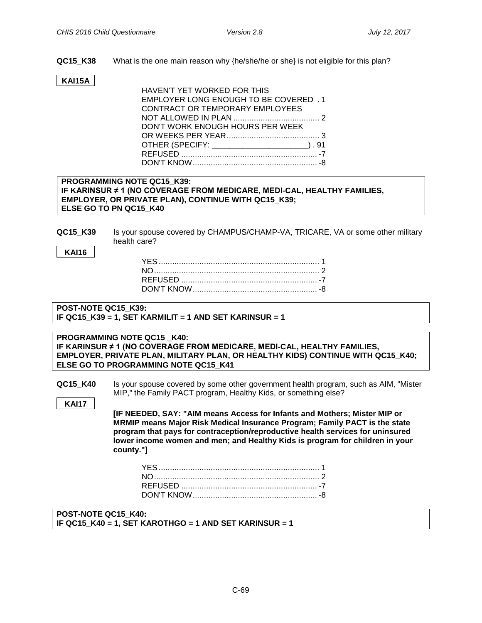**QC15\_K38** What is the one main reason why {he/she/he or she} is not eligible for this plan?

# **KAI15A**

| HAVEN'T YET WORKED FOR THIS                   |
|-----------------------------------------------|
| EMPLOYER LONG ENOUGH TO BE COVERED . 1        |
| CONTRACT OR TEMPORARY EMPLOYEES               |
|                                               |
| DON'T WORK ENOUGH HOURS PER WEEK              |
|                                               |
| OTHER (SPECIFY: _________________________).91 |
|                                               |
|                                               |

#### **CHAMPUS/CHAMP-VA, TRICARE, VA Coverage PROGRAMMING NOTE QC15\_K39: IF KARINSUR ≠ 1 (NO COVERAGE FROM MEDICARE, MEDI-CAL, HEALTHY FAMILIES, EMPLOYER, OR PRIVATE PLAN), CONTINUE WITH QC15\_K39; ELSE GO TO PN QC15\_K40**

**QC15 K39** Is your spouse covered by CHAMPUS/CHAMP-VA, TRICARE, VA or some other military health care?

**KAI16**

# **POST-NOTE QC15\_K39: IF QC15\_K39 = 1, SET KARMILIT = 1 AND SET KARINSUR = 1**

#### **PROGRAMMING NOTE QC15 \_K40: IF KARINSUR ≠ 1 (NO COVERAGE FROM MEDICARE, MEDI-CAL, HEALTHY FAMILIES, EMPLOYER, PRIVATE PLAN, MILITARY PLAN, OR HEALTHY KIDS) CONTINUE WITH QC15\_K40; ELSE GO TO PROGRAMMING NOTE QC15\_K41**

**QC15\_K40** Is your spouse covered by some other government health program, such as AIM, "Mister MIP," the Family PACT program, Healthy Kids, or something else?

**KAI17**

**[IF NEEDED, SAY: "AIM means Access for Infants and Mothers; Mister MIP or MRMIP means Major Risk Medical Insurance Program; Family PACT is the state program that pays for contraception/reproductive health services for uninsured lower income women and men; and Healthy Kids is program for children in your county."]**

### **POST-NOTE QC15\_K40: IF QC15\_K40 = 1, SET KAROTHGO = 1 AND SET KARINSUR = 1**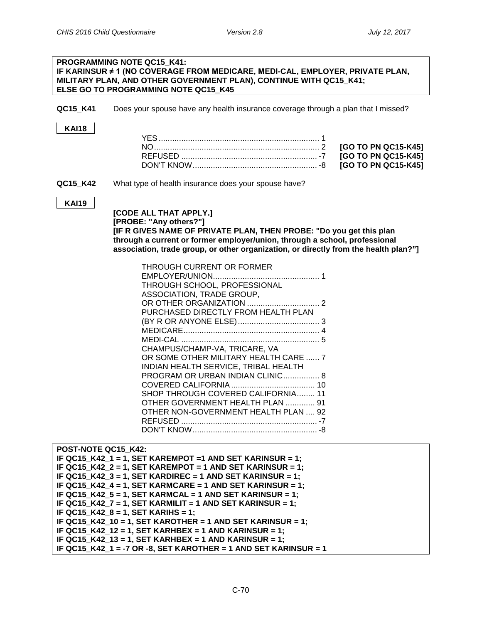# **PROGRAMMING NOTE QC15\_K41: IF KARINSUR ≠ 1 (NO COVERAGE FROM MEDICARE, MEDI-CAL, EMPLOYER, PRIVATE PLAN, MILITARY PLAN, AND OTHER GOVERNMENT PLAN), CONTINUE WITH QC15\_K41; ELSE GO TO PROGRAMMING NOTE QC15\_K45**

**QC15\_K41** Does your spouse have any health insurance coverage through a plan that I missed?

#### **KAI18**

**QC15\_K42** What type of health insurance does your spouse have?

#### **KAI19**

**[CODE ALL THAT APPLY.] [PROBE: "Any others?"] [IF R GIVES NAME OF PRIVATE PLAN, THEN PROBE: "Do you get this plan through a current or former employer/union, through a school, professional association, trade group, or other organization, or directly from the health plan?"]**

| THROUGH CURRENT OR FORMER<br>THROUGH SCHOOL, PROFESSIONAL |   |
|-----------------------------------------------------------|---|
| ASSOCIATION, TRADE GROUP,                                 |   |
|                                                           |   |
| PURCHASED DIRECTLY FROM HEALTH PLAN                       |   |
|                                                           |   |
|                                                           |   |
|                                                           | 5 |
| CHAMPUS/CHAMP-VA, TRICARE, VA                             |   |
| OR SOME OTHER MILITARY HEALTH CARE  7                     |   |
| INDIAN HEALTH SERVICE, TRIBAL HEALTH                      |   |
| PROGRAM OR URBAN INDIAN CLINIC 8                          |   |
|                                                           |   |
| SHOP THROUGH COVERED CALIFORNIA 11                        |   |
| OTHER GOVERNMENT HEALTH PLAN  91                          |   |
| OTHER NON-GOVERNMENT HEALTH PLAN  92                      |   |
|                                                           |   |
|                                                           |   |
|                                                           |   |

| POST-NOTE QC15 K42:                                             |
|-----------------------------------------------------------------|
| IF QC15 K42 1 = 1, SET KAREMPOT = 1 AND SET KARINSUR = 1;       |
| IF QC15_K42_2 = 1, SET KAREMPOT = 1 AND SET KARINSUR = 1;       |
| IF QC15_K42_3 = 1, SET KARDIREC = 1 AND SET KARINSUR = 1;       |
| IF QC15_K42_4 = 1, SET KARMCARE = 1 AND SET KARINSUR = 1;       |
| IF QC15_K42_5 = 1, SET KARMCAL = 1 AND SET KARINSUR = 1;        |
| IF QC15_K42_7 = 1, SET KARMILIT = 1 AND SET KARINSUR = 1;       |
| IF QC15 $K42_8 = 1$ , SET KARIHS = 1;                           |
| IF QC15 K42 10 = 1, SET KAROTHER = 1 AND SET KARINSUR = 1;      |
| IF QC15_K42_12 = 1, SET KARHBEX = 1 AND KARINSUR = 1;           |
| IF QC15 K42 13 = 1, SET KARHBEX = 1 AND KARINSUR = 1;           |
| IF QC15 K42 1 = -7 OR -8, SET KAROTHER = 1 AND SET KARINSUR = 1 |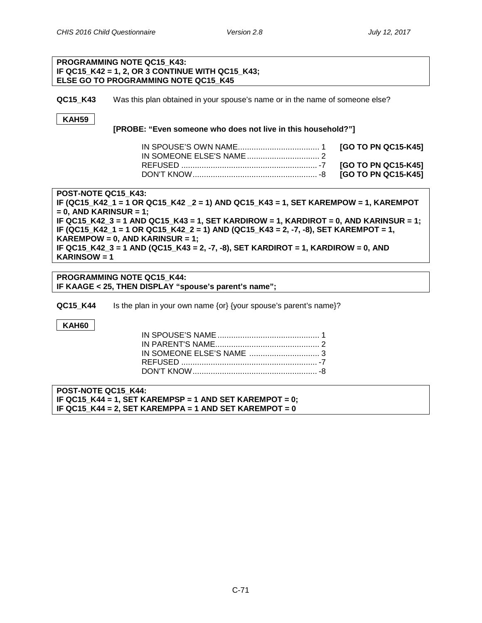#### **PROGRAMMING NOTE QC15\_K43: IF QC15\_K42 = 1, 2, OR 3 CONTINUE WITH QC15\_K43; ELSE GO TO PROGRAMMING NOTE QC15\_K45**

**QC15 K43** Was this plan obtained in your spouse's name or in the name of someone else?

# **KAH59**

#### **[PROBE: "Even someone who does not live in this household?"]**

**POST-NOTE QC15\_K43:**

**IF (QC15\_K42\_1 = 1 OR QC15\_K42 \_2 = 1) AND QC15\_K43 = 1, SET KAREMPOW = 1, KAREMPOT = 0, AND KARINSUR = 1; IF QC15\_K42\_3 = 1 AND QC15\_K43 = 1, SET KARDIROW = 1, KARDIROT = 0, AND KARINSUR = 1; IF (QC15\_K42\_1 = 1 OR QC15\_K42\_2 = 1) AND (QC15\_K43 = 2, -7, -8), SET KAREMPOT = 1, KAREMPOW = 0, AND KARINSUR = 1; IF QC15\_K42\_3 = 1 AND (QC15\_K43 = 2, -7, -8), SET KARDIROT = 1, KARDIROW = 0, AND KARINSOW = 1**

**PROGRAMMING NOTE QC15\_K44: IF KAAGE < 25, THEN DISPLAY "spouse's parent's name";**

**QC15\_K44** Is the plan in your own name {or} {your spouse's parent's name}?

### **KAH60**

**POST-NOTE QC15\_K44: IF QC15\_K44 = 1, SET KAREMPSP = 1 AND SET KAREMPOT = 0; IF QC15\_K44 = 2, SET KAREMPPA = 1 AND SET KAREMPOT = 0**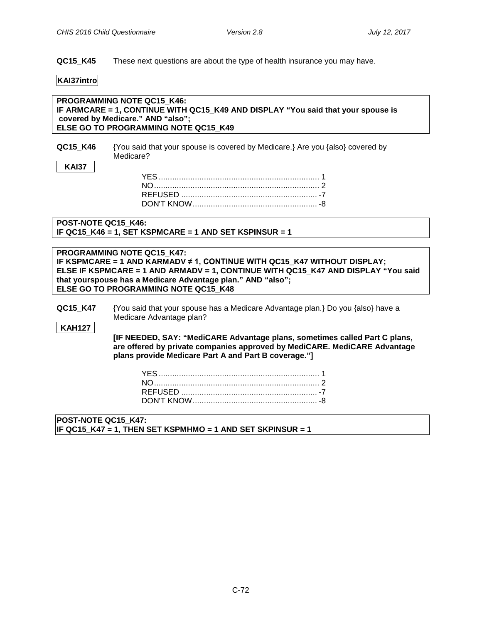**QC15\_K45** These next questions are about the type of health insurance you may have.

#### **KAI37intro**

**KAI37**

**PROGRAMMING NOTE QC15\_K46: IF ARMCARE = 1, CONTINUE WITH QC15\_K49 AND DISPLAY "You said that your spouse is covered by Medicare." AND "also"; ELSE GO TO PROGRAMMING NOTE QC15\_K49**

| QC15 K46 | {You said that your spouse is covered by Medicare.} Are you {also} covered by |
|----------|-------------------------------------------------------------------------------|
|          | Medicare?                                                                     |

#### **POST-NOTE QC15\_K46: IF QC15\_K46 = 1, SET KSPMCARE = 1 AND SET KSPINSUR = 1**

**PROGRAMMING NOTE QC15\_K47: IF KSPMCARE = 1 AND KARMADV ≠ 1, CONTINUE WITH QC15\_K47 WITHOUT DISPLAY; ELSE IF KSPMCARE = 1 AND ARMADV = 1, CONTINUE WITH QC15\_K47 AND DISPLAY "You said that yourspouse has a Medicare Advantage plan." AND "also"; ELSE GO TO PROGRAMMING NOTE QC15\_K48**

**QC15\_K47** {You said that your spouse has a Medicare Advantage plan.} Do you {also} have a Medicare Advantage plan?

#### **KAH127**

**[IF NEEDED, SAY: "MediCARE Advantage plans, sometimes called Part C plans, are offered by private companies approved by MediCARE. MediCARE Advantage plans provide Medicare Part A and Part B coverage."]**

```
POST-NOTE QC15_K47:
IF QC15_K47 = 1, THEN SET KSPMHMO = 1 AND SET SKPINSUR = 1
```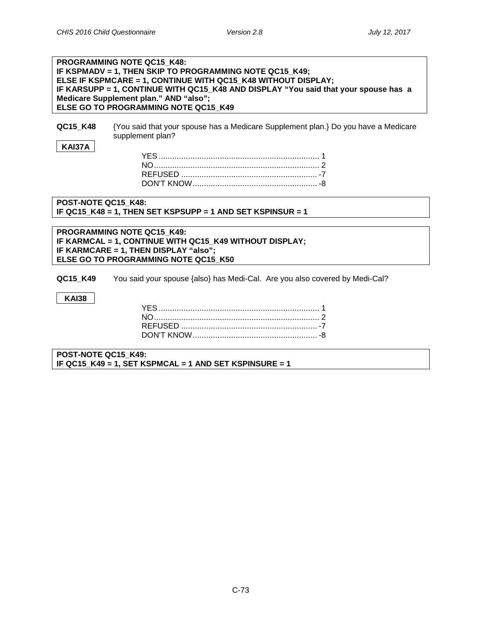# **PROGRAMMING NOTE QC15\_K48: IF KSPMADV = 1, THEN SKIP TO PROGRAMMING NOTE QC15\_K49; ELSE IF KSPMCARE = 1, CONTINUE WITH QC15\_K48 WITHOUT DISPLAY; IF KARSUPP = 1, CONTINUE WITH QC15\_K48 AND DISPLAY "You said that your spouse has a Medicare Supplement plan." AND "also"; ELSE GO TO PROGRAMMING NOTE QC15\_K49 QC15\_K48** {You said that your spouse has a Medicare Supplement plan.} Do you have a Medicare supplement plan? **KAI37A** YES....................................................................... 1 NO......................................................................... 2 REFUSED ............................................................ -7 DON'T KNOW....................................................... -8 **POST-NOTE QC15\_K48: IF QC15\_K48 = 1, THEN SET KSPSUPP = 1 AND SET KSPINSUR = 1 PROGRAMMING NOTE QC15\_K49: IF KARMCAL = 1, CONTINUE WITH QC15\_K49 WITHOUT DISPLAY; IF KARMCARE = 1, THEN DISPLAY "also"; ELSE GO TO PROGRAMMING NOTE QC15\_K50 QC15 K49** You said your spouse {also} has Medi-Cal. Are you also covered by Medi-Cal? **KAI38** YES....................................................................... 1 NO......................................................................... 2 REFUSED ............................................................ -7 DON'T KNOW....................................................... -8

**POST-NOTE QC15\_K49: IF QC15\_K49 = 1, SET KSPMCAL = 1 AND SET KSPINSURE = 1**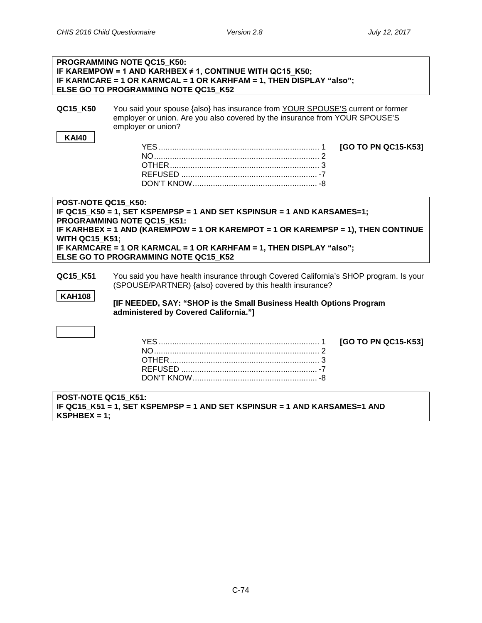|                                                                                                                                                                                                                                                                                                                                                         | PROGRAMMING NOTE QC15 K50:<br>IF KAREMPOW = 1 AND KARHBEX $\neq$ 1, CONTINUE WITH QC15_K50;<br>IF KARMCARE = 1 OR KARMCAL = 1 OR KARHFAM = 1, THEN DISPLAY "also";<br>ELSE GO TO PROGRAMMING NOTE QC15 K52                                                         |  |
|---------------------------------------------------------------------------------------------------------------------------------------------------------------------------------------------------------------------------------------------------------------------------------------------------------------------------------------------------------|--------------------------------------------------------------------------------------------------------------------------------------------------------------------------------------------------------------------------------------------------------------------|--|
| QC15_K50                                                                                                                                                                                                                                                                                                                                                | You said your spouse {also} has insurance from YOUR SPOUSE'S current or former<br>employer or union. Are you also covered by the insurance from YOUR SPOUSE'S<br>employer or union?                                                                                |  |
| <b>KAI40</b>                                                                                                                                                                                                                                                                                                                                            | [GO TO PN QC15-K53]                                                                                                                                                                                                                                                |  |
| POST-NOTE QC15 K50:<br>IF QC15_K50 = 1, SET KSPEMPSP = 1 AND SET KSPINSUR = 1 AND KARSAMES=1;<br>PROGRAMMING NOTE QC15 K51:<br>IF KARHBEX = 1 AND (KAREMPOW = 1 OR KAREMPOT = 1 OR KAREMPSP = 1), THEN CONTINUE<br><b>WITH QC15 K51;</b><br>IF KARMCARE = 1 OR KARMCAL = 1 OR KARHFAM = 1, THEN DISPLAY "also";<br>ELSE GO TO PROGRAMMING NOTE QC15 K52 |                                                                                                                                                                                                                                                                    |  |
| QC15_K51<br><b>KAH108</b>                                                                                                                                                                                                                                                                                                                               | You said you have health insurance through Covered California's SHOP program. Is your<br>(SPOUSE/PARTNER) {also} covered by this health insurance?<br>[IF NEEDED, SAY: "SHOP is the Small Business Health Options Program<br>administered by Covered California."] |  |
|                                                                                                                                                                                                                                                                                                                                                         | [GO TO PN QC15-K53]                                                                                                                                                                                                                                                |  |
| POST-NOTE QC15 K51:<br>$KSPHBEX = 1$ :                                                                                                                                                                                                                                                                                                                  | IF QC15 K51 = 1, SET KSPEMPSP = 1 AND SET KSPINSUR = 1 AND KARSAMES=1 AND                                                                                                                                                                                          |  |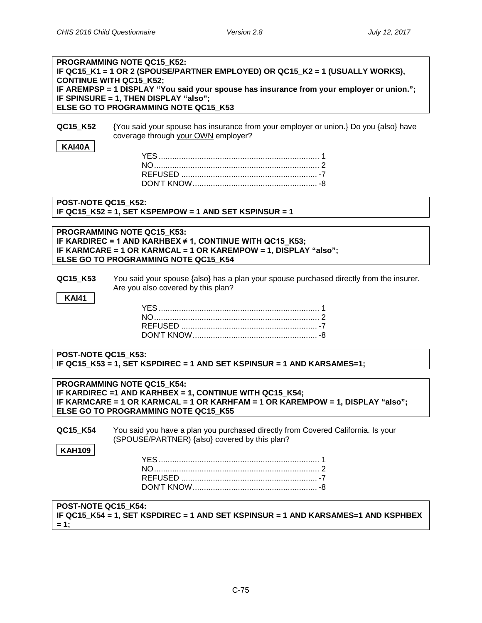| PROGRAMMING NOTE QC15 K52:<br>IF QC15_K1 = 1 OR 2 (SPOUSE/PARTNER EMPLOYED) OR QC15_K2 = 1 (USUALLY WORKS),<br><b>CONTINUE WITH QC15_K52;</b><br>IF AREMPSP = 1 DISPLAY "You said your spouse has insurance from your employer or union.";<br>IF SPINSURE = 1, THEN DISPLAY "also"; |
|-------------------------------------------------------------------------------------------------------------------------------------------------------------------------------------------------------------------------------------------------------------------------------------|
| ELSE GO TO PROGRAMMING NOTE QC15 K53<br>{You said your spouse has insurance from your employer or union.} Do you {also} have<br>QC15_K52<br>coverage through your OWN employer?<br><b>KAI40A</b>                                                                                    |
|                                                                                                                                                                                                                                                                                     |
| POST-NOTE QC15 K52:<br>IF QC15 $K52 = 1$ , SET KSPEMPOW = 1 AND SET KSPINSUR = 1                                                                                                                                                                                                    |
| PROGRAMMING NOTE QC15_K53:<br>IF KARDIREC = 1 AND KARHBEX $\neq$ 1, CONTINUE WITH QC15_K53;<br>IF KARMCARE = 1 OR KARMCAL = 1 OR KAREMPOW = 1, DISPLAY "also";<br>ELSE GO TO PROGRAMMING NOTE QC15_K54                                                                              |
| You said your spouse {also} has a plan your spouse purchased directly from the insurer.<br>QC15_K53<br>Are you also covered by this plan?<br><b>KAI41</b>                                                                                                                           |
|                                                                                                                                                                                                                                                                                     |
| POST-NOTE QC15 K53:<br>IF QC15_K53 = 1, SET KSPDIREC = 1 AND SET KSPINSUR = 1 AND KARSAMES=1;                                                                                                                                                                                       |
| PROGRAMMING NOTE QC15_K54:<br>IF KARDIREC = 1 AND KARHBEX = 1, CONTINUE WITH QC15_K54;<br>IF KARMCARE = 1 OR KARMCAL = 1 OR KARHFAM = 1 OR KAREMPOW = 1, DISPLAY "also";<br>ELSE GO TO PROGRAMMING NOTE QC15_K55                                                                    |
| You said you have a plan you purchased directly from Covered California. Is your<br>QC15_K54<br>(SPOUSE/PARTNER) {also} covered by this plan?                                                                                                                                       |
| <b>KAH109</b>                                                                                                                                                                                                                                                                       |
| POST-NOTE QC15_K54:<br>IF QC15_K54 = 1, SET KSPDIREC = 1 AND SET KSPINSUR = 1 AND KARSAMES=1 AND KSPHBEX<br>$= 1;$                                                                                                                                                                  |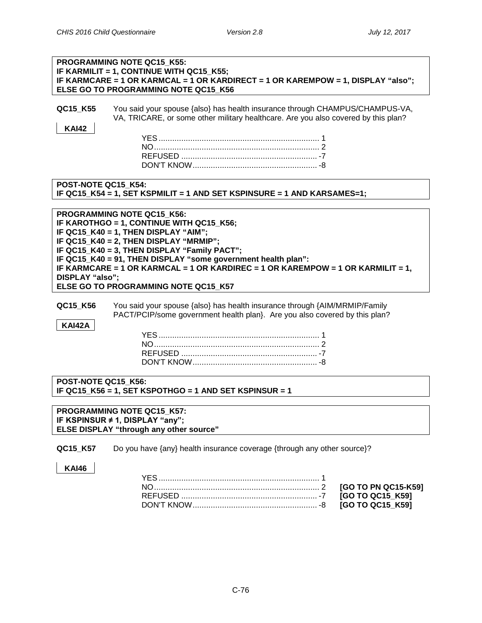|                           | PROGRAMMING NOTE QC15_K55:<br>IF KARMILIT = 1, CONTINUE WITH QC15 K55;<br>IF KARMCARE = 1 OR KARMCAL = 1 OR KARDIRECT = 1 OR KAREMPOW = 1, DISPLAY "also";<br>ELSE GO TO PROGRAMMING NOTE QC15 K56                                                                                                                                                                                                   |
|---------------------------|------------------------------------------------------------------------------------------------------------------------------------------------------------------------------------------------------------------------------------------------------------------------------------------------------------------------------------------------------------------------------------------------------|
| QC15_K55<br><b>KAI42</b>  | You said your spouse {also} has health insurance through CHAMPUS/CHAMPUS-VA,<br>VA, TRICARE, or some other military healthcare. Are you also covered by this plan?                                                                                                                                                                                                                                   |
| POST-NOTE QC15 K54:       | IF QC15_K54 = 1, SET KSPMILIT = 1 AND SET KSPINSURE = 1 AND KARSAMES=1;                                                                                                                                                                                                                                                                                                                              |
| DISPLAY "also";           | PROGRAMMING NOTE QC15_K56:<br>IF KAROTHGO = 1, CONTINUE WITH QC15 K56;<br>IF QC15 K40 = 1, THEN DISPLAY "AIM";<br>IF QC15_K40 = 2, THEN DISPLAY "MRMIP";<br>IF QC15 K40 = 3, THEN DISPLAY "Family PACT";<br>IF QC15_K40 = 91, THEN DISPLAY "some government health plan":<br>IF KARMCARE = 1 OR KARMCAL = 1 OR KARDIREC = 1 OR KAREMPOW = 1 OR KARMILIT = 1,<br>ELSE GO TO PROGRAMMING NOTE QC15_K57 |
| QC15_K56<br><b>KAI42A</b> | You said your spouse {also} has health insurance through {AIM/MRMIP/Family<br>PACT/PCIP/some government health plan}. Are you also covered by this plan?                                                                                                                                                                                                                                             |
|                           |                                                                                                                                                                                                                                                                                                                                                                                                      |
| POST-NOTE QC15 K56:       | IF QC15_K56 = 1, SET KSPOTHGO = 1 AND SET KSPINSUR = 1                                                                                                                                                                                                                                                                                                                                               |
|                           | PROGRAMMING NOTE QC15_K57:<br>IF KSPINSUR # 1, DISPLAY "any";<br><b>ELSE DISPLAY "through any other source"</b>                                                                                                                                                                                                                                                                                      |
| QC15_K57                  | Do you have {any} health insurance coverage {through any other source}?                                                                                                                                                                                                                                                                                                                              |
| <b>KAI46</b>              | [GO TO PN QC15-K59]<br>[GO TO QC15_K59]<br>[GO TO QC15_K59]                                                                                                                                                                                                                                                                                                                                          |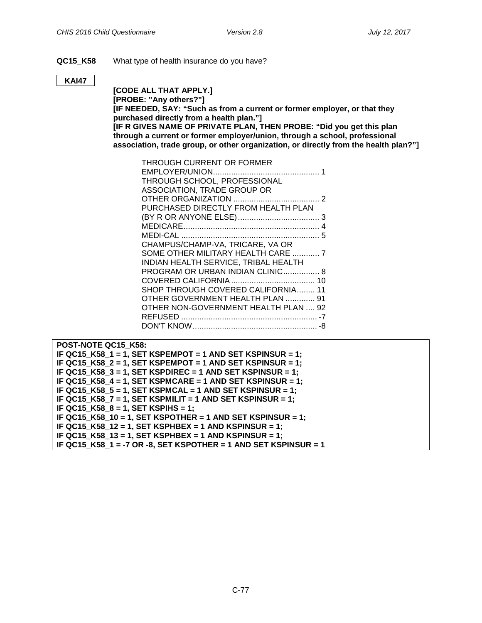### **QC15\_K58** What type of health insurance do you have?

#### **KAI47**

**[CODE ALL THAT APPLY.] [PROBE: "Any others?"] [IF NEEDED, SAY: "Such as from a current or former employer, or that they purchased directly from a health plan."] [IF R GIVES NAME OF PRIVATE PLAN, THEN PROBE: "Did you get this plan through a current or former employer/union, through a school, professional association, trade group, or other organization, or directly from the health plan?"]**

| THROUGH CURRENT OR FORMER            |  |
|--------------------------------------|--|
|                                      |  |
| THROUGH SCHOOL, PROFESSIONAL         |  |
| ASSOCIATION, TRADE GROUP OR          |  |
|                                      |  |
| PURCHASED DIRECTLY FROM HEALTH PLAN  |  |
|                                      |  |
|                                      |  |
|                                      |  |
| CHAMPUS/CHAMP-VA, TRICARE, VA OR     |  |
| SOME OTHER MILITARY HEALTH CARE  7   |  |
| INDIAN HEALTH SERVICE, TRIBAL HEALTH |  |
| PROGRAM OR URBAN INDIAN CLINIC 8     |  |
|                                      |  |
| SHOP THROUGH COVERED CALIFORNIA 11   |  |
| OTHER GOVERNMENT HEALTH PLAN  91     |  |
| OTHER NON-GOVERNMENT HEALTH PLAN  92 |  |
|                                      |  |
|                                      |  |
|                                      |  |

| POST-NOTE QC15 K58:                                             |
|-----------------------------------------------------------------|
| IF QC15 K58 $1 = 1$ , SET KSPEMPOT = 1 AND SET KSPINSUR = 1;    |
| IF QC15_K58_2 = 1, SET KSPEMPOT = 1 AND SET KSPINSUR = 1;       |
| IF QC15 K58 $3 = 1$ , SET KSPDIREC = 1 AND SET KSPINSUR = 1;    |
| IF QC15 K58 $4 = 1$ , SET KSPMCARE = 1 AND SET KSPINSUR = 1;    |
| IF QC15_K58_5 = 1, SET KSPMCAL = 1 AND SET KSPINSUR = 1;        |
| IF QC15 K58 $7 = 1$ , SET KSPMILIT = 1 AND SET KSPINSUR = 1;    |
| IF QC15 K58 $8 = 1$ , SET KSPIHS = 1;                           |
| IF QC15_K58_10 = 1, SET KSPOTHER = 1 AND SET KSPINSUR = 1;      |
| IF QC15 K58 12 = 1, SET KSPHBEX = 1 AND KSPINSUR = 1;           |
| IF QC15 K58 13 = 1, SET KSPHBEX = 1 AND KSPINSUR = 1;           |
| IF QC15 K58 1 = -7 OR -8, SET KSPOTHER = 1 AND SET KSPINSUR = 1 |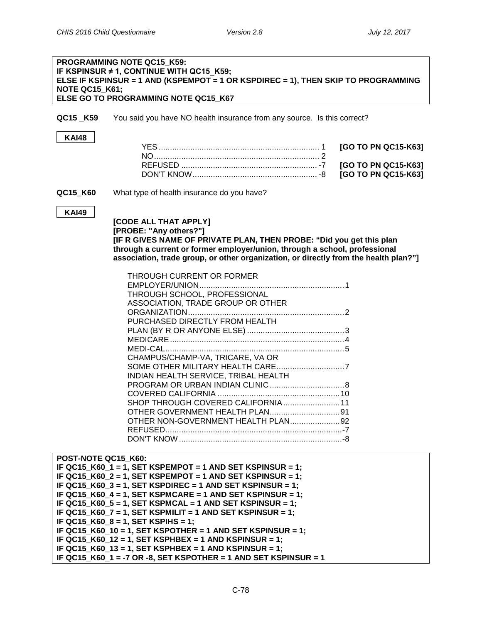# **PROGRAMMING NOTE QC15\_K59: IF KSPINSUR ≠ 1, CONTINUE WITH QC15\_K59; ELSE IF KSPINSUR = 1 AND (KSPEMPOT = 1 OR KSPDIREC = 1), THEN SKIP TO PROGRAMMING NOTE QC15\_K61; ELSE GO TO PROGRAMMING NOTE QC15\_K67 QC15 K59** You said you have NO health insurance from any source. Is this correct? **KAI48** YES....................................................................... 1 **[GO TO PN QC15-K63]** NO......................................................................... 2 REFUSED ............................................................ -7 **[GO TO PN QC15-K63]** DON'T KNOW....................................................... -8 **[GO TO PN QC15-K63] QC15 K60** What type of health insurance do you have? **KAI49 [CODE ALL THAT APPLY] [PROBE: "Any others?"] [IF R GIVES NAME OF PRIVATE PLAN, THEN PROBE: "Did you get this plan through a current or former employer/union, through a school, professional association, trade group, or other organization, or directly from the health plan?"]** THROUGH CURRENT OR FORMER EMPLOYER/UNION................................................................1 THROUGH SCHOOL, PROFESSIONAL ASSOCIATION, TRADE GROUP OR OTHER ORGANIZATION.....................................................................2 PURCHASED DIRECTLY FROM HEALTH PLAN (BY R OR ANYONE ELSE) ...........................................3 MEDICARE.............................................................................4 MEDI-CAL...............................................................................5 CHAMPUS/CHAMP-VA, TRICARE, VA OR SOME OTHER MILITARY HEALTH CARE..............................7 INDIAN HEALTH SERVICE, TRIBAL HEALTH PROGRAM OR URBAN INDIAN CLINIC.................................8 COVERED CALIFORNIA ......................................................10 SHOP THROUGH COVERED CALIFORNIA.........................11 OTHER GOVERNMENT HEALTH PLAN...............................91 OTHER NON-GOVERNMENT HEALTH PLAN......................92 REFUSED..............................................................................-7 DON'T KNOW ........................................................................-8 **POST-NOTE QC15\_K60: IF QC15\_K60\_1 = 1, SET KSPEMPOT = 1 AND SET KSPINSUR = 1; IF QC15\_K60\_2 = 1, SET KSPEMPOT = 1 AND SET KSPINSUR = 1; IF QC15\_K60\_3 = 1, SET KSPDIREC = 1 AND SET KSPINSUR = 1; IF QC15\_K60\_4 = 1, SET KSPMCARE = 1 AND SET KSPINSUR = 1; IF QC15\_K60\_5 = 1, SET KSPMCAL = 1 AND SET KSPINSUR = 1; IF QC15\_K60\_7 = 1, SET KSPMILIT = 1 AND SET KSPINSUR = 1;**

**IF QC15\_K60\_8 = 1, SET KSPIHS = 1;**

**IF QC15\_K60\_10 = 1, SET KSPOTHER = 1 AND SET KSPINSUR = 1;**

**IF QC15\_K60\_12 = 1, SET KSPHBEX = 1 AND KSPINSUR = 1; IF QC15\_K60\_13 = 1, SET KSPHBEX = 1 AND KSPINSUR = 1;**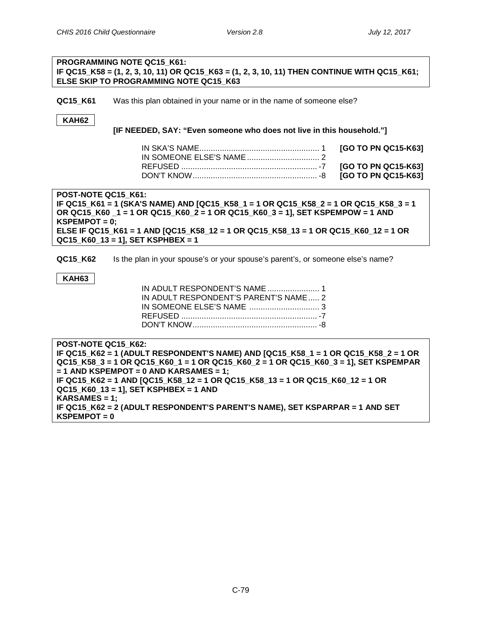|                                                                                                                         | PROGRAMMING NOTE QC15 K61:                                                                                                             |                     |  |
|-------------------------------------------------------------------------------------------------------------------------|----------------------------------------------------------------------------------------------------------------------------------------|---------------------|--|
|                                                                                                                         | IF QC15_K58 = (1, 2, 3, 10, 11) OR QC15_K63 = (1, 2, 3, 10, 11) THEN CONTINUE WITH QC15_K61;<br>ELSE SKIP TO PROGRAMMING NOTE QC15 K63 |                     |  |
|                                                                                                                         |                                                                                                                                        |                     |  |
| QC15 K61                                                                                                                | Was this plan obtained in your name or in the name of someone else?                                                                    |                     |  |
| <b>KAH62</b>                                                                                                            |                                                                                                                                        |                     |  |
|                                                                                                                         | [IF NEEDED, SAY: "Even someone who does not live in this household."]                                                                  |                     |  |
|                                                                                                                         |                                                                                                                                        | [GO TO PN QC15-K63] |  |
|                                                                                                                         |                                                                                                                                        |                     |  |
|                                                                                                                         |                                                                                                                                        | [GO TO PN QC15-K63] |  |
|                                                                                                                         |                                                                                                                                        | [GO TO PN QC15-K63] |  |
| POST-NOTE QC15 K61:                                                                                                     |                                                                                                                                        |                     |  |
|                                                                                                                         | IF QC15_K61 = 1 (SKA'S NAME) AND [QC15_K58_1 = 1 OR QC15_K58_2 = 1 OR QC15_K58_3 = 1                                                   |                     |  |
|                                                                                                                         | OR QC15_K60 _1 = 1 OR QC15_K60_2 = 1 OR QC15_K60_3 = 1], SET KSPEMPOW = 1 AND                                                          |                     |  |
| $KSPEMPOT = 0$ ;                                                                                                        |                                                                                                                                        |                     |  |
| ELSE IF QC15_K61 = 1 AND [QC15_K58_12 = 1 OR QC15_K58_13 = 1 OR QC15_K60_12 = 1 OR<br>QC15_K60_13 = 1], SET KSPHBEX = 1 |                                                                                                                                        |                     |  |
|                                                                                                                         |                                                                                                                                        |                     |  |
| QC15 K62                                                                                                                | Is the plan in your spouse's or your spouse's parent's, or someone else's name?                                                        |                     |  |
| <b>KAH63</b>                                                                                                            |                                                                                                                                        |                     |  |
|                                                                                                                         | IN ADULT RESPONDENT'S NAME  1                                                                                                          |                     |  |
|                                                                                                                         | IN ADULT RESPONDENT'S PARENT'S NAME 2                                                                                                  |                     |  |
|                                                                                                                         |                                                                                                                                        |                     |  |
|                                                                                                                         |                                                                                                                                        |                     |  |
|                                                                                                                         |                                                                                                                                        |                     |  |

**POST-NOTE QC15\_K62: IF QC15\_K62 = 1 (ADULT RESPONDENT'S NAME) AND [QC15\_K58\_1 = 1 OR QC15\_K58\_2 = 1 OR QC15\_K58\_3 = 1 OR QC15\_K60\_1 = 1 OR QC15\_K60\_2 = 1 OR QC15\_K60\_3 = 1], SET KSPEMPAR = 1 AND KSPEMPOT = 0 AND KARSAMES = 1; IF QC15\_K62 = 1 AND [QC15\_K58\_12 = 1 OR QC15\_K58\_13 = 1 OR QC15\_K60\_12 = 1 OR QC15\_K60\_13 = 1], SET KSPHBEX = 1 AND KARSAMES = 1; IF QC15\_K62 = 2 (ADULT RESPONDENT'S PARENT'S NAME), SET KSPARPAR = 1 AND SET KSPEMPOT = 0**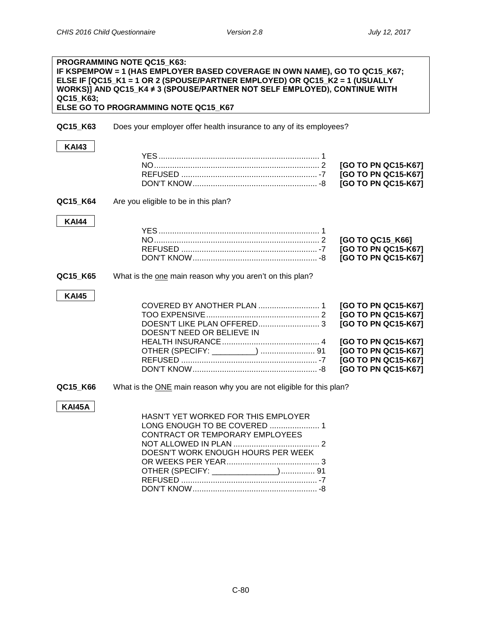| QC15_K63;     | PROGRAMMING NOTE QC15_K63:<br>IF KSPEMPOW = 1 (HAS EMPLOYER BASED COVERAGE IN OWN NAME), GO TO QC15_K67;<br>ELSE IF [QC15_K1 = 1 OR 2 (SPOUSE/PARTNER EMPLOYED) OR QC15_K2 = 1 (USUALLY<br>WORKS)] AND QC15_K4 ≠ 3 (SPOUSE/PARTNER NOT SELF EMPLOYED), CONTINUE WITH<br>ELSE GO TO PROGRAMMING NOTE QC15_K67 |                     |
|---------------|--------------------------------------------------------------------------------------------------------------------------------------------------------------------------------------------------------------------------------------------------------------------------------------------------------------|---------------------|
| QC15_K63      | Does your employer offer health insurance to any of its employees?                                                                                                                                                                                                                                           |                     |
| <b>KAI43</b>  |                                                                                                                                                                                                                                                                                                              |                     |
|               |                                                                                                                                                                                                                                                                                                              |                     |
|               |                                                                                                                                                                                                                                                                                                              | [GO TO PN QC15-K67] |
|               |                                                                                                                                                                                                                                                                                                              | [GO TO PN QC15-K67] |
|               |                                                                                                                                                                                                                                                                                                              | [GO TO PN QC15-K67] |
| QC15_K64      | Are you eligible to be in this plan?                                                                                                                                                                                                                                                                         |                     |
| <b>KAI44</b>  |                                                                                                                                                                                                                                                                                                              |                     |
|               |                                                                                                                                                                                                                                                                                                              |                     |
|               |                                                                                                                                                                                                                                                                                                              | [GO TO QC15_K66]    |
|               |                                                                                                                                                                                                                                                                                                              | [GO TO PN QC15-K67] |
|               |                                                                                                                                                                                                                                                                                                              | [GO TO PN QC15-K67] |
| QC15 K65      | What is the one main reason why you aren't on this plan?                                                                                                                                                                                                                                                     |                     |
| <b>KAI45</b>  |                                                                                                                                                                                                                                                                                                              |                     |
|               |                                                                                                                                                                                                                                                                                                              | [GO TO PN QC15-K67] |
|               |                                                                                                                                                                                                                                                                                                              | [GO TO PN QC15-K67] |
|               | DOESN'T LIKE PLAN OFFERED 3                                                                                                                                                                                                                                                                                  | [GO TO PN QC15-K67] |
|               | DOESN'T NEED OR BELIEVE IN                                                                                                                                                                                                                                                                                   |                     |
|               |                                                                                                                                                                                                                                                                                                              | [GO TO PN QC15-K67] |
|               |                                                                                                                                                                                                                                                                                                              | [GO TO PN QC15-K67] |
|               |                                                                                                                                                                                                                                                                                                              | [GO TO PN QC15-K67] |
|               |                                                                                                                                                                                                                                                                                                              | [GO TO PN QC15-K67] |
| QC15_K66      | What is the ONE main reason why you are not eligible for this plan?                                                                                                                                                                                                                                          |                     |
| <b>KAI45A</b> |                                                                                                                                                                                                                                                                                                              |                     |
|               | HASN'T YET WORKED FOR THIS EMPLOYER                                                                                                                                                                                                                                                                          |                     |
|               | LONG ENOUGH TO BE COVERED  1                                                                                                                                                                                                                                                                                 |                     |
|               | CONTRACT OR TEMPORARY EMPLOYEES                                                                                                                                                                                                                                                                              |                     |
|               |                                                                                                                                                                                                                                                                                                              |                     |
|               | DOESN'T WORK ENOUGH HOURS PER WEEK                                                                                                                                                                                                                                                                           |                     |
|               |                                                                                                                                                                                                                                                                                                              |                     |
|               | OTHER (SPECIFY: ______________) 91                                                                                                                                                                                                                                                                           |                     |
|               |                                                                                                                                                                                                                                                                                                              |                     |
|               |                                                                                                                                                                                                                                                                                                              |                     |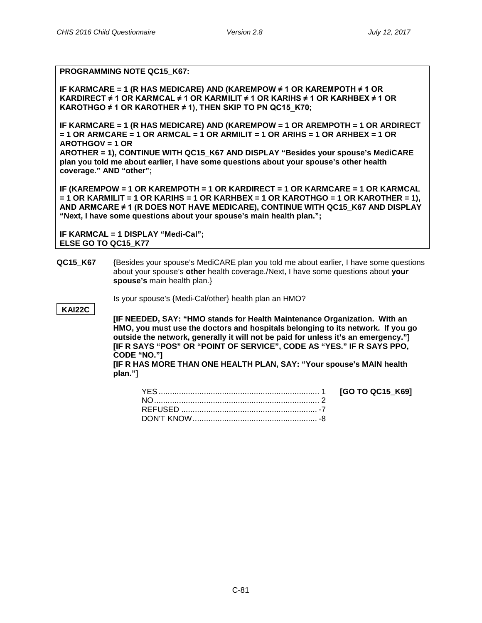**Managed-Care Plan Characteristics PROGRAMMING NOTE QC15\_K67:**

**IF KARMCARE = 1 (R HAS MEDICARE) AND (KAREMPOW ≠ 1 OR KAREMPOTH ≠ 1 OR KARDIRECT ≠ 1 OR KARMCAL ≠ 1 OR KARMILIT ≠ 1 OR KARIHS ≠ 1 OR KARHBEX ≠ 1 OR KAROTHGO ≠ 1 OR KAROTHER ≠ 1), THEN SKIP TO PN QC15\_K70;**

**IF KARMCARE = 1 (R HAS MEDICARE) AND (KAREMPOW = 1 OR AREMPOTH = 1 OR ARDIRECT = 1 OR ARMCARE = 1 OR ARMCAL = 1 OR ARMILIT = 1 OR ARIHS = 1 OR ARHBEX = 1 OR AROTHGOV = 1 OR** 

**AROTHER = 1), CONTINUE WITH QC15\_K67 AND DISPLAY "Besides your spouse's MediCARE plan you told me about earlier, I have some questions about your spouse's other health coverage." AND "other";**

**IF (KAREMPOW = 1 OR KAREMPOTH = 1 OR KARDIRECT = 1 OR KARMCARE = 1 OR KARMCAL = 1 OR KARMILIT = 1 OR KARIHS = 1 OR KARHBEX = 1 OR KAROTHGO = 1 OR KAROTHER = 1), AND ARMCARE ≠ 1 (R DOES NOT HAVE MEDICARE), CONTINUE WITH QC15\_K67 AND DISPLAY "Next, I have some questions about your spouse's main health plan.";** 

**IF KARMCAL = 1 DISPLAY "Medi-Cal"; ELSE GO TO QC15\_K77**

**QC15 K67** (Besides your spouse's MediCARE plan you told me about earlier, I have some questions about your spouse's **other** health coverage./Next, I have some questions about **your spouse's** main health plan.}

Is your spouse's {Medi-Cal/other} health plan an HMO?

**KAI22C**

**[IF NEEDED, SAY: "HMO stands for Health Maintenance Organization. With an HMO, you must use the doctors and hospitals belonging to its network. If you go outside the network, generally it will not be paid for unless it's an emergency."] [IF R SAYS "POS" OR "POINT OF SERVICE", CODE AS "YES." IF R SAYS PPO, CODE "NO."]**

**[IF R HAS MORE THAN ONE HEALTH PLAN, SAY: "Your spouse's MAIN health plan."]**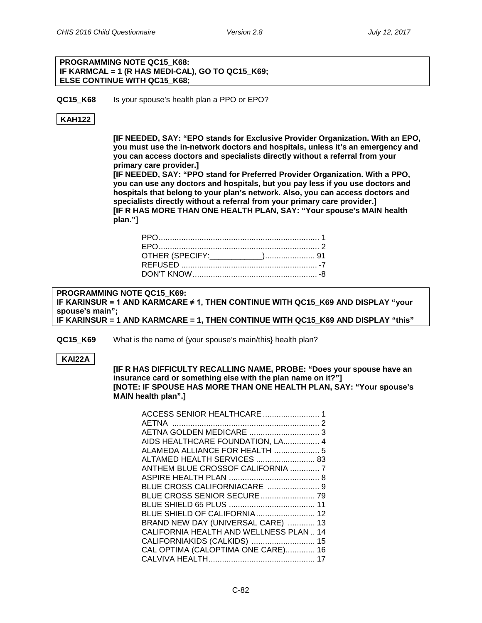#### **PROGRAMMING NOTE QC15\_K68: IF KARMCAL = 1 (R HAS MEDI-CAL), GO TO QC15\_K69; ELSE CONTINUE WITH QC15\_K68;**

**QC15\_K68** Is your spouse's health plan a PPO or EPO?

### **KAH122**

**[IF NEEDED, SAY: "EPO stands for Exclusive Provider Organization. With an EPO, you must use the in-network doctors and hospitals, unless it's an emergency and you can access doctors and specialists directly without a referral from your primary care provider.]**

**[IF NEEDED, SAY: "PPO stand for Preferred Provider Organization. With a PPO, you can use any doctors and hospitals, but you pay less if you use doctors and hospitals that belong to your plan's network. Also, you can access doctors and specialists directly without a referral from your primary care provider.] [IF R HAS MORE THAN ONE HEALTH PLAN, SAY: "Your spouse's MAIN health plan."]**

**PROGRAMMING NOTE QC15\_K69: IF KARINSUR = 1 AND KARMCARE ≠ 1, THEN CONTINUE WITH QC15\_K69 AND DISPLAY "your spouse's main"; IF KARINSUR = 1 AND KARMCARE = 1, THEN CONTINUE WITH QC15\_K69 AND DISPLAY "this"**

**QC15 K69** What is the name of {your spouse's main/this} health plan?

**KAI22A**

**[IF R HAS DIFFICULTY RECALLING NAME, PROBE: "Does your spouse have an insurance card or something else with the plan name on it?"] [NOTE: IF SPOUSE HAS MORE THAN ONE HEALTH PLAN, SAY: "Your spouse's MAIN health plan".]**

| ACCESS SENIOR HEALTHCARE  1            |  |
|----------------------------------------|--|
|                                        |  |
|                                        |  |
| AIDS HEALTHCARE FOUNDATION, LA 4       |  |
|                                        |  |
| ALTAMED HEALTH SERVICES  83            |  |
| ANTHEM BLUE CROSSOF CALIFORNIA  7      |  |
|                                        |  |
| BLUE CROSS CALIFORNIACARE  9           |  |
|                                        |  |
|                                        |  |
| <b>BLUE SHIELD OF CALIFORNIA 12</b>    |  |
| BRAND NEW DAY (UNIVERSAL CARE)  13     |  |
| CALIFORNIA HEALTH AND WELLNESS PLAN 14 |  |
| CALIFORNIAKIDS (CALKIDS)  15           |  |
| CAL OPTIMA (CALOPTIMA ONE CARE) 16     |  |
|                                        |  |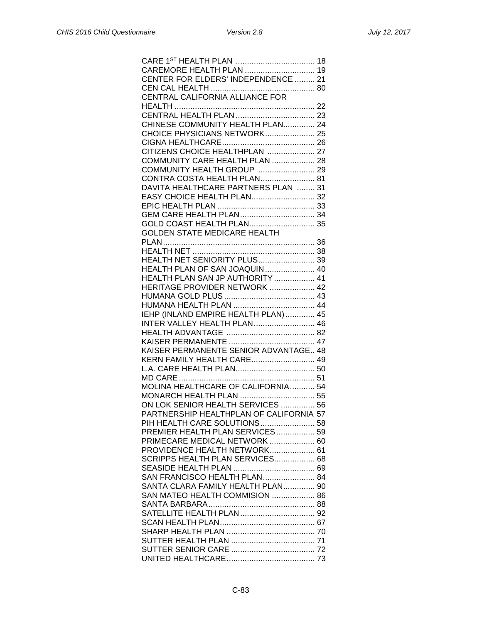| CAREMORE HEALTH PLAN  19                                          |
|-------------------------------------------------------------------|
| CENTER FOR ELDERS' INDEPENDENCE  21                               |
|                                                                   |
|                                                                   |
|                                                                   |
|                                                                   |
| CHINESE COMMUNITY HEALTH PLAN 24                                  |
| CHOICE PHYSICIANS NETWORK 25                                      |
|                                                                   |
| CITIZENS CHOICE HEALTHPLAN  27                                    |
| COMMUNITY CARE HEALTH PLAN  28                                    |
| COMMUNITY HEALTH GROUP  29                                        |
| CONTRA COSTA HEALTH PLAN 81                                       |
| DAVITA HEALTHCARE PARTNERS PLAN  31                               |
| EASY CHOICE HEALTH PLAN 32                                        |
|                                                                   |
|                                                                   |
|                                                                   |
| <b>GOLDEN STATE MEDICARE HEALTH</b>                               |
|                                                                   |
|                                                                   |
| <b>HEALTH NET SENIORITY PLUS 39</b>                               |
|                                                                   |
| HEALTH PLAN OF SAN JOAQUIN 40                                     |
| HEALTH PLAN SAN JP AUTHORITY  41<br>HERITAGE PROVIDER NETWORK  42 |
|                                                                   |
|                                                                   |
| IEHP (INLAND EMPIRE HEALTH PLAN) 45                               |
| <b>INTER VALLEY HEALTH PLAN 46</b>                                |
|                                                                   |
|                                                                   |
| KAISER PERMANENTE SENIOR ADVANTAGE 48                             |
| KERN FAMILY HEALTH CARE 49                                        |
|                                                                   |
|                                                                   |
| MOLINA HEALTHCARE OF CALIFORNIA 54                                |
| MONARCH HEALTH PLAN  55                                           |
| ON LOK SENIOR HEALTH SERVICES  56                                 |
| PARTNERSHIP HEALTHPLAN OF CALIFORNIA 57                           |
|                                                                   |
| PIH HEALTH CARE SOLUTIONS 58<br>PREMIER HEALTH PLAN SERVICES 59   |
| PRIMECARE MEDICAL NETWORK  60                                     |
| PROVIDENCE HEALTH NETWORK 61                                      |
| SCRIPPS HEALTH PLAN SERVICES 68                                   |
|                                                                   |
| SAN FRANCISCO HEALTH PLAN 84                                      |
| SANTA CLARA FAMILY HEALTH PLAN 90                                 |
| SAN MATEO HEALTH COMMISION  86                                    |
|                                                                   |
|                                                                   |
|                                                                   |
|                                                                   |
|                                                                   |
|                                                                   |
|                                                                   |
|                                                                   |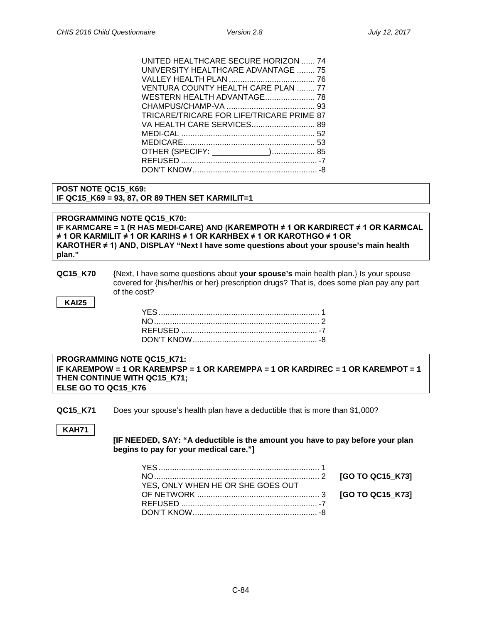| UNITED HEALTHCARE SECURE HORIZON  74      |  |
|-------------------------------------------|--|
| UNIVERSITY HEALTHCARE ADVANTAGE  75       |  |
|                                           |  |
| VENTURA COUNTY HEALTH CARE PLAN  77       |  |
| WESTERN HEALTH ADVANTAGE 78               |  |
|                                           |  |
| TRICARE/TRICARE FOR LIFE/TRICARE PRIME 87 |  |
| VA HEALTH CARE SERVICES 89                |  |
|                                           |  |
|                                           |  |
| OTHER (SPECIFY: _____________) 85         |  |
|                                           |  |
|                                           |  |
|                                           |  |

#### **POST NOTE QC15\_K69: IF QC15\_K69 = 93, 87, OR 89 THEN SET KARMILIT=1**

**PROGRAMMING NOTE QC15\_K70: IF KARMCARE = 1 (R HAS MEDI-CARE) AND (KAREMPOTH ≠ 1 OR KARDIRECT ≠ 1 OR KARMCAL ≠ 1 OR KARMILIT ≠ 1 OR KARIHS ≠ 1 OR KARHBEX ≠ 1 OR KAROTHGO ≠ 1 OR KAROTHER ≠ 1) AND, DISPLAY "Next I have some questions about your spouse's main health plan."**

#### **QC15\_K70** {Next, I have some questions about **your spouse's** main health plan.} Is your spouse covered for {his/her/his or her} prescription drugs? That is, does some plan pay any part of the cost?

**KAI25**

| <b>PROGRAMMING NOTE QC15 K71:</b>                                               |
|---------------------------------------------------------------------------------|
| IF KAREMPOW = 1 OR KAREMPSP = 1 OR KAREMPPA = 1 OR KARDIREC = 1 OR KAREMPOT = 1 |
| THEN CONTINUE WITH QC15 K71;                                                    |
| <b>ELSE GO TO QC15 K76</b>                                                      |

**QC15\_K71** Does your spouse's health plan have a deductible that is more than \$1,000?

**KAH71**

**[IF NEEDED, SAY: "A deductible is the amount you have to pay before your plan begins to pay for your medical care."]**

| YES, ONLY WHEN HE OR SHE GOES OUT |  |
|-----------------------------------|--|
|                                   |  |
|                                   |  |
|                                   |  |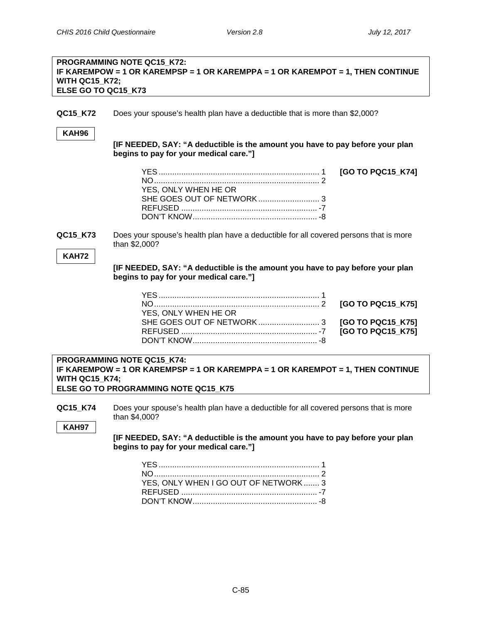[GO TO PQC15\_K74]

#### **PROGRAMMING NOTE QC15\_K72: IF KAREMPOW = 1 OR KAREMPSP = 1 OR KAREMPPA = 1 OR KAREMPOT = 1, THEN CONTINUE WITH QC15\_K72; ELSE GO TO QC15\_K73**

**QC15 K72** Does your spouse's health plan have a deductible that is more than \$2,000?

#### **KAH96**

**[IF NEEDED, SAY: "A deductible is the amount you have to pay before your plan begins to pay for your medical care."]**

| YES, ONLY WHEN HE OR |  |
|----------------------|--|
|                      |  |
|                      |  |
|                      |  |

**QC15 K73** Does your spouse's health plan have a deductible for all covered persons that is more than \$2,000?

#### **KAH72**

**[IF NEEDED, SAY: "A deductible is the amount you have to pay before your plan begins to pay for your medical care."]**

| YES, ONLY WHEN HE OR |  |
|----------------------|--|
|                      |  |
|                      |  |
|                      |  |

#### **PROGRAMMING NOTE QC15\_K74: IF KAREMPOW = 1 OR KAREMPSP = 1 OR KAREMPPA = 1 OR KAREMPOT = 1, THEN CONTINUE WITH QC15\_K74; ELSE GO TO PROGRAMMING NOTE QC15\_K75**

**QC15\_K74** Does your spouse's health plan have a deductible for all covered persons that is more than \$4,000?

**KAH97**

**[IF NEEDED, SAY: "A deductible is the amount you have to pay before your plan begins to pay for your medical care."]**

| YES, ONLY WHEN I GO OUT OF NETWORK  3 |  |
|---------------------------------------|--|
|                                       |  |
|                                       |  |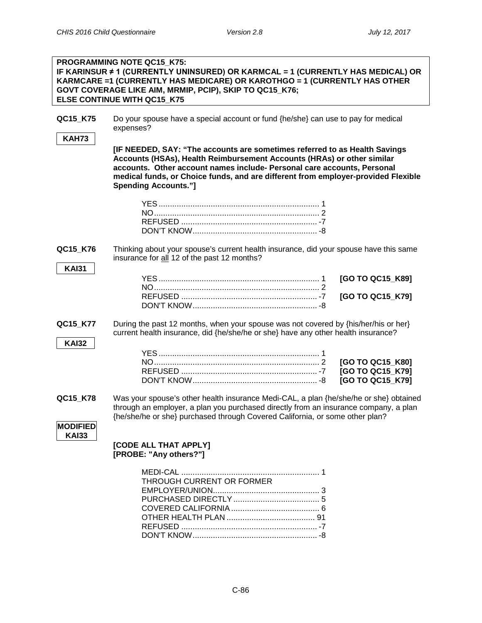|                             | <b>PROGRAMMING NOTE QC15 K75:</b><br>IF KARINSUR ≠ 1 (CURRENTLY UNINSURED) OR KARMCAL = 1 (CURRENTLY HAS MEDICAL) OR<br>KARMCARE =1 (CURRENTLY HAS MEDICARE) OR KAROTHGO = 1 (CURRENTLY HAS OTHER<br>GOVT COVERAGE LIKE AIM, MRMIP, PCIP), SKIP TO QC15_K76;<br>ELSE CONTINUE WITH QC15 K75                                                         |                                                          |
|-----------------------------|-----------------------------------------------------------------------------------------------------------------------------------------------------------------------------------------------------------------------------------------------------------------------------------------------------------------------------------------------------|----------------------------------------------------------|
| QC15_K75<br><b>KAH73</b>    | Do your spouse have a special account or fund {he/she} can use to pay for medical<br>expenses?                                                                                                                                                                                                                                                      |                                                          |
|                             | [IF NEEDED, SAY: "The accounts are sometimes referred to as Health Savings<br>Accounts (HSAs), Health Reimbursement Accounts (HRAs) or other similar<br>accounts. Other account names include- Personal care accounts, Personal<br>medical funds, or Choice funds, and are different from employer-provided Flexible<br><b>Spending Accounts."]</b> |                                                          |
|                             |                                                                                                                                                                                                                                                                                                                                                     |                                                          |
| QC15_K76<br><b>KAI31</b>    | Thinking about your spouse's current health insurance, did your spouse have this same<br>insurance for all 12 of the past 12 months?                                                                                                                                                                                                                |                                                          |
|                             |                                                                                                                                                                                                                                                                                                                                                     | [GO TO QC15_K89]<br>[GO TO QC15_K79]                     |
| QC15_K77<br><b>KAI32</b>    | During the past 12 months, when your spouse was not covered by {his/her/his or her}<br>current health insurance, did {he/she/he or she} have any other health insurance?                                                                                                                                                                            |                                                          |
|                             |                                                                                                                                                                                                                                                                                                                                                     | [GO TO QC15_K80]<br>[GO TO QC15_K79]<br>[GO TO QC15_K79] |
| QC15 K78<br><b>MODIFIED</b> | Was your spouse's other health insurance Medi-CAL, a plan {he/she/he or she} obtained<br>through an employer, a plan you purchased directly from an insurance company, a plan<br>{he/she/he or she} purchased through Covered California, or some other plan?                                                                                       |                                                          |
| <b>KAI33</b>                | [CODE ALL THAT APPLY]<br>[PROBE: "Any others?"]                                                                                                                                                                                                                                                                                                     |                                                          |
|                             | THROUGH CURRENT OR FORMER                                                                                                                                                                                                                                                                                                                           |                                                          |

DON'T KNOW....................................................... -8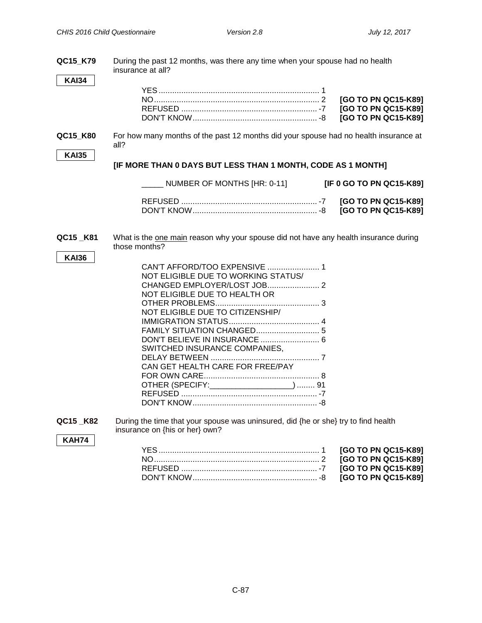| QC15_K79<br><b>KAI34</b> | During the past 12 months, was there any time when your spouse had no health<br>insurance at all?                                                                                                              |                                                                                          |
|--------------------------|----------------------------------------------------------------------------------------------------------------------------------------------------------------------------------------------------------------|------------------------------------------------------------------------------------------|
|                          |                                                                                                                                                                                                                | [GO TO PN QC15-K89]<br>[GO TO PN QC15-K89]<br>[GO TO PN QC15-K89]                        |
| QC15 K80                 | For how many months of the past 12 months did your spouse had no health insurance at<br>all?                                                                                                                   |                                                                                          |
| <b>KAI35</b>             | [IF MORE THAN 0 DAYS BUT LESS THAN 1 MONTH, CODE AS 1 MONTH]                                                                                                                                                   |                                                                                          |
|                          | NUMBER OF MONTHS [HR: 0-11]                                                                                                                                                                                    | [IF 0 GO TO PN QC15-K89]                                                                 |
|                          |                                                                                                                                                                                                                | [GO TO PN QC15-K89]<br>[GO TO PN QC15-K89]                                               |
| QC15_K81<br><b>KAI36</b> | What is the one main reason why your spouse did not have any health insurance during<br>those months?                                                                                                          |                                                                                          |
|                          | CAN'T AFFORD/TOO EXPENSIVE  1<br>NOT ELIGIBLE DUE TO WORKING STATUS/<br>NOT ELIGIBLE DUE TO HEALTH OR<br>NOT ELIGIBLE DUE TO CITIZENSHIP/<br>SWITCHED INSURANCE COMPANIES,<br>CAN GET HEALTH CARE FOR FREE/PAY |                                                                                          |
| QC15_K82<br><b>KAH74</b> | During the time that your spouse was uninsured, did {he or she} try to find health<br>insurance on {his or her} own?                                                                                           |                                                                                          |
|                          |                                                                                                                                                                                                                | [GO TO PN QC15-K89]<br>[GO TO PN QC15-K89]<br>[GO TO PN QC15-K89]<br>[GO TO PN QC15-K89] |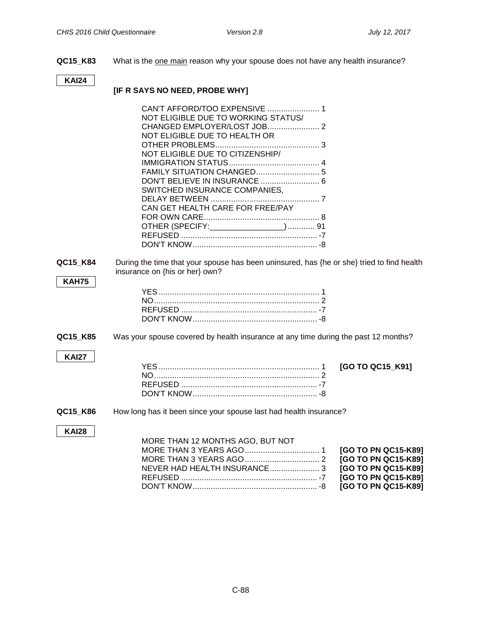**QC15\_K83** What is the one main reason why your spouse does not have any health insurance?

#### **KAI24**

# **[IF R SAYS NO NEED, PROBE WHY]**

|                          | NOT ELIGIBLE DUE TO WORKING STATUS/<br>NOT ELIGIBLE DUE TO HEALTH OR<br>NOT ELIGIBLE DUE TO CITIZENSHIP/<br>DON'T BELIEVE IN INSURANCE  6<br>SWITCHED INSURANCE COMPANIES,<br>CAN GET HEALTH CARE FOR FREE/PAY<br>OTHER (SPECIFY: ________________) 91 |                                                                                          |
|--------------------------|--------------------------------------------------------------------------------------------------------------------------------------------------------------------------------------------------------------------------------------------------------|------------------------------------------------------------------------------------------|
|                          |                                                                                                                                                                                                                                                        |                                                                                          |
| QC15_K84<br><b>KAH75</b> | During the time that your spouse has been uninsured, has {he or she} tried to find health<br>insurance on {his or her} own?                                                                                                                            |                                                                                          |
|                          |                                                                                                                                                                                                                                                        |                                                                                          |
| QC15 K85                 | Was your spouse covered by health insurance at any time during the past 12 months?                                                                                                                                                                     |                                                                                          |
| <b>KAI27</b>             |                                                                                                                                                                                                                                                        | [GO TO QC15_K91]                                                                         |
| QC15_K86                 | How long has it been since your spouse last had health insurance?                                                                                                                                                                                      |                                                                                          |
| <b>KAI28</b>             | MORE THAN 12 MONTHS AGO, BUT NOT<br>NEVER HAD HEALTH INSURANCE 3                                                                                                                                                                                       | [GO TO PN QC15-K89]<br>[GO TO PN QC15-K89]<br>[GO TO PN QC15-K89]<br>[GO TO PN QC15-K89] |

DON'T KNOW....................................................... -8 **[GO TO PN QC15-K89]**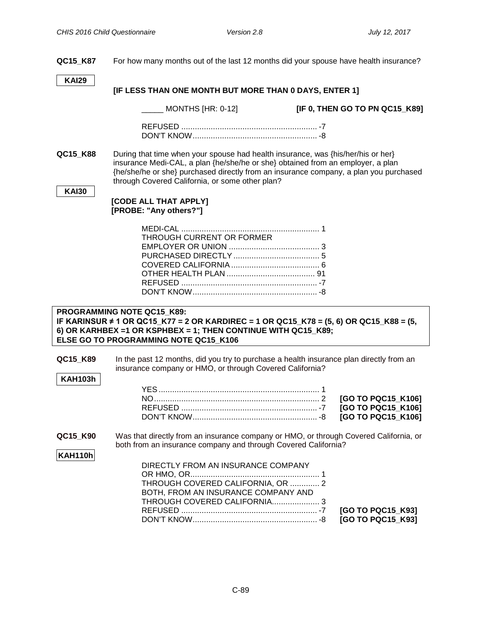**QC15\_K87** For how many months out of the last 12 months did your spouse have health insurance? **KAI29 [IF LESS THAN ONE MONTH BUT MORE THAN 0 DAYS, ENTER 1]** \_\_\_\_\_ MONTHS [HR: 0-12] **[IF 0, THEN GO TO PN QC15\_K89]** REFUSED ............................................................ -7 DON'T KNOW....................................................... -8 **QC15 K88** During that time when your spouse had health insurance, was {his/her/his or her} insurance Medi-CAL, a plan {he/she/he or she} obtained from an employer, a plan {he/she/he or she} purchased directly from an insurance company, a plan you purchased through Covered California, or some other plan? **KAI30 [CODE ALL THAT APPLY] [PROBE: "Any others?"]** MEDI-CAL ............................................................. 1 THROUGH CURRENT OR FORMER EMPLOYER OR UNION ........................................ 3 PURCHASED DIRECTLY...................................... 5 COVERED CALIFORNIA....................................... 6 OTHER HEALTH PLAN ....................................... 91 REFUSED ............................................................ -7 DON'T KNOW....................................................... -8 **PROGRAMMING NOTE QC15\_K89: IF KARINSUR ≠ 1 OR QC15\_K77 = 2 OR KARDIREC = 1 OR QC15\_K78 = (5, 6) OR QC15\_K88 = (5, 6) OR KARHBEX =1 OR KSPHBEX = 1; THEN CONTINUE WITH QC15\_K89; ELSE GO TO PROGRAMMING NOTE QC15\_K106 QC15\_K89** In the past 12 months, did you try to purchase a health insurance plan directly from an insurance company or HMO, or through Covered California? **KAH103h** YES....................................................................... 1 NO......................................................................... 2 **[GO TO PQC15\_K106]** REFUSED ............................................................ -7 **[GO TO PQC15\_K106]** DON'T KNOW....................................................... -8 **[GO TO PQC15\_K106] QC15\_K90** Was that directly from an insurance company or HMO, or through Covered California, or both from an insurance company and through Covered California? **KAH110h** DIRECTLY FROM AN INSURANCE COMPANY OR HMO, OR......................................................... 1 THROUGH COVERED CALIFORNIA, OR ............. 2 BOTH, FROM AN INSURANCE COMPANY AND THROUGH COVERED CALIFORNIA..................... 3 REFUSED ............................................................ -7 **[GO TO PQC15\_K93]** DON'T KNOW....................................................... -8 **[GO TO PQC15\_K93]**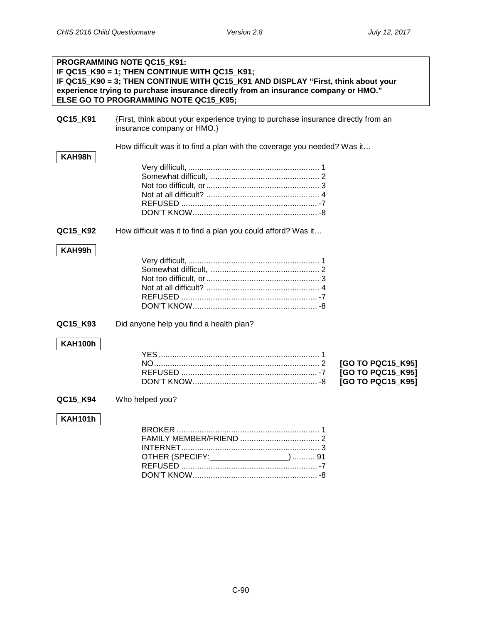|                | <b>PROGRAMMING NOTE QC15 K91:</b><br>IF QC15_K90 = 1; THEN CONTINUE WITH QC15_K91;<br>IF QC15_K90 = 3; THEN CONTINUE WITH QC15_K91 AND DISPLAY "First, think about your<br>experience trying to purchase insurance directly from an insurance company or HMO."<br>ELSE GO TO PROGRAMMING NOTE QC15 K95; |  |
|----------------|---------------------------------------------------------------------------------------------------------------------------------------------------------------------------------------------------------------------------------------------------------------------------------------------------------|--|
| QC15_K91       | {First, think about your experience trying to purchase insurance directly from an<br>insurance company or HMO.}                                                                                                                                                                                         |  |
| KAH98h         | How difficult was it to find a plan with the coverage you needed? Was it                                                                                                                                                                                                                                |  |
| QC15_K92       | How difficult was it to find a plan you could afford? Was it                                                                                                                                                                                                                                            |  |
| KAH99h         |                                                                                                                                                                                                                                                                                                         |  |
| QC15_K93       | Did anyone help you find a health plan?                                                                                                                                                                                                                                                                 |  |
| KAH100h        | [GO TO PQC15_K95]<br>[GO TO PQC15 K95]<br>[GO TO PQC15_K95]                                                                                                                                                                                                                                             |  |
| QC15_K94       | Who helped you?                                                                                                                                                                                                                                                                                         |  |
| <b>KAH101h</b> | OTHER (SPECIFY: __________________)  91                                                                                                                                                                                                                                                                 |  |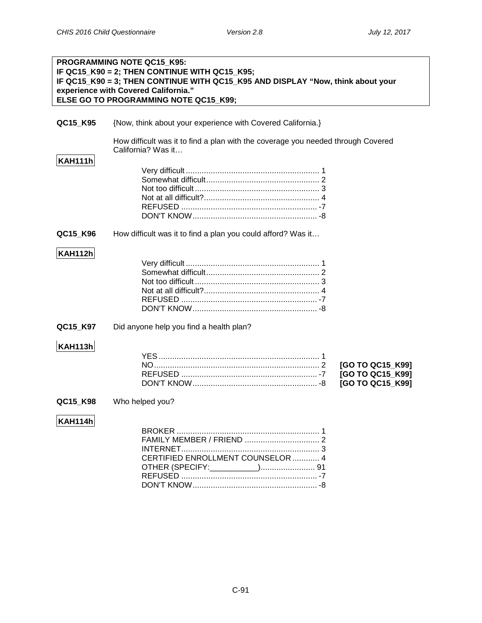|                | PROGRAMMING NOTE QC15_K95:<br>IF QC15_K90 = 2; THEN CONTINUE WITH QC15_K95;<br>IF QC15_K90 = 3; THEN CONTINUE WITH QC15_K95 AND DISPLAY "Now, think about your<br>experience with Covered California."<br>ELSE GO TO PROGRAMMING NOTE QC15_K99; |
|----------------|-------------------------------------------------------------------------------------------------------------------------------------------------------------------------------------------------------------------------------------------------|
| QC15_K95       | {Now, think about your experience with Covered California.}                                                                                                                                                                                     |
| <b>KAH111h</b> | How difficult was it to find a plan with the coverage you needed through Covered<br>California? Was it                                                                                                                                          |
|                |                                                                                                                                                                                                                                                 |
| QC15_K96       | How difficult was it to find a plan you could afford? Was it                                                                                                                                                                                    |
| <b>KAH112h</b> |                                                                                                                                                                                                                                                 |
| QC15_K97       | Did anyone help you find a health plan?                                                                                                                                                                                                         |
| <b>KAH113h</b> | [GO TO QC15 K99]<br>[GO TO QC15_K99]<br>[GO TO QC15_K99]                                                                                                                                                                                        |
| QC15_K98       | Who helped you?                                                                                                                                                                                                                                 |
| <b>KAH114h</b> | CERTIFIED ENROLLMENT COUNSELOR  4                                                                                                                                                                                                               |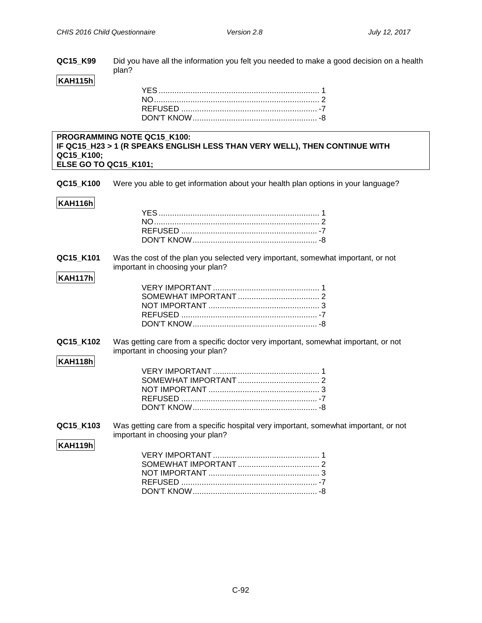**QC15\_K99** Did you have all the information you felt you needed to make a good decision on a health plan?

# **KAH115h**

#### **PROGRAMMING NOTE QC15\_K100: IF QC15\_H23 > 1 (R SPEAKS ENGLISH LESS THAN VERY WELL), THEN CONTINUE WITH QC15\_K100; ELSE GO TO QC15\_K101;**

**QC15\_K100** Were you able to get information about your health plan options in your language?

#### **KAH116h**

#### **QC15\_K101** Was the cost of the plan you selected very important, somewhat important, or not important in choosing your plan?

# **KAH117h**

**QC15\_K102** Was getting care from a specific doctor very important, somewhat important, or not important in choosing your plan?

# **KAH118h**

**QC15 K103** Was getting care from a specific hospital very important, somewhat important, or not important in choosing your plan?

#### **KAH119h**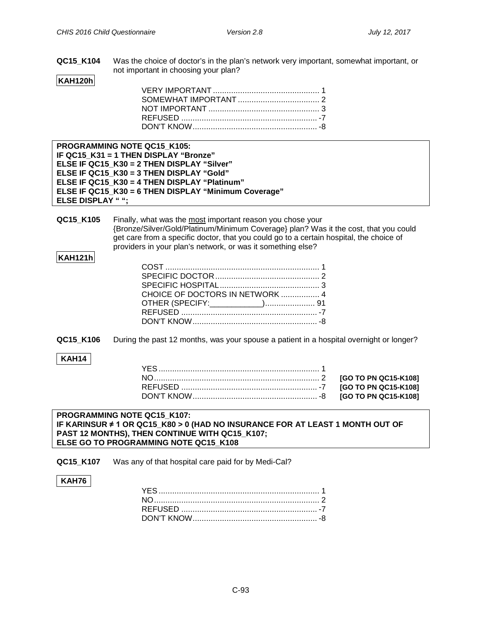**QC15\_K104** Was the choice of doctor's in the plan's network very important, somewhat important, or not important in choosing your plan?

# **KAH120h**

| <b>PROGRAMMING NOTE QC15 K105:</b>                   |
|------------------------------------------------------|
| IF QC15 K31 = 1 THEN DISPLAY "Bronze"                |
| ELSE IF QC15 K30 = 2 THEN DISPLAY "Silver"           |
| ELSE IF QC15 K30 = 3 THEN DISPLAY "Gold"             |
| ELSE IF QC15 K30 = 4 THEN DISPLAY "Platinum"         |
| ELSE IF QC15 K30 = 6 THEN DISPLAY "Minimum Coverage" |
| <b>ELSE DISPLAY "";</b>                              |

**QC15 K105** Finally, what was the most important reason you chose your {Bronze/Silver/Gold/Platinum/Minimum Coverage} plan? Was it the cost, that you could get care from a specific doctor, that you could go to a certain hospital, the choice of providers in your plan's network, or was it something else?

#### **KAH121h**

| CHOICE OF DOCTORS IN NETWORK  4 |  |
|---------------------------------|--|
|                                 |  |
|                                 |  |
|                                 |  |

**QC15\_K106** During the past 12 months, was your spouse a patient in a hospital overnight or longer?

#### **KAH14**

**Partial Scope Medi-Cal**

#### **PROGRAMMING NOTE QC15\_K107: IF KARINSUR ≠ 1 OR QC15\_K80 > 0 (HAD NO INSURANCE FOR AT LEAST 1 MONTH OUT OF PAST 12 MONTHS), THEN CONTINUE WITH QC15\_K107; ELSE GO TO PROGRAMMING NOTE QC15\_K108**

**QC15\_K107** Was any of that hospital care paid for by Medi-Cal?

#### **KAH76**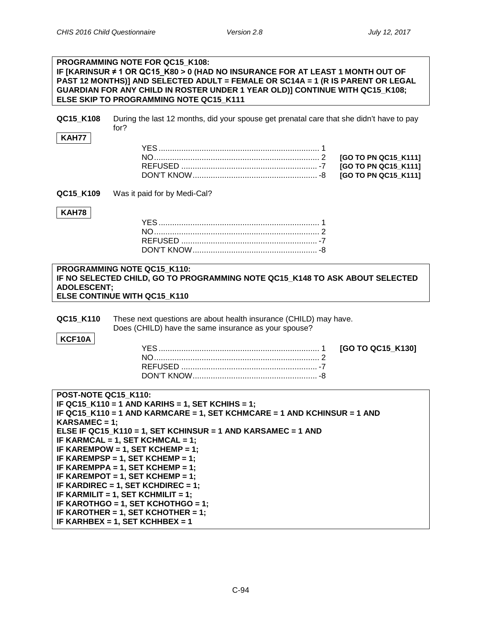#### **PROGRAMMING NOTE FOR QC15\_K108: IF [KARINSUR ≠ 1 OR QC15\_K80 > 0 (HAD NO INSURANCE FOR AT LEAST 1 MONTH OUT OF PAST 12 MONTHS)] AND SELECTED ADULT = FEMALE OR SC14A = 1 (R IS PARENT OR LEGAL GUARDIAN FOR ANY CHILD IN ROSTER UNDER 1 YEAR OLD)] CONTINUE WITH QC15\_K108; ELSE SKIP TO PROGRAMMING NOTE QC15\_K111**

**QC15\_K108** During the last 12 months, did your spouse get prenatal care that she didn't have to pay for?

#### **KAH77**

**QC15 K109** Was it paid for by Medi-Cal?

#### **KAH78**

#### **PROGRAMMING NOTE QC15\_K110: IF NO SELECTED CHILD, GO TO PROGRAMMING NOTE QC15\_K148 TO ASK ABOUT SELECTED ADOLESCENT; ELSE CONTINUE WITH QC15\_K110**

**QC15\_K110** These next questions are about health insurance (CHILD) may have. Does (CHILD) have the same insurance as your spouse?

#### **KCF10A**

YES....................................................................... 1 **[GO TO QC15\_K130]**

| POST-NOTE QC15 K110:                                                     |
|--------------------------------------------------------------------------|
| IF QC15 $K$ 110 = 1 AND KARIHS = 1, SET KCHIHS = 1;                      |
| IF QC15 K110 = 1 AND KARMCARE = 1, SET KCHMCARE = 1 AND KCHINSUR = 1 AND |
| $KARSAMEC = 1$ ;                                                         |
| ELSE IF QC15_K110 = 1, SET KCHINSUR = 1 AND KARSAMEC = 1 AND             |
| IF KARMCAL = 1, SET KCHMCAL = 1;                                         |
| IF KAREMPOW = 1, SET KCHEMP = 1;                                         |
| IF KAREMPSP = 1. SET KCHEMP = 1:                                         |
| IF KAREMPPA = 1, SET KCHEMP = 1;                                         |
| IF KAREMPOT = 1, SET KCHEMP = 1;                                         |
| IF KARDIREC = 1, SET KCHDIREC = 1;                                       |
| IF KARMILIT = 1, SET KCHMILIT = 1;                                       |
| IF KAROTHGO = 1. SET KCHOTHGO = 1:                                       |
| IF KAROTHER = 1, SET KCHOTHER = 1;                                       |
| IF KARHBEX = 1. SET KCHHBEX = 1                                          |
|                                                                          |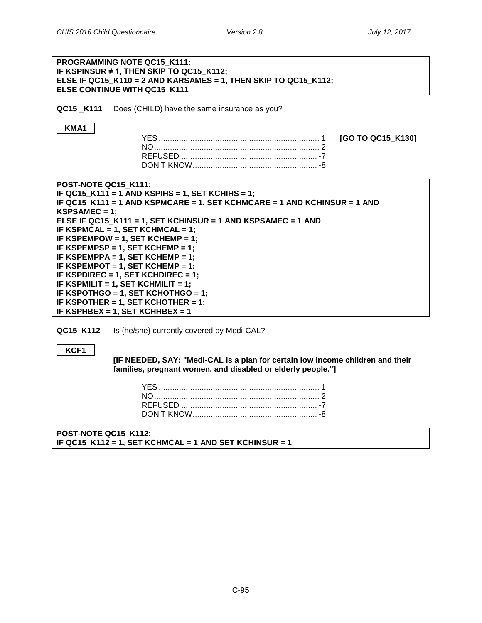# **PROGRAMMING NOTE QC15\_K111: IF KSPINSUR ≠ 1, THEN SKIP TO QC15\_K112; ELSE IF QC15\_K110 = 2 AND KARSAMES = 1, THEN SKIP TO QC15\_K112; ELSE CONTINUE WITH QC15\_K111 QC15 K111** Does (CHILD) have the same insurance as you? **KMA1** YES....................................................................... 1 **[GO TO QC15\_K130]**

NO......................................................................... 2 REFUSED ............................................................ -7 DON'T KNOW....................................................... -8



**QC15 K112** Is {he/she} currently covered by Medi-CAL?

#### **KCF1**

**[IF NEEDED, SAY: "Medi-CAL is a plan for certain low income children and their families, pregnant women, and disabled or elderly people."]**

**POST-NOTE QC15\_K112: IF QC15\_K112 = 1, SET KCHMCAL = 1 AND SET KCHINSUR = 1**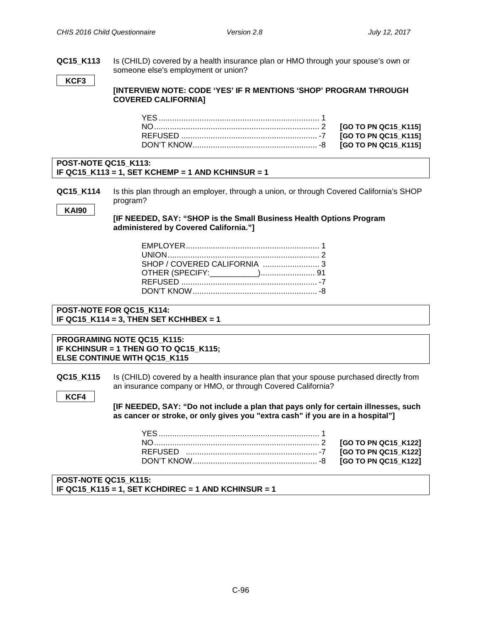**QC15\_K113** Is (CHILD) covered by a health insurance plan or HMO through your spouse's own or someone else's employment or union?

**KCF3**

**[INTERVIEW NOTE: CODE 'YES' IF R MENTIONS 'SHOP' PROGRAM THROUGH COVERED CALIFORNIA]**

#### **POST-NOTE QC15\_K113: IF QC15\_K113 = 1, SET KCHEMP = 1 AND KCHINSUR = 1**

**QC15 K114** Is this plan through an employer, through a union, or through Covered California's SHOP program?

**KAI90**

**KCF4**

**[IF NEEDED, SAY: "SHOP is the Small Business Health Options Program administered by Covered California."]**

| SHOP / COVERED CALIFORNIA 3 |  |
|-----------------------------|--|
|                             |  |
|                             |  |
|                             |  |

#### **POST-NOTE FOR QC15\_K114: IF QC15\_K114 = 3, THEN SET KCHHBEX = 1**

**PROGRAMING NOTE QC15\_K115: IF KCHINSUR = 1 THEN GO TO QC15\_K115; ELSE CONTINUE WITH QC15\_K115**

**QC15 K115** Is (CHILD) covered by a health insurance plan that your spouse purchased directly from an insurance company or HMO, or through Covered California?

> **[IF NEEDED, SAY: "Do not include a plan that pays only for certain illnesses, such as cancer or stroke, or only gives you "extra cash" if you are in a hospital"]**

**POST-NOTE QC15\_K115: IF QC15\_K115 = 1, SET KCHDIREC = 1 AND KCHINSUR = 1**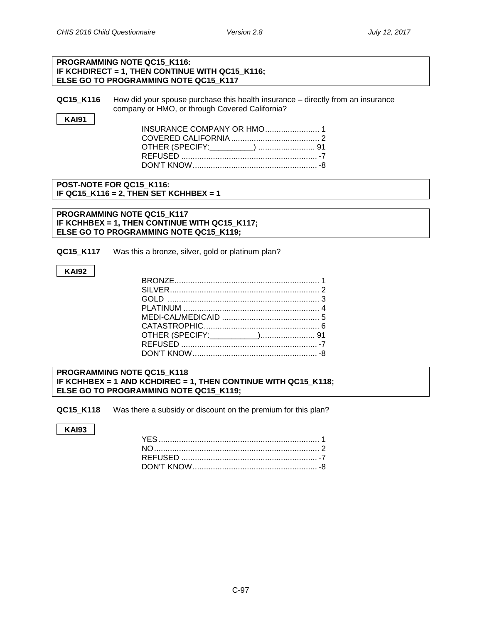#### **PROGRAMMING NOTE QC15\_K116: IF KCHDIRECT = 1, THEN CONTINUE WITH QC15\_K116; ELSE GO TO PROGRAMMING NOTE QC15\_K117**

**QC15 K116** How did your spouse purchase this health insurance – directly from an insurance company or HMO, or through Covered California?

**KAI91**

| <b>INSURANCE COMPANY OR HMO 1</b> |  |
|-----------------------------------|--|
|                                   |  |
| OTHER (SPECIFY:_________)  91     |  |
|                                   |  |
|                                   |  |

#### **POST-NOTE FOR QC15\_K116: IF QC15\_K116 = 2, THEN SET KCHHBEX = 1**

**PROGRAMMING NOTE QC15\_K117 IF KCHHBEX = 1, THEN CONTINUE WITH QC15\_K117; ELSE GO TO PROGRAMMING NOTE QC15\_K119;**

**QC15 K117** Was this a bronze, silver, gold or platinum plan?

#### **KAI92**

**PROGRAMMING NOTE QC15\_K118 IF KCHHBEX = 1 AND KCHDIREC = 1, THEN CONTINUE WITH QC15\_K118; ELSE GO TO PROGRAMMING NOTE QC15\_K119;**

**QC15\_K118** Was there a subsidy or discount on the premium for this plan?

#### **KAI93**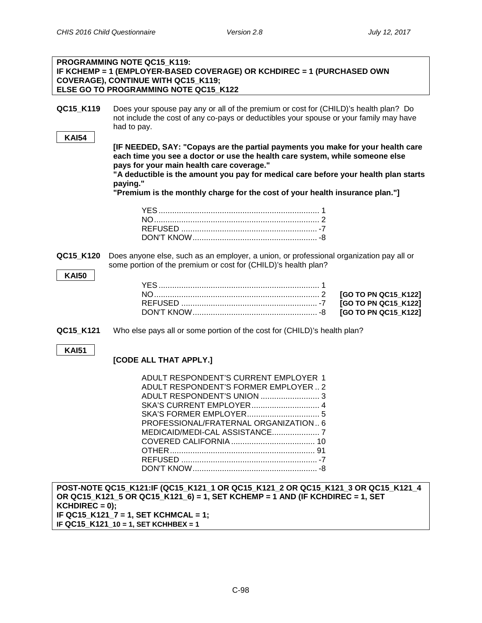٦

|                           | <b>PROGRAMMING NOTE QC15 K119:</b><br>IF KCHEMP = 1 (EMPLOYER-BASED COVERAGE) OR KCHDIREC = 1 (PURCHASED OWN<br><b>COVERAGE), CONTINUE WITH QC15_K119;</b><br>ELSE GO TO PROGRAMMING NOTE QC15 K122                                                                                                                                                                                                                                                                                                                                                                                              |  |                      |
|---------------------------|--------------------------------------------------------------------------------------------------------------------------------------------------------------------------------------------------------------------------------------------------------------------------------------------------------------------------------------------------------------------------------------------------------------------------------------------------------------------------------------------------------------------------------------------------------------------------------------------------|--|----------------------|
| QC15_K119<br><b>KAI54</b> | Does your spouse pay any or all of the premium or cost for (CHILD)'s health plan? Do<br>not include the cost of any co-pays or deductibles your spouse or your family may have<br>had to pay.<br>[IF NEEDED, SAY: "Copays are the partial payments you make for your health care<br>each time you see a doctor or use the health care system, while someone else<br>pays for your main health care coverage."<br>"A deductible is the amount you pay for medical care before your health plan starts<br>paying."<br>"Premium is the monthly charge for the cost of your health insurance plan."] |  |                      |
|                           |                                                                                                                                                                                                                                                                                                                                                                                                                                                                                                                                                                                                  |  |                      |
|                           |                                                                                                                                                                                                                                                                                                                                                                                                                                                                                                                                                                                                  |  |                      |
|                           |                                                                                                                                                                                                                                                                                                                                                                                                                                                                                                                                                                                                  |  |                      |
| QC15_K120<br><b>KAI50</b> | Does anyone else, such as an employer, a union, or professional organization pay all or<br>some portion of the premium or cost for (CHILD)'s health plan?                                                                                                                                                                                                                                                                                                                                                                                                                                        |  |                      |
|                           |                                                                                                                                                                                                                                                                                                                                                                                                                                                                                                                                                                                                  |  | [GO TO PN QC15_K122] |
|                           |                                                                                                                                                                                                                                                                                                                                                                                                                                                                                                                                                                                                  |  | [GO TO PN QC15_K122] |
|                           |                                                                                                                                                                                                                                                                                                                                                                                                                                                                                                                                                                                                  |  | [GO TO PN QC15_K122] |
| QC15_K121                 | Who else pays all or some portion of the cost for (CHILD)'s health plan?                                                                                                                                                                                                                                                                                                                                                                                                                                                                                                                         |  |                      |
| <b>KAI51</b>              | [CODE ALL THAT APPLY.]                                                                                                                                                                                                                                                                                                                                                                                                                                                                                                                                                                           |  |                      |
|                           | ADULT RESPONDENT'S CURRENT EMPLOYER 1                                                                                                                                                                                                                                                                                                                                                                                                                                                                                                                                                            |  |                      |
|                           | ADULT RESPONDENT'S FORMER EMPLOYER  2                                                                                                                                                                                                                                                                                                                                                                                                                                                                                                                                                            |  |                      |
|                           | SKA'S CURRENT EMPLOYER 4                                                                                                                                                                                                                                                                                                                                                                                                                                                                                                                                                                         |  |                      |
|                           |                                                                                                                                                                                                                                                                                                                                                                                                                                                                                                                                                                                                  |  |                      |
|                           | PROFESSIONAL/FRATERNAL ORGANIZATION 6                                                                                                                                                                                                                                                                                                                                                                                                                                                                                                                                                            |  |                      |
|                           |                                                                                                                                                                                                                                                                                                                                                                                                                                                                                                                                                                                                  |  |                      |
|                           |                                                                                                                                                                                                                                                                                                                                                                                                                                                                                                                                                                                                  |  |                      |
|                           |                                                                                                                                                                                                                                                                                                                                                                                                                                                                                                                                                                                                  |  |                      |
|                           |                                                                                                                                                                                                                                                                                                                                                                                                                                                                                                                                                                                                  |  |                      |
| $KCHDIREC = 0$ );         | POST-NOTE QC15 K121:IF (QC15 K121 1 OR QC15 K121 2 OR QC15 K121 3 OR QC15 K121 4<br>OR QC15_K121_5 OR QC15_K121_6) = 1, SET KCHEMP = 1 AND (IF KCHDIREC = 1, SET<br>IF QC15_K121_7 = 1, SET KCHMCAL = 1;<br>IF QC15_K121_10 = 1, SET KCHHBEX = 1                                                                                                                                                                                                                                                                                                                                                 |  |                      |
|                           |                                                                                                                                                                                                                                                                                                                                                                                                                                                                                                                                                                                                  |  |                      |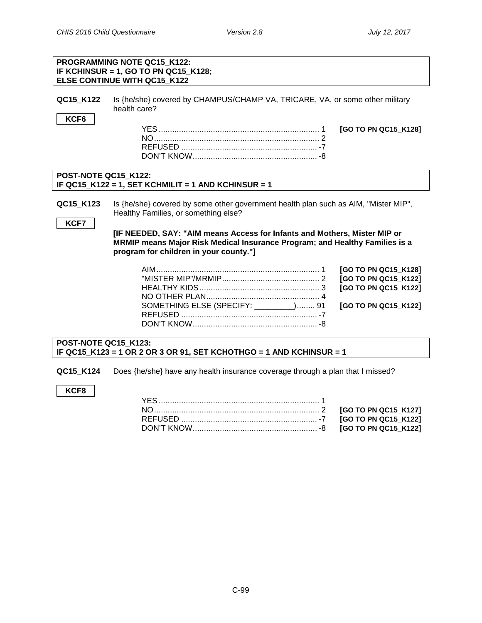|                                                                                                                       | <b>PROGRAMMING NOTE QC15 K122:</b><br>IF KCHINSUR = 1, GO TO PN QC15_K128;<br>ELSE CONTINUE WITH QC15 K122                                                                                               |                                                                      |  |  |
|-----------------------------------------------------------------------------------------------------------------------|----------------------------------------------------------------------------------------------------------------------------------------------------------------------------------------------------------|----------------------------------------------------------------------|--|--|
| QC15_K122                                                                                                             | Is {he/she} covered by CHAMPUS/CHAMP VA, TRICARE, VA, or some other military<br>health care?                                                                                                             |                                                                      |  |  |
| KCF6                                                                                                                  |                                                                                                                                                                                                          | [GO TO PN QC15_K128]                                                 |  |  |
| POST-NOTE QC15 K122:                                                                                                  | IF QC15_K122 = 1, SET KCHMILIT = 1 AND KCHINSUR = 1                                                                                                                                                      |                                                                      |  |  |
| QC15_K123<br>KCF7                                                                                                     | Is {he/she} covered by some other government health plan such as AIM, "Mister MIP",<br>Healthy Families, or something else?<br>[IF NEEDED, SAY: "AIM means Access for Infants and Mothers, Mister MIP or |                                                                      |  |  |
| MRMIP means Major Risk Medical Insurance Program; and Healthy Families is a<br>program for children in your county."] |                                                                                                                                                                                                          |                                                                      |  |  |
|                                                                                                                       |                                                                                                                                                                                                          | [GO TO PN QC15_K128]<br>[GO TO PN QC15_K122]<br>[GO TO PN QC15_K122] |  |  |
|                                                                                                                       | SOMETHING ELSE (SPECIFY: ________) 91                                                                                                                                                                    | [GO TO PN QC15_K122]                                                 |  |  |
| POST-NOTE QC15 K123:<br>IF QC15_K123 = 1 OR 2 OR 3 OR 91, SET KCHOTHGO = 1 AND KCHINSUR = 1                           |                                                                                                                                                                                                          |                                                                      |  |  |

QC15\_K124 Does {he/she} have any health insurance coverage through a plan that I missed?

# **KCF8**

| DON'T KNOW……………………………………………… -8 [GO TO PN QC15_K122] |  |
|------------------------------------------------------|--|
|                                                      |  |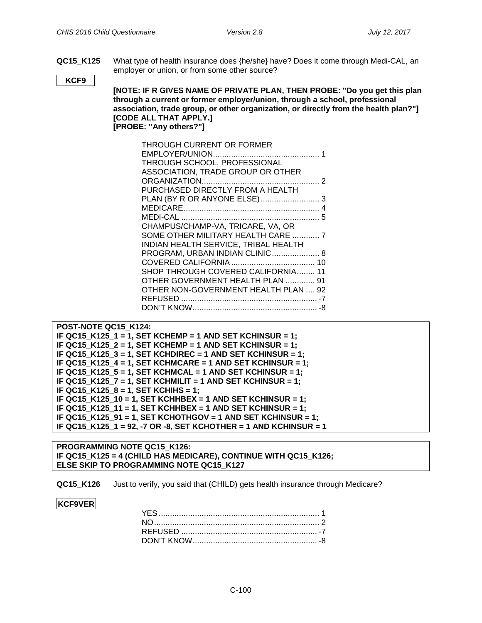**QC15\_K125** What type of health insurance does {he/she} have? Does it come through Medi-CAL, an employer or union, or from some other source?

**KCF9**

**[NOTE: IF R GIVES NAME OF PRIVATE PLAN, THEN PROBE: "Do you get this plan through a current or former employer/union, through a school, professional association, trade group, or other organization, or directly from the health plan?"] [CODE ALL THAT APPLY.] [PROBE: "Any others?"]**

| THROUGH CURRENT OR FORMER            |  |
|--------------------------------------|--|
|                                      |  |
| THROUGH SCHOOL, PROFESSIONAL         |  |
| ASSOCIATION, TRADE GROUP OR OTHER    |  |
|                                      |  |
| PURCHASED DIRECTLY FROM A HEALTH     |  |
|                                      |  |
|                                      |  |
|                                      |  |
| CHAMPUS/CHAMP-VA, TRICARE, VA, OR    |  |
| SOME OTHER MILITARY HEALTH CARE  7   |  |
| INDIAN HEALTH SERVICE, TRIBAL HEALTH |  |
| PROGRAM, URBAN INDIAN CLINIC 8       |  |
|                                      |  |
| SHOP THROUGH COVERED CALIFORNIA 11   |  |
| OTHER GOVERNMENT HEALTH PLAN  91     |  |
| OTHER NON-GOVERNMENT HEALTH PLAN  92 |  |
|                                      |  |
|                                      |  |
|                                      |  |

```
POST-NOTE QC15_K124:
IF QC15_K125_1 = 1, SET KCHEMP = 1 AND SET KCHINSUR = 1;
IF QC15_K125_2 = 1, SET KCHEMP = 1 AND SET KCHINSUR = 1;
IF QC15_K125_3 = 1, SET KCHDIREC = 1 AND SET KCHINSUR = 1;
IF QC15_K125_4 = 1, SET KCHMCARE = 1 AND SET KCHINSUR = 1;
IF QC15_K125_5 = 1, SET KCHMCAL = 1 AND SET KCHINSUR = 1;
IF QC15_K125_7 = 1, SET KCHMILIT = 1 AND SET KCHINSUR = 1;
IF QC15_K125_8 = 1, SET KCHIHS = 1;
IF QC15_K125_10 = 1, SET KCHHBEX = 1 AND SET KCHINSUR = 1;
IF QC15_K125_11 = 1, SET KCHHBEX = 1 AND SET KCHINSUR = 1;
IF QC15_K125_91 = 1, SET KCHOTHGOV = 1 AND SET KCHINSUR = 1;
IF QC15_K125_1 = 92, -7 OR -8, SET KCHOTHER = 1 AND KCHINSUR = 1
```
**PROGRAMMING NOTE QC15\_K126: IF QC15\_K125 = 4 (CHILD HAS MEDICARE), CONTINUE WITH QC15\_K126; ELSE SKIP TO PROGRAMMING NOTE QC15\_K127**

**QC15 K126** Just to verify, you said that (CHILD) gets health insurance through Medicare?

#### **KCF9VER**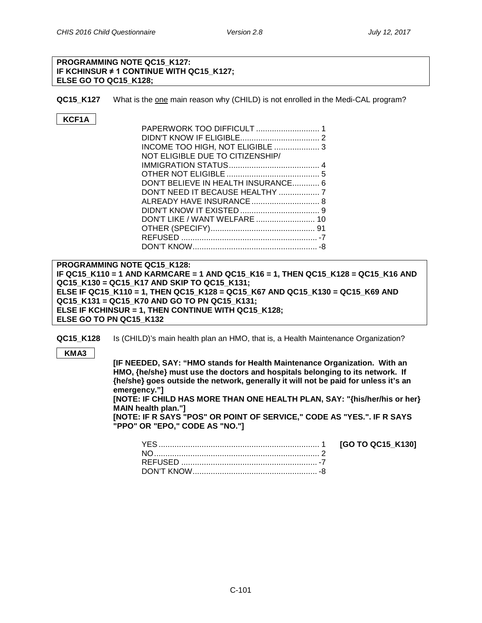YES....................................................................... 1 **[GO TO QC15\_K130]**

#### **PROGRAMMING NOTE QC15\_K127: IF KCHINSUR ≠ 1 CONTINUE WITH QC15\_K127; ELSE GO TO QC15\_K128;**

**QC15\_K127** What is the one main reason why (CHILD) is not enrolled in the Medi-CAL program?

# **KCF1A**

| INCOME TOO HIGH, NOT ELIGIBLE  3    |  |
|-------------------------------------|--|
| NOT ELIGIBLE DUE TO CITIZENSHIP/    |  |
|                                     |  |
|                                     |  |
| DON'T BELIEVE IN HEALTH INSURANCE 6 |  |
|                                     |  |
|                                     |  |
|                                     |  |
|                                     |  |
|                                     |  |
|                                     |  |
|                                     |  |

**PROGRAMMING NOTE QC15\_K128: IF QC15\_K110 = 1 AND KARMCARE = 1 AND QC15\_K16 = 1, THEN QC15\_K128 = QC15\_K16 AND QC15\_K130 = QC15\_K17 AND SKIP TO QC15\_K131; ELSE IF QC15\_K110 = 1, THEN QC15\_K128 = QC15\_K67 AND QC15\_K130 = QC15\_K69 AND QC15\_K131 = QC15\_K70 AND GO TO PN QC15\_K131; ELSE IF KCHINSUR = 1, THEN CONTINUE WITH QC15\_K128; ELSE GO TO PN QC15\_K132**

**QC15 K128** Is (CHILD)'s main health plan an HMO, that is, a Health Maintenance Organization?

**KMA3**

**[IF NEEDED, SAY: "HMO stands for Health Maintenance Organization. With an HMO, {he/she} must use the doctors and hospitals belonging to its network. If {he/she} goes outside the network, generally it will not be paid for unless it's an emergency."] [NOTE: IF CHILD HAS MORE THAN ONE HEALTH PLAN, SAY: "{his/her/his or her} MAIN health plan."] [NOTE: IF R SAYS "POS" OR POINT OF SERVICE," CODE AS "YES.". IF R SAYS** 

**"PPO" OR "EPO," CODE AS "NO."]**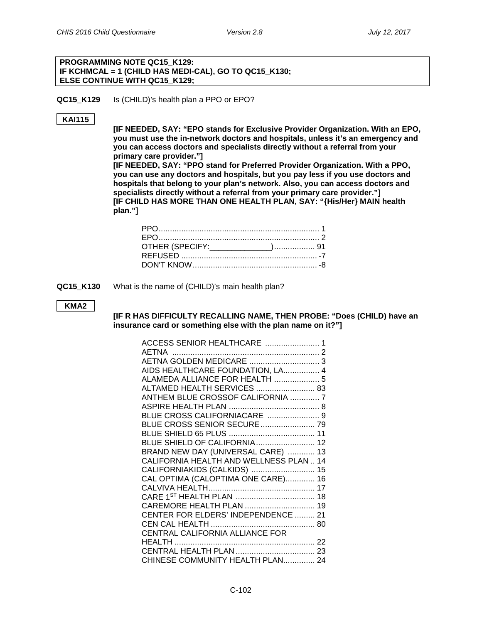#### **PROGRAMMING NOTE QC15\_K129: IF KCHMCAL = 1 (CHILD HAS MEDI-CAL), GO TO QC15\_K130; ELSE CONTINUE WITH QC15\_K129;**

**QC15\_K129** Is (CHILD)'s health plan a PPO or EPO?

#### **KAI115**

**[IF NEEDED, SAY: "EPO stands for Exclusive Provider Organization. With an EPO, you must use the in-network doctors and hospitals, unless it's an emergency and you can access doctors and specialists directly without a referral from your primary care provider."]**

**[IF NEEDED, SAY: "PPO stand for Preferred Provider Organization. With a PPO, you can use any doctors and hospitals, but you pay less if you use doctors and hospitals that belong to your plan's network. Also, you can access doctors and specialists directly without a referral from your primary care provider."] [IF CHILD HAS MORE THAN ONE HEALTH PLAN, SAY: "{His/Her} MAIN health plan."]**

**QC15 K130** What is the name of (CHILD)'s main health plan?

#### **KMA2**

**[IF R HAS DIFFICULTY RECALLING NAME, THEN PROBE: "Does (CHILD) have an insurance card or something else with the plan name on it?"]**

| ACCESS SENIOR HEALTHCARE  1             |  |
|-----------------------------------------|--|
|                                         |  |
| AETNA GOLDEN MEDICARE  3                |  |
| AIDS HEALTHCARE FOUNDATION, LA 4        |  |
| ALAMEDA ALLIANCE FOR HEALTH  5          |  |
| ALTAMED HEALTH SERVICES  83             |  |
| ANTHEM BLUE CROSSOF CALIFORNIA  7       |  |
|                                         |  |
| BLUE CROSS CALIFORNIACARE  9            |  |
| BLUE CROSS SENIOR SECURE  79            |  |
|                                         |  |
|                                         |  |
| BRAND NEW DAY (UNIVERSAL CARE)  13      |  |
| CALIFORNIA HEALTH AND WELLNESS PLAN  14 |  |
| CALIFORNIAKIDS (CALKIDS)  15            |  |
| CAL OPTIMA (CALOPTIMA ONE CARE) 16      |  |
|                                         |  |
|                                         |  |
| CAREMORE HEALTH PLAN  19                |  |
| CENTER FOR ELDERS' INDEPENDENCE  21     |  |
|                                         |  |
|                                         |  |
|                                         |  |
|                                         |  |
| CHINESE COMMUNITY HEALTH PLAN 24        |  |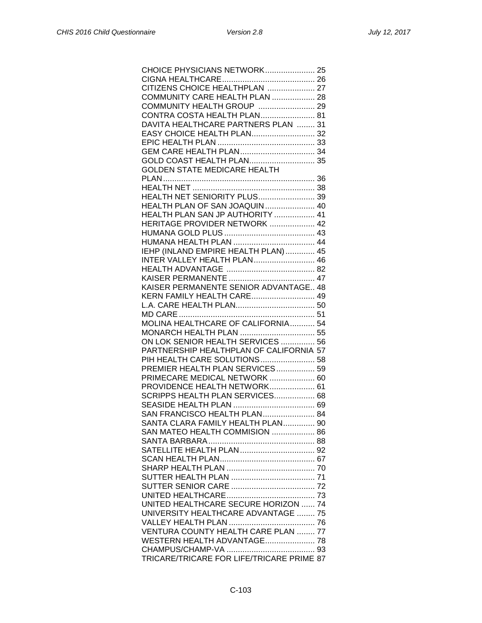| CHOICE PHYSICIANS NETWORK 25                |
|---------------------------------------------|
|                                             |
| CITIZENS CHOICE HEALTHPLAN  27              |
|                                             |
| COMMUNITY CARE HEALTH PLAN  28              |
| COMMUNITY HEALTH GROUP  29                  |
| CONTRA COSTA HEALTH PLAN 81                 |
| DAVITA HEALTHCARE PARTNERS PLAN  31         |
| EASY CHOICE HEALTH PLAN 32                  |
|                                             |
|                                             |
| GOLD COAST HEALTH PLAN 35                   |
| GOLDEN STATE MEDICARE HEALTH                |
|                                             |
|                                             |
|                                             |
| <b>HEALTH NET SENIORITY PLUS 39</b>         |
| HEALTH PLAN OF SAN JOAQUIN 40               |
| HEALTH PLAN SAN JP AUTHORITY  41            |
| HERITAGE PROVIDER NETWORK  42               |
|                                             |
|                                             |
| IEHP (INLAND EMPIRE HEALTH PLAN) 45         |
| <b>INTER VALLEY HEALTH PLAN 46</b>          |
|                                             |
|                                             |
| KAISER PERMANENTE SENIOR ADVANTAGE 48       |
|                                             |
| KERN FAMILY HEALTH CARE 49                  |
|                                             |
|                                             |
| MOLINA HEALTHCARE OF CALIFORNIA 54          |
| MONARCH HEALTH PLAN  55                     |
| ON LOK SENIOR HEALTH SERVICES  56           |
| PARTNERSHIP HEALTHPLAN OF CALIFORNIA 57     |
| PIH HEALTH CARE SOLUTIONS 58                |
| PREMIER HEALTH PLAN SERVICES 59             |
| PRIMECARE MEDICAL NETWORK  60               |
| PROVIDENCE HEALTH NETWORK 61                |
| SCRIPPS HEALTH PLAN SERVICES 68             |
|                                             |
| SAN FRANCISCO HEALTH PLAN 84                |
| SANTA CLARA FAMILY HEALTH PLAN 90           |
| SAN MATEO HEALTH COMMISION  86              |
|                                             |
|                                             |
|                                             |
|                                             |
|                                             |
|                                             |
|                                             |
|                                             |
| <b>UNITED HEALTHCARE SECURE HORIZON  74</b> |
| UNIVERSITY HEALTHCARE ADVANTAGE  75         |
|                                             |
| VENTURA COUNTY HEALTH CARE PLAN  77         |
| WESTERN HEALTH ADVANTAGE 78                 |
|                                             |
| TRICARE/TRICARE FOR LIFE/TRICARE PRIME 87   |
|                                             |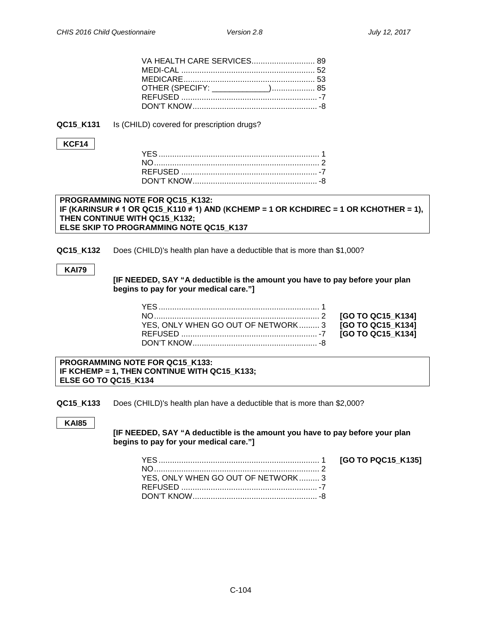| OTHER (SPECIFY: _____________) 85 |
|-----------------------------------|
|                                   |
|                                   |
|                                   |

**QC15\_K131** Is (CHILD) covered for prescription drugs?

#### **KCF14**

#### **PROGRAMMING NOTE FOR QC15\_K132: IF (KARINSUR ≠ 1 OR QC15\_K110 ≠ 1) AND (KCHEMP = 1 OR KCHDIREC = 1 OR KCHOTHER = 1), THEN CONTINUE WITH QC15\_K132; ELSE SKIP TO PROGRAMMING NOTE QC15\_K137**

**QC15\_K132** Does (CHILD)'s health plan have a deductible that is more than \$1,000?

#### **KAI79**

**[IF NEEDED, SAY "A deductible is the amount you have to pay before your plan begins to pay for your medical care."]**

| YES, ONLY WHEN GO OUT OF NETWORK 3 <b>[GO TO QC15 K134]</b> |  |
|-------------------------------------------------------------|--|
|                                                             |  |
|                                                             |  |

**PROGRAMMING NOTE FOR QC15\_K133: IF KCHEMP = 1, THEN CONTINUE WITH QC15\_K133; ELSE GO TO QC15\_K134**

**QC15\_K133** Does (CHILD)'s health plan have a deductible that is more than \$2,000?

**KAI85**

**[IF NEEDED, SAY "A deductible is the amount you have to pay before your plan begins to pay for your medical care."]**

| YES. ONLY WHEN GO OUT OF NETWORK 3 |  |
|------------------------------------|--|
|                                    |  |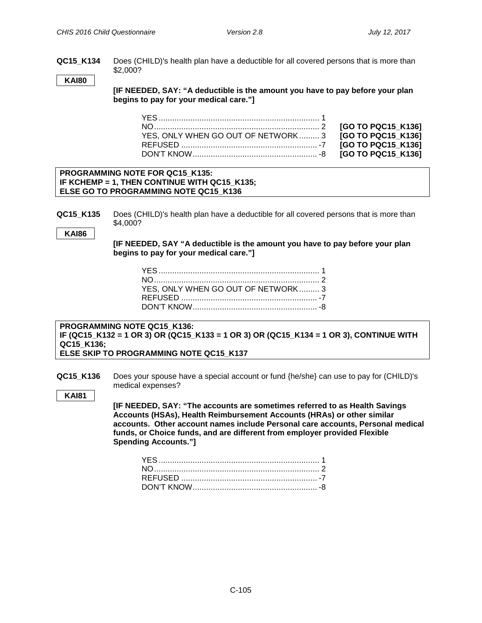**QC15\_K134** Does (CHILD)'s health plan have a deductible for all covered persons that is more than \$2,000?

**KAI80**

**[IF NEEDED, SAY: "A deductible is the amount you have to pay before your plan begins to pay for your medical care."]**

| YES, ONLY WHEN GO OUT OF NETWORK 3 |  |
|------------------------------------|--|
|                                    |  |
|                                    |  |

NO......................................................................... 2 **[GO TO PQC15\_K136]**  $[GO TO PQC15 K136]$ REFUSED ............................................................ -7 **[GO TO PQC15\_K136]**  $G$ O TO PQC15\_K136]

#### **PROGRAMMING NOTE FOR QC15\_K135: IF KCHEMP = 1, THEN CONTINUE WITH QC15\_K135; ELSE GO TO PROGRAMMING NOTE QC15\_K136**

**QC15\_K135** Does (CHILD)'s health plan have a deductible for all covered persons that is more than \$4,000?

**KAI86**

**[IF NEEDED, SAY "A deductible is the amount you have to pay before your plan begins to pay for your medical care."]**

| YES, ONLY WHEN GO OUT OF NETWORK 3 |  |
|------------------------------------|--|
|                                    |  |
|                                    |  |

**PROGRAMMING NOTE QC15\_K136: IF (QC15\_K132 = 1 OR 3) OR (QC15\_K133 = 1 OR 3) OR (QC15\_K134 = 1 OR 3), CONTINUE WITH QC15\_K136; ELSE SKIP TO PROGRAMMING NOTE QC15\_K137**

**QC15\_K136** Does your spouse have a special account or fund {he/she} can use to pay for (CHILD)'s medical expenses?

**KAI81**

**[IF NEEDED, SAY: "The accounts are sometimes referred to as Health Savings Accounts (HSAs), Health Reimbursement Accounts (HRAs) or other similar accounts. Other account names include Personal care accounts, Personal medical funds, or Choice funds, and are different from employer provided Flexible Spending Accounts."]**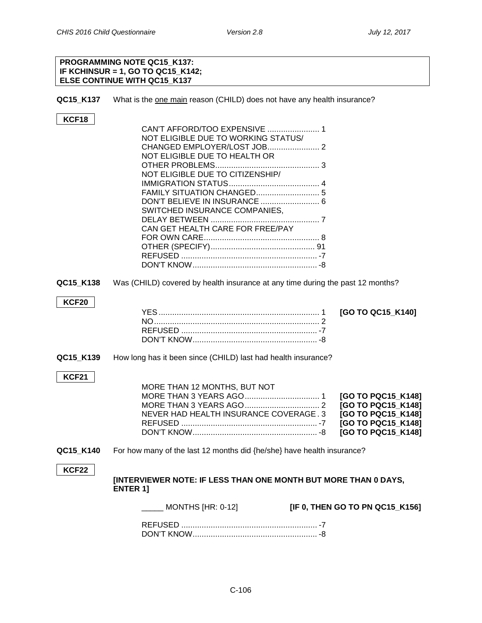#### **PROGRAMMING NOTE QC15\_K137: IF KCHINSUR = 1, GO TO QC15\_K142; ELSE CONTINUE WITH QC15\_K137**

**QC15\_K137** What is the one main reason (CHILD) does not have any health insurance?

## **KCF18**

| CAN'T AFFORD/TOO EXPENSIVE  1       |  |
|-------------------------------------|--|
| NOT ELIGIBLE DUE TO WORKING STATUS/ |  |
|                                     |  |
| NOT ELIGIBLE DUE TO HEALTH OR       |  |
|                                     |  |
| NOT ELIGIBLE DUE TO CITIZENSHIP/    |  |
|                                     |  |
|                                     |  |
|                                     |  |
| SWITCHED INSURANCE COMPANIES,       |  |
|                                     |  |
| CAN GET HEALTH CARE FOR FREE/PAY    |  |
|                                     |  |
|                                     |  |
|                                     |  |
|                                     |  |
|                                     |  |

**QC15\_K138** Was (CHILD) covered by health insurance at any time during the past 12 months?

#### **KCF20**

**QC15\_K139** How long has it been since (CHILD) last had health insurance?

#### **KCF21**

|                    | MORE THAN 12 MONTHS, BUT NOT           |
|--------------------|----------------------------------------|
| [GO TO PQC15 K148] |                                        |
| [GO TO PQC15 K148] |                                        |
| [GO TO PQC15 K148] | NEVER HAD HEALTH INSURANCE COVERAGE, 3 |
| [GO TO PQC15 K148] |                                        |
| [GO TO PQC15 K148] |                                        |
|                    |                                        |

**QC15\_K140** For how many of the last 12 months did {he/she} have health insurance?

#### **KCF22**

**[INTERVIEWER NOTE: IF LESS THAN ONE MONTH BUT MORE THAN 0 DAYS, ENTER 1]**

\_\_\_\_\_ MONTHS [HR: 0-12] **[IF 0, THEN GO TO PN QC15\_K156]**

 $[GO TO QC15 K140]$ 

REFUSED ............................................................ -7 DON'T KNOW....................................................... -8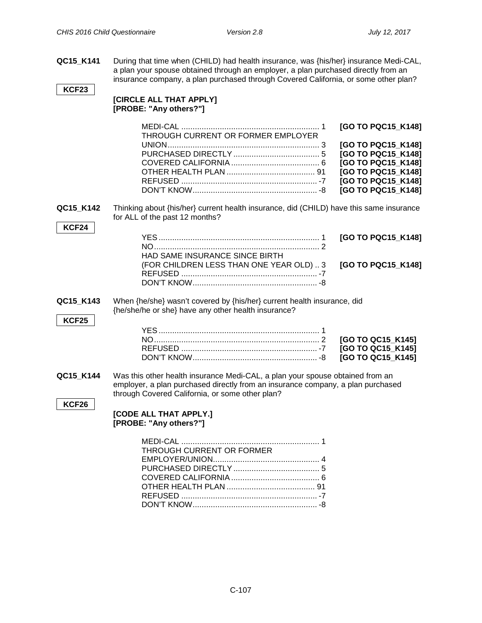**QC15\_K141** During that time when (CHILD) had health insurance, was {his/her} insurance Medi-CAL, a plan your spouse obtained through an employer, a plan purchased directly from an insurance company, a plan purchased through Covered California, or some other plan?

#### **KCF23**

# **[CIRCLE ALL THAT APPLY] [PROBE: "Any others?"]**

| THROUGH CURRENT OR FORMER EMPLOYER |                    |
|------------------------------------|--------------------|
|                                    | [GO TO PQC15_K148] |
|                                    | [GO TO PQC15_K148] |
|                                    | [GO TO PQC15 K148] |
|                                    | [GO TO PQC15_K148] |
|                                    | [GO TO PQC15_K148] |
|                                    | [GO TO PQC15_K148] |
|                                    |                    |

**QC15\_K142** Thinking about {his/her} current health insurance, did (CHILD) have this same insurance for ALL of the past 12 months?

#### **KCF24**

| <b>HAD SAME INSURANCE SINCE BIRTH</b>                       |  |
|-------------------------------------------------------------|--|
| (FOR CHILDREN LESS THAN ONE YEAR OLD)  3 [GO TO PQC15_K148] |  |
|                                                             |  |
|                                                             |  |
|                                                             |  |

#### **QC15 K143** When {he/she} wasn't covered by {his/her} current health insurance, did {he/she/he or she} have any other health insurance?

#### **KCF25**

**QC15\_K144** Was this other health insurance Medi-CAL, a plan your spouse obtained from an employer, a plan purchased directly from an insurance company, a plan purchased through Covered California, or some other plan?

#### **KCF26**

#### **[CODE ALL THAT APPLY.] [PROBE: "Any others?"]**

| THROUGH CURRENT OR FORMER |  |
|---------------------------|--|
|                           |  |
|                           |  |
|                           |  |
|                           |  |
|                           |  |
|                           |  |
|                           |  |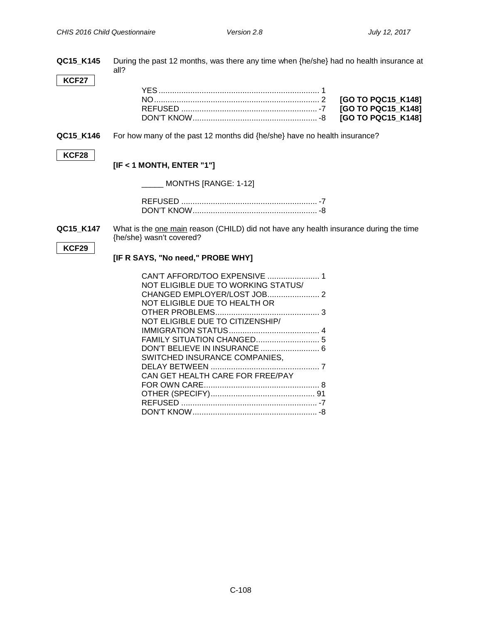| QC15 K145    | During the past 12 months, was there any time when {he/she} had no health insurance at<br>all?                    |  |
|--------------|-------------------------------------------------------------------------------------------------------------------|--|
| <b>KCF27</b> |                                                                                                                   |  |
|              |                                                                                                                   |  |
|              | [GO TO PQC15 K148]                                                                                                |  |
|              | [GO TO PQC15 K148]                                                                                                |  |
|              | [GO TO PQC15_K148]                                                                                                |  |
| QC15_K146    | For how many of the past 12 months did {he/she} have no health insurance?                                         |  |
| KCF28        |                                                                                                                   |  |
|              | $[IF < 1$ MONTH, ENTER "1"]                                                                                       |  |
|              | $\_$ MONTHS [RANGE: 1-12]                                                                                         |  |
|              |                                                                                                                   |  |
|              |                                                                                                                   |  |
|              |                                                                                                                   |  |
| QC15_K147    | What is the one main reason (CHILD) did not have any health insurance during the time<br>{he/she} wasn't covered? |  |
| <b>KCF29</b> |                                                                                                                   |  |
|              | [IF R SAYS, "No need," PROBE WHY]                                                                                 |  |
|              |                                                                                                                   |  |
|              | NOT ELIGIBLE DUE TO WORKING STATUS/                                                                               |  |
|              |                                                                                                                   |  |
|              | NOT ELIGIBLE DUE TO HEALTH OR                                                                                     |  |
|              |                                                                                                                   |  |
|              | NOT ELIGIBLE DUE TO CITIZENSHIP/                                                                                  |  |
|              |                                                                                                                   |  |
|              | DON'T BELIEVE IN INSURANCE  6                                                                                     |  |
|              | SWITCHED INSURANCE COMPANIES,                                                                                     |  |
|              |                                                                                                                   |  |

CAN GET HEALTH CARE FOR FREE/PAY

FOR OWN CARE................................................... 8 OTHER (SPECIFY).............................................. 91 REFUSED ............................................................ -7 DON'T KNOW....................................................... -8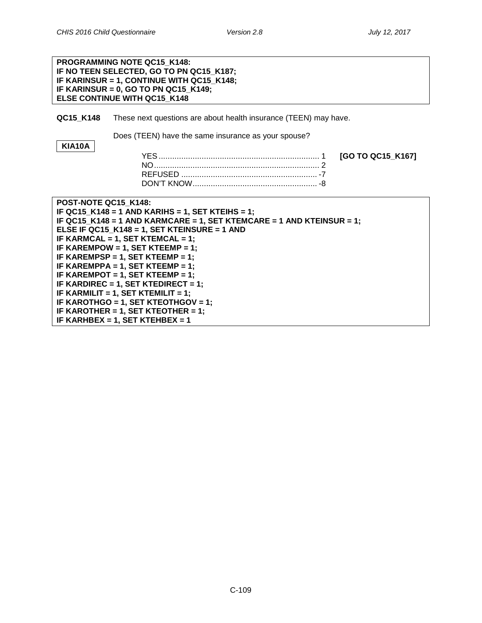| PROGRAMMING NOTE QC15_K148:<br>IF NO TEEN SELECTED, GO TO PN QC15_K187; |                                                                                                                   |                   |  |
|-------------------------------------------------------------------------|-------------------------------------------------------------------------------------------------------------------|-------------------|--|
|                                                                         | IF KARINSUR = 1, CONTINUE WITH QC15_K148;<br>IF KARINSUR = 0, GO TO PN QC15_K149;<br>ELSE CONTINUE WITH QC15_K148 |                   |  |
|                                                                         |                                                                                                                   |                   |  |
| QC15 K148                                                               | These next questions are about health insurance (TEEN) may have.                                                  |                   |  |
| <b>KIA10A</b>                                                           | Does (TEEN) have the same insurance as your spouse?                                                               |                   |  |
|                                                                         |                                                                                                                   | [GO TO QC15_K167] |  |
|                                                                         |                                                                                                                   |                   |  |
|                                                                         |                                                                                                                   |                   |  |
|                                                                         |                                                                                                                   |                   |  |
| POST-NOTE QC15_K148:                                                    |                                                                                                                   |                   |  |
|                                                                         | IF QC15 K148 = 1 AND KARIHS = 1, SET KTEIHS = 1;                                                                  |                   |  |
|                                                                         | IF QC15_K148 = 1 AND KARMCARE = 1, SET KTEMCARE = 1 AND KTEINSUR = 1;                                             |                   |  |
|                                                                         | ELSE IF QC15_K148 = 1, SET KTEINSURE = 1 AND                                                                      |                   |  |
|                                                                         | IF KARMCAL = 1, SET KTEMCAL = 1;                                                                                  |                   |  |
|                                                                         | IF KAREMPOW = 1, SET KTEEMP = 1;                                                                                  |                   |  |
|                                                                         | IF KAREMPSP = 1, SET KTEEMP = 1;                                                                                  |                   |  |
| IF KAREMPPA = 1, SET KTEEMP = 1;                                        |                                                                                                                   |                   |  |
| IF KAREMPOT = 1, SET KTEEMP = 1;                                        |                                                                                                                   |                   |  |
| IF KARDIREC = 1, SET KTEDIRECT = 1;                                     |                                                                                                                   |                   |  |
| IF KARMILIT = 1, SET KTEMILIT = 1;                                      |                                                                                                                   |                   |  |
| IF KAROTHGO = 1, SET KTEOTHGOV = 1;                                     |                                                                                                                   |                   |  |
| IF KAROTHER = 1, SET KTEOTHER = 1;                                      |                                                                                                                   |                   |  |
| IF KARHBEX = 1, SET KTEHBEX = 1                                         |                                                                                                                   |                   |  |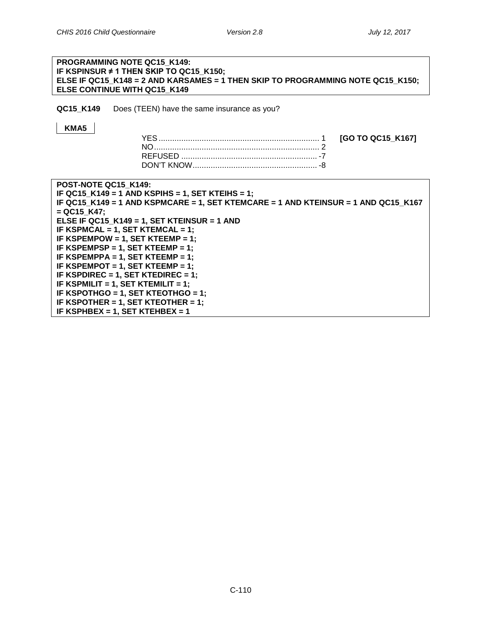# **PROGRAMMING NOTE QC15\_K149: IF KSPINSUR ≠ 1 THEN SKIP TO QC15\_K150; ELSE IF QC15\_K148 = 2 AND KARSAMES = 1 THEN SKIP TO PROGRAMMING NOTE QC15\_K150; ELSE CONTINUE WITH QC15\_K149 QC15 K149** Does (TEEN) have the same insurance as you? **KMA5** YES....................................................................... 1 **[GO TO QC15\_K167]** NO......................................................................... 2 REFUSED ............................................................ -7 DON'T KNOW....................................................... -8 **POST-NOTE QC15\_K149: IF QC15\_K149 = 1 AND KSPIHS = 1, SET KTEIHS = 1; IF QC15\_K149 = 1 AND KSPMCARE = 1, SET KTEMCARE = 1 AND KTEINSUR = 1 AND QC15\_K167 = QC15\_K47; ELSE IF QC15\_K149 = 1, SET KTEINSUR = 1 AND IF KSPMCAL = 1, SET KTEMCAL = 1; IF KSPEMPOW = 1, SET KTEEMP = 1; IF KSPEMPSP = 1, SET KTEEMP = 1; IF KSPEMPPA = 1, SET KTEEMP = 1; IF KSPEMPOT = 1, SET KTEEMP = 1; IF KSPDIREC = 1, SET KTEDIREC = 1; IF KSPMILIT = 1, SET KTEMILIT = 1; IF KSPOTHGO = 1, SET KTEOTHGO = 1; IF KSPOTHER = 1, SET KTEOTHER = 1; IF KSPHBEX = 1, SET KTEHBEX = 1**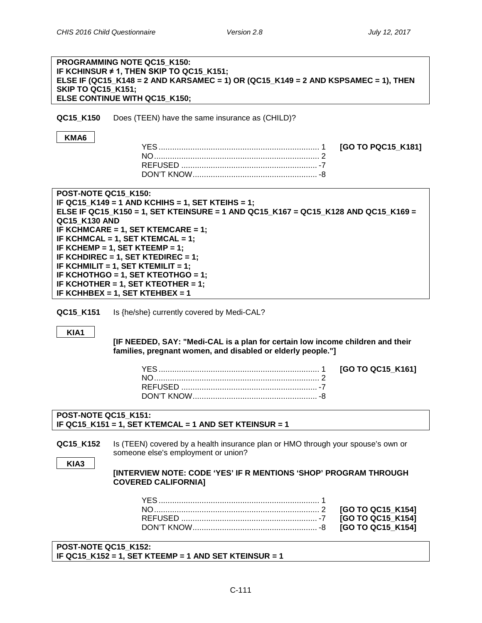| <b>SKIP TO QC15_K151;</b>                    | PROGRAMMING NOTE QC15_K150:<br>IF KCHINSUR $\neq$ 1, THEN SKIP TO QC15 K151;<br>ELSE IF (QC15_K148 = 2 AND KARSAMEC = 1) OR (QC15_K149 = 2 AND KSPSAMEC = 1), THEN<br>ELSE CONTINUE WITH QC15_K150;                                                                                                                                                                                                                                           |                                                             |
|----------------------------------------------|-----------------------------------------------------------------------------------------------------------------------------------------------------------------------------------------------------------------------------------------------------------------------------------------------------------------------------------------------------------------------------------------------------------------------------------------------|-------------------------------------------------------------|
| QC15_K150                                    | Does (TEEN) have the same insurance as (CHILD)?                                                                                                                                                                                                                                                                                                                                                                                               |                                                             |
| KMA6                                         |                                                                                                                                                                                                                                                                                                                                                                                                                                               | [GO TO PQC15_K181]                                          |
| POST-NOTE QC15_K150:<br><b>QC15 K130 AND</b> | IF QC15_K149 = 1 AND KCHIHS = 1, SET KTEIHS = 1;<br>ELSE IF QC15_K150 = 1, SET KTEINSURE = 1 AND QC15_K167 = QC15_K128 AND QC15_K169 =<br>IF KCHMCARE = 1, SET KTEMCARE = 1;<br>IF KCHMCAL = 1, SET KTEMCAL = 1;<br>IF KCHEMP = 1, SET KTEEMP = 1;<br>IF KCHDIREC = 1, SET KTEDIREC = 1;<br>IF KCHMILIT = 1, SET KTEMILIT = 1;<br>IF KCHOTHGO = 1, SET KTEOTHGO = 1;<br>IF KCHOTHER = 1, SET KTEOTHER = 1;<br>IF KCHHBEX = 1, SET KTEHBEX = 1 |                                                             |
| QC15_K151                                    | Is {he/she} currently covered by Medi-CAL?                                                                                                                                                                                                                                                                                                                                                                                                    |                                                             |
| KIA1                                         | [IF NEEDED, SAY: "Medi-CAL is a plan for certain low income children and their<br>families, pregnant women, and disabled or elderly people."]                                                                                                                                                                                                                                                                                                 |                                                             |
|                                              |                                                                                                                                                                                                                                                                                                                                                                                                                                               | [GO TO QC15 K161]                                           |
| POST-NOTE QC15_K151:                         | IF QC15_K151 = 1, SET KTEMCAL = 1 AND SET KTEINSUR = 1                                                                                                                                                                                                                                                                                                                                                                                        |                                                             |
| QC15_K152<br>KIA3                            | Is (TEEN) covered by a health insurance plan or HMO through your spouse's own or<br>someone else's employment or union?<br>[INTERVIEW NOTE: CODE 'YES' IF R MENTIONS 'SHOP' PROGRAM THROUGH<br><b>COVERED CALIFORNIA]</b>                                                                                                                                                                                                                     |                                                             |
|                                              |                                                                                                                                                                                                                                                                                                                                                                                                                                               | [GO TO QC15_K154]<br>[GO TO QC15_K154]<br>[GO TO QC15_K154] |
| POST-NOTE QC15_K152:                         | IF QC15_K152 = 1, SET KTEEMP = 1 AND SET KTEINSUR = 1                                                                                                                                                                                                                                                                                                                                                                                         |                                                             |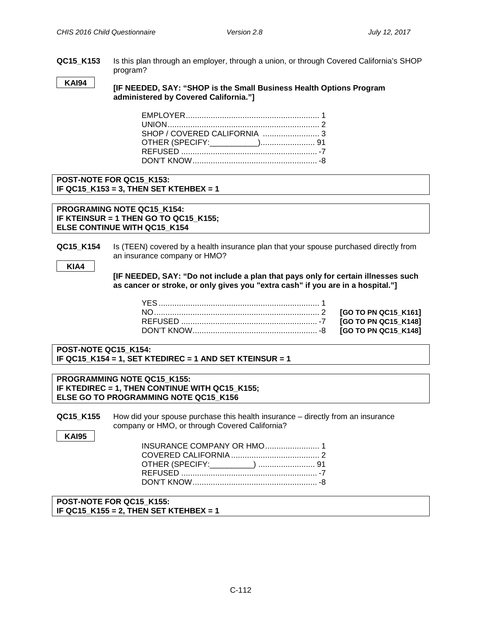**QC15\_K153** Is this plan through an employer, through a union, or through Covered California's SHOP program?

**[IF NEEDED, SAY: "SHOP is the Small Business Health Options Program administered by Covered California."] KAI94**

## **POST-NOTE FOR QC15\_K153: IF QC15\_K153 = 3, THEN SET KTEHBEX = 1**

**PROGRAMING NOTE QC15\_K154: IF KTEINSUR = 1 THEN GO TO QC15\_K155; ELSE CONTINUE WITH QC15\_K154**

**QC15\_K154** Is (TEEN) covered by a health insurance plan that your spouse purchased directly from an insurance company or HMO?

```
KIA4
```
**[IF NEEDED, SAY: "Do not include a plan that pays only for certain illnesses such as cancer or stroke, or only gives you "extra cash" if you are in a hospital."]**

**POST-NOTE QC15\_K154: IF QC15\_K154 = 1, SET KTEDIREC = 1 AND SET KTEINSUR = 1**

**PROGRAMMING NOTE QC15\_K155: IF KTEDIREC = 1, THEN CONTINUE WITH QC15\_K155; ELSE GO TO PROGRAMMING NOTE QC15\_K156**

**QC15\_K155** How did your spouse purchase this health insurance – directly from an insurance company or HMO, or through Covered California?

**KAI95**

| OTHER (SPECIFY:_________)  91 |  |
|-------------------------------|--|
|                               |  |
|                               |  |

**POST-NOTE FOR QC15\_K155: IF QC15\_K155 = 2, THEN SET KTEHBEX = 1**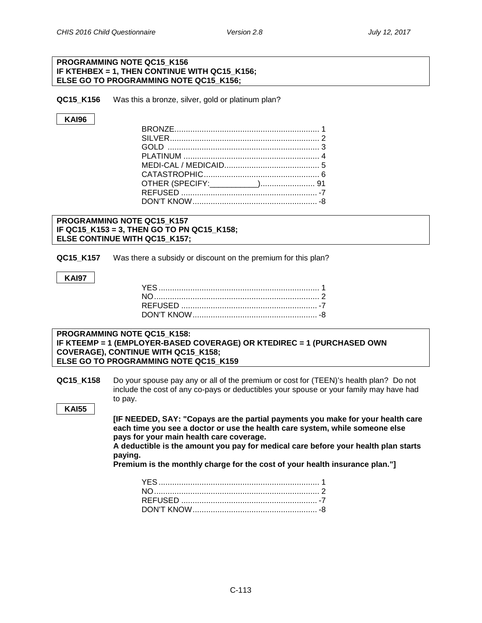#### **PROGRAMMING NOTE QC15\_K156 IF KTEHBEX = 1, THEN CONTINUE WITH QC15\_K156; ELSE GO TO PROGRAMMING NOTE QC15\_K156;**

**QC15 K156** Was this a bronze, silver, gold or platinum plan?

## **KAI96**

## **PROGRAMMING NOTE QC15\_K157 IF QC15\_K153 = 3, THEN GO TO PN QC15\_K158; ELSE CONTINUE WITH QC15\_K157;**

**QC15\_K157** Was there a subsidy or discount on the premium for this plan?

#### **KAI97**

#### **PROGRAMMING NOTE QC15\_K158: IF KTEEMP = 1 (EMPLOYER-BASED COVERAGE) OR KTEDIREC = 1 (PURCHASED OWN COVERAGE), CONTINUE WITH QC15\_K158; ELSE GO TO PROGRAMMING NOTE QC15\_K159**

**QC15\_K158** Do your spouse pay any or all of the premium or cost for (TEEN)'s health plan? Do not include the cost of any co-pays or deductibles your spouse or your family may have had to pay.

**KAI55**

**[IF NEEDED, SAY: "Copays are the partial payments you make for your health care each time you see a doctor or use the health care system, while someone else pays for your main health care coverage.**

**A deductible is the amount you pay for medical care before your health plan starts paying.**

**Premium is the monthly charge for the cost of your health insurance plan."]**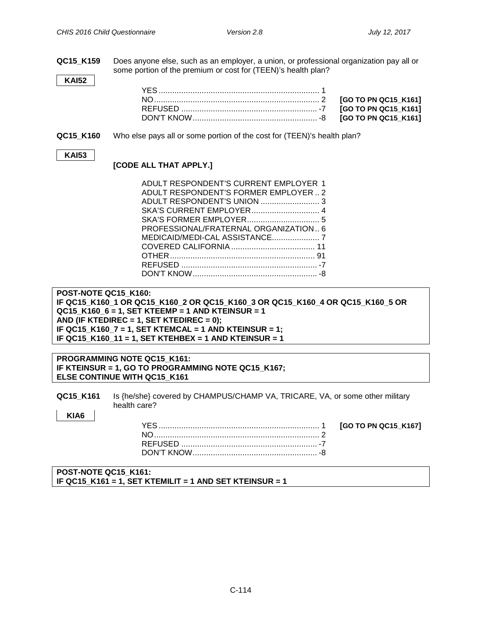**QC15\_K159** Does anyone else, such as an employer, a union, or professional organization pay all or some portion of the premium or cost for (TEEN)'s health plan?

#### **KAI52**

**QC15 K160** Who else pays all or some portion of the cost for (TEEN)'s health plan?

#### **KAI53**

## **[CODE ALL THAT APPLY.]**

| ADULT RESPONDENT'S CURRENT EMPLOYER 1 |
|---------------------------------------|
| ADULT RESPONDENT'S FORMER EMPLOYER2   |
|                                       |
| SKA'S CURRENT EMPLOYER 4              |
|                                       |
| PROFESSIONAL/FRATERNAL ORGANIZATION 6 |
|                                       |
|                                       |
|                                       |
|                                       |
|                                       |

**POST-NOTE QC15\_K160: IF QC15\_K160\_1 OR QC15\_K160\_2 OR QC15\_K160\_3 OR QC15\_K160\_4 OR QC15\_K160\_5 OR QC15\_K160\_6 = 1, SET KTEEMP = 1 AND KTEINSUR = 1 AND (IF KTEDIREC = 1, SET KTEDIREC = 0); IF QC15\_K160\_7 = 1, SET KTEMCAL = 1 AND KTEINSUR = 1; IF QC15\_K160\_11 = 1, SET KTEHBEX = 1 AND KTEINSUR = 1**

**PROGRAMMING NOTE QC15\_K161: IF KTEINSUR = 1, GO TO PROGRAMMING NOTE QC15\_K167; ELSE CONTINUE WITH QC15\_K161**

**CHAMPUS/CHAMP VA, TRICARE, VA Coverage (Teen)**

**QC15 K161** Is {he/she} covered by CHAMPUS/CHAMP VA, TRICARE, VA, or some other military health care?

**KIA6**

#### **POST-NOTE QC15\_K161: IF QC15\_K161 = 1, SET KTEMILIT = 1 AND SET KTEINSUR = 1**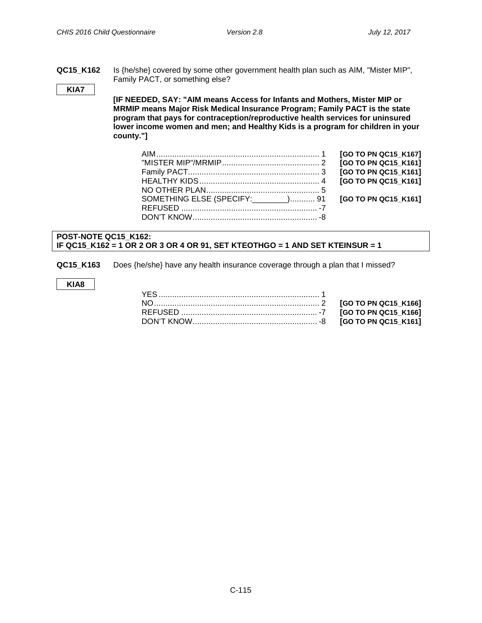[GO TO PN QC15\_K166]  $GO$  TO PN QC15\_K166]  $GO$  TO PN QC15 K161]

**QC15\_K162** Is {he/she} covered by some other government health plan such as AIM, "Mister MIP", Family PACT, or something else?

#### **KIA7**

**[IF NEEDED, SAY: "AIM means Access for Infants and Mothers, Mister MIP or MRMIP means Major Risk Medical Insurance Program; Family PACT is the state program that pays for contraception/reproductive health services for uninsured lower income women and men; and Healthy Kids is a program for children in your county."]**

|                                                           | [GO TO PN QC15_K161] |
|-----------------------------------------------------------|----------------------|
|                                                           |                      |
|                                                           |                      |
| SOMETHING ELSE (SPECIFY: _______) 91 [GO TO PN QC15_K161] |                      |
|                                                           |                      |
|                                                           |                      |
|                                                           |                      |

## **POST-NOTE QC15\_K162: IF QC15\_K162 = 1 OR 2 OR 3 OR 4 OR 91, SET KTEOTHGO = 1 AND SET KTEINSUR = 1**

**QC15\_K163** Does {he/she} have any health insurance coverage through a plan that I missed?

**KIA8**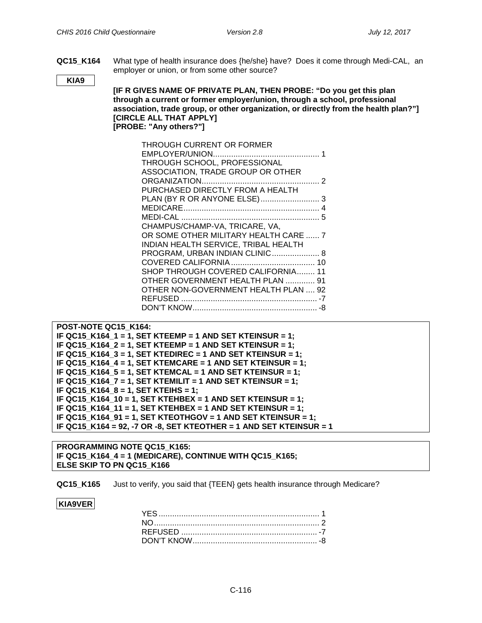**QC15\_K164** What type of health insurance does {he/she} have? Does it come through Medi-CAL, an employer or union, or from some other source?

**KIA9**

**[IF R GIVES NAME OF PRIVATE PLAN, THEN PROBE: "Do you get this plan through a current or former employer/union, through a school, professional association, trade group, or other organization, or directly from the health plan?"] [CIRCLE ALL THAT APPLY] [PROBE: "Any others?"]**

| THROUGH CURRENT OR FORMER             |  |
|---------------------------------------|--|
|                                       |  |
| THROUGH SCHOOL, PROFESSIONAL          |  |
| ASSOCIATION, TRADE GROUP OR OTHER     |  |
|                                       |  |
| PURCHASED DIRECTLY FROM A HEALTH      |  |
|                                       |  |
|                                       |  |
|                                       |  |
| CHAMPUS/CHAMP-VA, TRICARE, VA,        |  |
| OR SOME OTHER MILITARY HEALTH CARE  7 |  |
| INDIAN HEALTH SERVICE, TRIBAL HEALTH  |  |
| PROGRAM, URBAN INDIAN CLINIC 8        |  |
|                                       |  |
| SHOP THROUGH COVERED CALIFORNIA 11    |  |
| OTHER GOVERNMENT HEALTH PLAN  91      |  |
| OTHER NON-GOVERNMENT HEALTH PLAN , 92 |  |
|                                       |  |
|                                       |  |

```
POST-NOTE QC15_K164:
IF QC15_K164_1 = 1, SET KTEEMP = 1 AND SET KTEINSUR = 1;
IF QC15_K164_2 = 1, SET KTEEMP = 1 AND SET KTEINSUR = 1;
IF QC15_K164_3 = 1, SET KTEDIREC = 1 AND SET KTEINSUR = 1;
IF QC15_K164_4 = 1, SET KTEMCARE = 1 AND SET KTEINSUR = 1;
IF QC15_K164_5 = 1, SET KTEMCAL = 1 AND SET KTEINSUR = 1;
IF QC15_K164_7 = 1, SET KTEMILIT = 1 AND SET KTEINSUR = 1;
IF QC15_K164_8 = 1, SET KTEIHS = 1;
IF QC15_K164_10 = 1, SET KTEHBEX = 1 AND SET KTEINSUR = 1;
IF QC15_K164_11 = 1, SET KTEHBEX = 1 AND SET KTEINSUR = 1;
IF QC15_K164_91 = 1, SET KTEOTHGOV = 1 AND SET KTEINSUR = 1;
IF QC15_K164 = 92, -7 OR -8, SET KTEOTHER = 1 AND SET KTEINSUR = 1
```
**PROGRAMMING NOTE QC15\_K165: IF QC15\_K164\_4 = 1 (MEDICARE), CONTINUE WITH QC15\_K165; ELSE SKIP TO PN QC15\_K166**

**QC15\_K165** Just to verify, you said that {TEEN} gets health insurance through Medicare?

## **KIA9VER**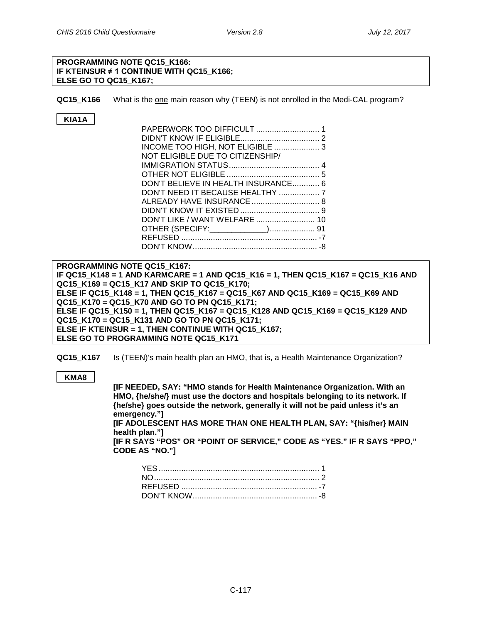#### **PROGRAMMING NOTE QC15\_K166: IF KTEINSUR ≠ 1 CONTINUE WITH QC15\_K166; ELSE GO TO QC15\_K167;**

**QC15\_K166** What is the one main reason why (TEEN) is not enrolled in the Medi-CAL program?

# **KIA1A**

| INCOME TOO HIGH, NOT ELIGIBLE  3    |  |
|-------------------------------------|--|
| NOT ELIGIBLE DUE TO CITIZENSHIP/    |  |
|                                     |  |
|                                     |  |
| DON'T BELIEVE IN HEALTH INSURANCE 6 |  |
|                                     |  |
| ALREADY HAVE INSURANCE  8           |  |
|                                     |  |
|                                     |  |
|                                     |  |
|                                     |  |
|                                     |  |

**PROGRAMMING NOTE QC15\_K167: IF QC15\_K148 = 1 AND KARMCARE = 1 AND QC15\_K16 = 1, THEN QC15\_K167 = QC15\_K16 AND QC15\_K169 = QC15\_K17 AND SKIP TO QC15\_K170; ELSE IF QC15\_K148 = 1, THEN QC15\_K167 = QC15\_K67 AND QC15\_K169 = QC15\_K69 AND QC15\_K170 = QC15\_K70 AND GO TO PN QC15\_K171; ELSE IF QC15\_K150 = 1, THEN QC15\_K167 = QC15\_K128 AND QC15\_K169 = QC15\_K129 AND QC15\_K170 = QC15\_K131 AND GO TO PN QC15\_K171; ELSE IF KTEINSUR = 1, THEN CONTINUE WITH QC15\_K167; ELSE GO TO PROGRAMMING NOTE QC15\_K171**

**QC15\_K167** Is (TEEN)'s main health plan an HMO, that is, a Health Maintenance Organization?

**KMA8**

**[IF NEEDED, SAY: "HMO stands for Health Maintenance Organization. With an HMO, {he/she/} must use the doctors and hospitals belonging to its network. If {he/she} goes outside the network, generally it will not be paid unless it's an emergency."] [IF ADOLESCENT HAS MORE THAN ONE HEALTH PLAN, SAY: "{his/her} MAIN health plan."] [IF R SAYS "POS" OR "POINT OF SERVICE," CODE AS "YES." IF R SAYS "PPO," CODE AS "NO."]**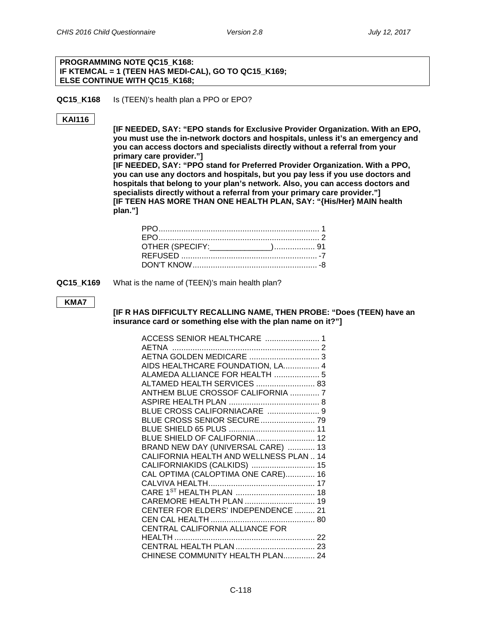## **PROGRAMMING NOTE QC15\_K168: IF KTEMCAL = 1 (TEEN HAS MEDI-CAL), GO TO QC15\_K169; ELSE CONTINUE WITH QC15\_K168;**

**QC15\_K168** Is (TEEN)'s health plan a PPO or EPO?

#### **KAI116**

**[IF NEEDED, SAY: "EPO stands for Exclusive Provider Organization. With an EPO, you must use the in-network doctors and hospitals, unless it's an emergency and you can access doctors and specialists directly without a referral from your primary care provider."]**

**[IF NEEDED, SAY: "PPO stand for Preferred Provider Organization. With a PPO, you can use any doctors and hospitals, but you pay less if you use doctors and hospitals that belong to your plan's network. Also, you can access doctors and specialists directly without a referral from your primary care provider."] [IF TEEN HAS MORE THAN ONE HEALTH PLAN, SAY: "{His/Her} MAIN health plan."]**

**QC15 K169** What is the name of (TEEN)'s main health plan?

#### **KMA7**

**[IF R HAS DIFFICULTY RECALLING NAME, THEN PROBE: "Does (TEEN) have an insurance card or something else with the plan name on it?"]**

| ACCESS SENIOR HEALTHCARE  1             |  |
|-----------------------------------------|--|
|                                         |  |
| AETNA GOLDEN MEDICARE  3                |  |
| AIDS HEALTHCARE FOUNDATION, LA 4        |  |
| ALAMEDA ALLIANCE FOR HEALTH  5          |  |
| ALTAMED HEALTH SERVICES  83             |  |
| ANTHEM BLUE CROSSOF CALIFORNIA  7       |  |
|                                         |  |
| BLUE CROSS CALIFORNIACARE  9            |  |
| BLUE CROSS SENIOR SECURE  79            |  |
|                                         |  |
| BLUE SHIELD OF CALIFORNIA 12            |  |
| BRAND NEW DAY (UNIVERSAL CARE)  13      |  |
| CALIFORNIA HEALTH AND WELLNESS PLAN  14 |  |
| CALIFORNIAKIDS (CALKIDS)  15            |  |
| CAL OPTIMA (CALOPTIMA ONE CARE) 16      |  |
|                                         |  |
|                                         |  |
| CAREMORE HEALTH PLAN  19                |  |
| CENTER FOR ELDERS' INDEPENDENCE  21     |  |
|                                         |  |
| CENTRAL CALIFORNIA ALLIANCE FOR         |  |
|                                         |  |
|                                         |  |
| CHINESE COMMUNITY HEALTH PLAN 24        |  |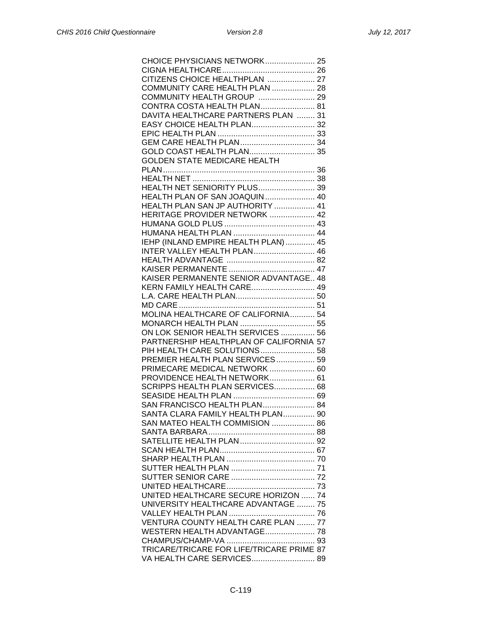| CITIZENS CHOICE HEALTHPLAN  27              |
|---------------------------------------------|
| COMMUNITY CARE HEALTH PLAN  28              |
| COMMUNITY HEALTH GROUP  29                  |
| CONTRA COSTA HEALTH PLAN 81                 |
| DAVITA HEALTHCARE PARTNERS PLAN  31         |
| EASY CHOICE HEALTH PLAN 32                  |
|                                             |
|                                             |
| GOLD COAST HEALTH PLAN 35                   |
| <b>GOLDEN STATE MEDICARE HEALTH</b>         |
|                                             |
|                                             |
| <b>HEALTH NET SENIORITY PLUS 39</b>         |
|                                             |
| HEALTH PLAN OF SAN JOAQUIN 40               |
| HEALTH PLAN SAN JP AUTHORITY  41            |
| HERITAGE PROVIDER NETWORK  42               |
|                                             |
|                                             |
| IEHP (INLAND EMPIRE HEALTH PLAN)  45        |
| INTER VALLEY HEALTH PLAN 46                 |
|                                             |
|                                             |
| KAISER PERMANENTE SENIOR ADVANTAGE 48       |
| KERN FAMILY HEALTH CARE 49                  |
|                                             |
|                                             |
| MOLINA HEALTHCARE OF CALIFORNIA 54          |
| MONARCH HEALTH PLAN  55                     |
| ON LOK SENIOR HEALTH SERVICES  56           |
| PARTNERSHIP HEALTHPLAN OF CALIFORNIA 57     |
| PIH HEALTH CARE SOLUTIONS 58                |
| PREMIER HEALTH PLAN SERVICES 59             |
| PRIMECARE MEDICAL NETWORK  60               |
| PROVIDENCE HEALTH NETWORK 61                |
|                                             |
| SCRIPPS HEALTH PLAN SERVICES 68             |
|                                             |
| SAN FRANCISCO HEALTH PLAN 84                |
| SANTA CLARA FAMILY HEALTH PLAN 90           |
| SAN MATEO HEALTH COMMISION  86              |
|                                             |
|                                             |
|                                             |
|                                             |
|                                             |
|                                             |
|                                             |
| <b>UNITED HEALTHCARE SECURE HORIZON  74</b> |
| UNIVERSITY HEALTHCARE ADVANTAGE  75         |
|                                             |
| <b>VENTURA COUNTY HEALTH CARE PLAN  77</b>  |
| WESTERN HEALTH ADVANTAGE 78                 |
|                                             |
| TRICARE/TRICARE FOR LIFE/TRICARE PRIME 87   |
| VA HEALTH CARE SERVICES 89                  |
|                                             |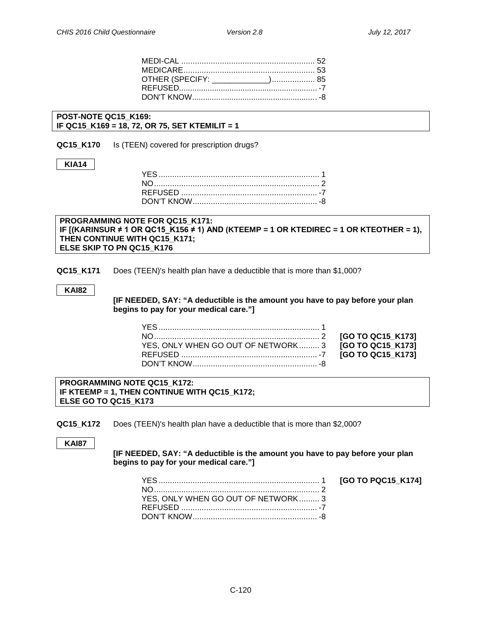[GO TO PQC15\_K174]

| OTHER (SPECIFY: _____________) 85 |  |
|-----------------------------------|--|
|                                   |  |
|                                   |  |

**POST-NOTE QC15\_K169: IF QC15\_K169 = 18, 72, OR 75, SET KTEMILIT = 1**

**High Deductible Health Plans (Teen)**

**QC15 K170** Is (TEEN) covered for prescription drugs?

#### **KIA14**

## **PROGRAMMING NOTE FOR QC15\_K171: IF [(KARINSUR ≠ 1 OR QC15\_K156 ≠ 1) AND (KTEEMP = 1 OR KTEDIREC = 1 OR KTEOTHER = 1), THEN CONTINUE WITH QC15\_K171; ELSE SKIP TO PN QC15\_K176**

**QC15\_K171** Does (TEEN)'s health plan have a deductible that is more than \$1,000?

**KAI82**

**[IF NEEDED, SAY: "A deductible is the amount you have to pay before your plan begins to pay for your medical care."]**

| YES, ONLY WHEN GO OUT OF NETWORK 3 <b>[GO TO QC15 K173]</b> |  |
|-------------------------------------------------------------|--|
|                                                             |  |
|                                                             |  |

**PROGRAMMING NOTE QC15\_K172: IF KTEEMP = 1, THEN CONTINUE WITH QC15\_K172; ELSE GO TO QC15\_K173**

**QC15\_K172** Does (TEEN)'s health plan have a deductible that is more than \$2,000?

**KAI87**

**[IF NEEDED, SAY: "A deductible is the amount you have to pay before your plan begins to pay for your medical care."]**

| YES, ONLY WHEN GO OUT OF NETWORK 3 |  |
|------------------------------------|--|
|                                    |  |
|                                    |  |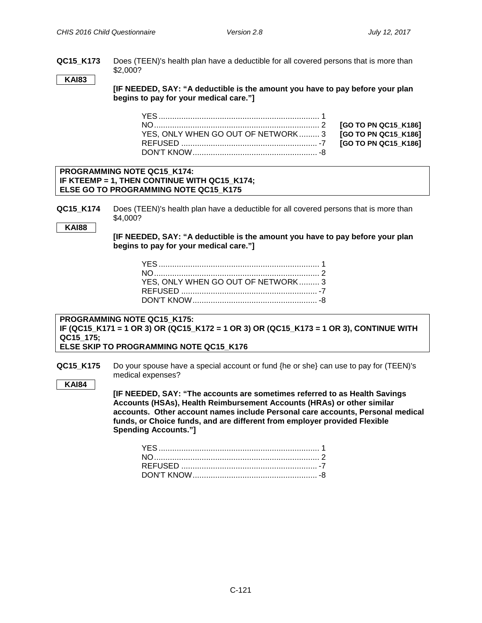**QC15\_K173** Does (TEEN)'s health plan have a deductible for all covered persons that is more than \$2,000?

## **KAI83**

**[IF NEEDED, SAY: "A deductible is the amount you have to pay before your plan begins to pay for your medical care."]**

| YES, ONLY WHEN GO OUT OF NETWORK 3 [GO TO PN QC15_K186] |  |
|---------------------------------------------------------|--|
|                                                         |  |
|                                                         |  |
|                                                         |  |

#### **PROGRAMMING NOTE QC15\_K174: IF KTEEMP = 1, THEN CONTINUE WITH QC15\_K174; ELSE GO TO PROGRAMMING NOTE QC15\_K175**

**QC15 K174** Does (TEEN)'s health plan have a deductible for all covered persons that is more than \$4,000?

## **KAI88**

**[IF NEEDED, SAY: "A deductible is the amount you have to pay before your plan begins to pay for your medical care."]**

| YES, ONLY WHEN GO OUT OF NETWORK 3 |  |
|------------------------------------|--|
|                                    |  |
|                                    |  |

**PROGRAMMING NOTE QC15\_K175: IF (QC15\_K171 = 1 OR 3) OR (QC15\_K172 = 1 OR 3) OR (QC15\_K173 = 1 OR 3), CONTINUE WITH QC15\_175; ELSE SKIP TO PROGRAMMING NOTE QC15\_K176**

**QC15 K175** Do your spouse have a special account or fund {he or she} can use to pay for (TEEN)'s medical expenses?

## **KAI84**

**[IF NEEDED, SAY: "The accounts are sometimes referred to as Health Savings Accounts (HSAs), Health Reimbursement Accounts (HRAs) or other similar accounts. Other account names include Personal care accounts, Personal medical funds, or Choice funds, and are different from employer provided Flexible Spending Accounts."]**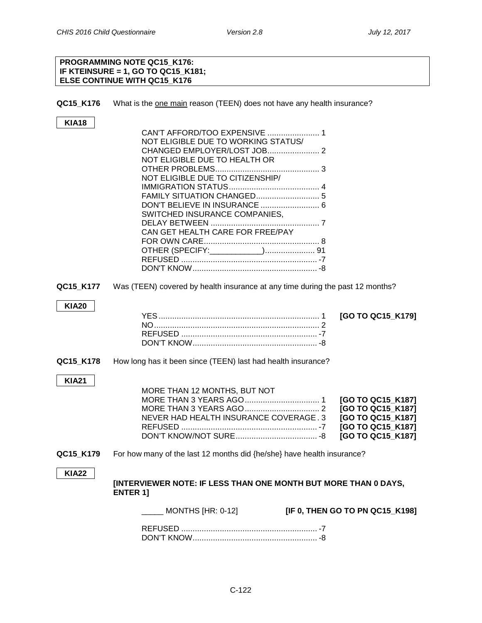# **PROGRAMMING NOTE QC15\_K176: IF KTEINSURE = 1, GO TO QC15\_K181; ELSE CONTINUE WITH QC15\_K176 QC15\_K176** What is the one main reason (TEEN) does not have any health insurance? **KIA18** CAN'T AFFORD/TOO EXPENSIVE ....................... 1 NOT ELIGIBLE DUE TO WORKING STATUS/ CHANGED EMPLOYER/LOST JOB....................... 2 NOT ELIGIBLE DUE TO HEALTH OR OTHER PROBLEMS.............................................. 3 NOT ELIGIBLE DUE TO CITIZENSHIP/ IMMIGRATION STATUS........................................ 4 FAMILY SITUATION CHANGED............................ 5 DON'T BELIEVE IN INSURANCE .......................... 6 SWITCHED INSURANCE COMPANIES, DELAY BETWEEN ................................................ 7 CAN GET HEALTH CARE FOR FREE/PAY FOR OWN CARE................................................... 8 OTHER (SPECIFY:\_\_\_\_\_\_\_\_\_\_\_\_)...................... 91 REFUSED ............................................................ -7 DON'T KNOW....................................................... -8 **QC15 K177** Was (TEEN) covered by health insurance at any time during the past 12 months? **KIA20** YES....................................................................... 1 **[GO TO QC15\_K179]** NO......................................................................... 2 REFUSED ............................................................ -7 DON'T KNOW....................................................... -8 **QC15 K178** How long has it been since (TEEN) last had health insurance? **KIA21** MORE THAN 12 MONTHS, BUT NOT MORE THAN 3 YEARS AGO................................. 1 **[GO TO QC15\_K187]** MORE THAN 3 YEARS AGO................................. 2 **[GO TO QC15\_K187]** NEVER HAD HEALTH INSURANCE COVERAGE. 3 **[GO TO QC15\_K187]** REFUSED ............................................................ -7 **[GO TO QC15\_K187]** DON'T KNOW/NOT SURE.................................... -8 **[GO TO QC15\_K187] QC15\_K179** For how many of the last 12 months did {he/she} have health insurance? **KIA22 [INTERVIEWER NOTE: IF LESS THAN ONE MONTH BUT MORE THAN 0 DAYS, ENTER 1]** \_\_\_\_\_ MONTHS [HR: 0-12] **[IF 0, THEN GO TO PN QC15\_K198]**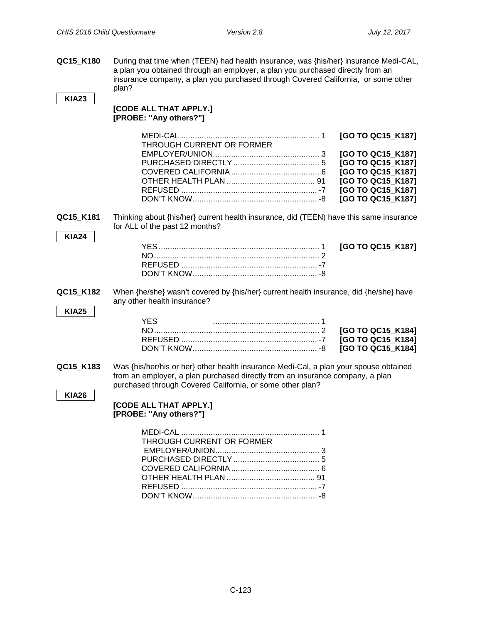**QC15\_K180** During that time when (TEEN) had health insurance, was {his/her} insurance Medi-CAL, a plan you obtained through an employer, a plan you purchased directly from an insurance company, a plan you purchased through Covered California, or some other plan?

## **KIA23**

#### **[CODE ALL THAT APPLY.] [PROBE: "Any others?"]**

| THROUGH CURRENT OR FORMER |                   |
|---------------------------|-------------------|
|                           |                   |
|                           | [GO TO QC15 K187] |
|                           | [GO TO QC15 K187] |
|                           | [GO TO QC15 K187] |
|                           | [GO TO QC15 K187] |
|                           |                   |

**QC15\_K181** Thinking about {his/her} current health insurance, did (TEEN) have this same insurance for ALL of the past 12 months?

#### **KIA24**

**QC15\_K182** When {he/she} wasn't covered by {his/her} current health insurance, did {he/she} have any other health insurance?

# **KIA25**

| YFS. |  |
|------|--|
|      |  |
|      |  |
|      |  |

**QC15\_K183** Was {his/her/his or her} other health insurance Medi-Cal, a plan your spouse obtained from an employer, a plan purchased directly from an insurance company, a plan purchased through Covered California, or some other plan?

# **KIA26**

#### **[CODE ALL THAT APPLY.] [PROBE: "Any others?"]**

| THROUGH CURRENT OR FORMER |  |
|---------------------------|--|
|                           |  |
|                           |  |
|                           |  |
|                           |  |
|                           |  |
|                           |  |
|                           |  |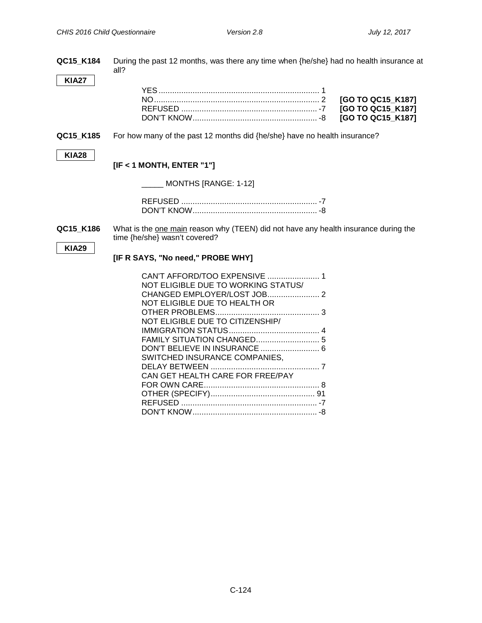| QC15_K184    | During the past 12 months, was there any time when {he/she} had no health insurance at<br>all?                                                                                                                                                  |  |  |
|--------------|-------------------------------------------------------------------------------------------------------------------------------------------------------------------------------------------------------------------------------------------------|--|--|
| <b>KIA27</b> | [GO TO QC15_K187]<br>[GO TO QC15_K187]<br>[GO TO QC15 K187]                                                                                                                                                                                     |  |  |
| QC15_K185    | For how many of the past 12 months did {he/she} have no health insurance?                                                                                                                                                                       |  |  |
| <b>KIA28</b> | $[IF < 1$ MONTH, ENTER "1"]                                                                                                                                                                                                                     |  |  |
|              | MONTHS [RANGE: 1-12]                                                                                                                                                                                                                            |  |  |
|              |                                                                                                                                                                                                                                                 |  |  |
| QC15 K186    | What is the one main reason why (TEEN) did not have any health insurance during the<br>time {he/she} wasn't covered?                                                                                                                            |  |  |
| <b>KIA29</b> | [IF R SAYS, "No need," PROBE WHY]                                                                                                                                                                                                               |  |  |
|              | CAN'T AFFORD/TOO EXPENSIVE  1<br>NOT ELIGIBLE DUE TO WORKING STATUS/<br>NOT ELIGIBLE DUE TO HEALTH OR<br>NOT ELIGIBLE DUE TO CITIZENSHIP/<br>DON'T BELIEVE IN INSURANCE  6<br>SWITCHED INSURANCE COMPANIES.<br>CAN GET HEALTH CARE FOR FREE/PAY |  |  |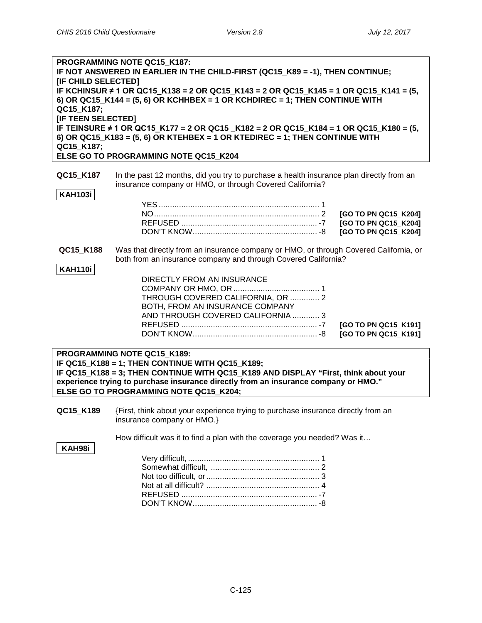| <b>IIF CHILD SELECTED1</b><br>QC15 K187;<br>[IF TEEN SELECTED] | PROGRAMMING NOTE QC15 K187:<br>IF NOT ANSWERED IN EARLIER IN THE CHILD-FIRST (QC15_K89 = -1), THEN CONTINUE;<br>IF KCHINSUR $\neq$ 1 OR QC15_K138 = 2 OR QC15_K143 = 2 OR QC15_K145 = 1 OR QC15_K141 = (5,<br>6) OR QC15_K144 = (5, 6) OR KCHHBEX = 1 OR KCHDIREC = 1; THEN CONTINUE WITH          |                                                                      |
|----------------------------------------------------------------|----------------------------------------------------------------------------------------------------------------------------------------------------------------------------------------------------------------------------------------------------------------------------------------------------|----------------------------------------------------------------------|
| QC15 K187;                                                     | IF TEINSURE ≠ 1 OR QC15_K177 = 2 OR QC15 _K182 = 2 OR QC15_K184 = 1 OR QC15_K180 = (5,<br>6) OR QC15_K183 = (5, 6) OR KTEHBEX = 1 OR KTEDIREC = 1; THEN CONTINUE WITH<br>ELSE GO TO PROGRAMMING NOTE QC15_K204                                                                                     |                                                                      |
| QC15 K187<br><b>KAH103i</b>                                    | In the past 12 months, did you try to purchase a health insurance plan directly from an<br>insurance company or HMO, or through Covered California?                                                                                                                                                | [GO TO PN QC15_K204]<br>[GO TO PN QC15_K204]<br>[GO TO PN QC15_K204] |
| QC15 K188<br>KAH110i                                           | Was that directly from an insurance company or HMO, or through Covered California, or<br>both from an insurance company and through Covered California?<br>DIRECTLY FROM AN INSURANCE<br>THROUGH COVERED CALIFORNIA, OR  2<br>BOTH, FROM AN INSURANCE COMPANY<br>AND THROUGH COVERED CALIFORNIA  3 | [GO TO PN QC15_K191]<br>[GO TO PN QC15_K191]                         |
|                                                                | DDOCD AMMINIC NOTE OCAE IZAOO.                                                                                                                                                                                                                                                                     |                                                                      |

**PROGRAMMING NOTE QC15\_K189: IF QC15\_K188 = 1; THEN CONTINUE WITH QC15\_K189; IF QC15\_K188 = 3; THEN CONTINUE WITH QC15\_K189 AND DISPLAY "First, think about your experience trying to purchase insurance directly from an insurance company or HMO." ELSE GO TO PROGRAMMING NOTE QC15\_K204;**

**QC15\_K189** {First, think about your experience trying to purchase insurance directly from an insurance company or HMO.}

How difficult was it to find a plan with the coverage you needed? Was it…

**KAH98i**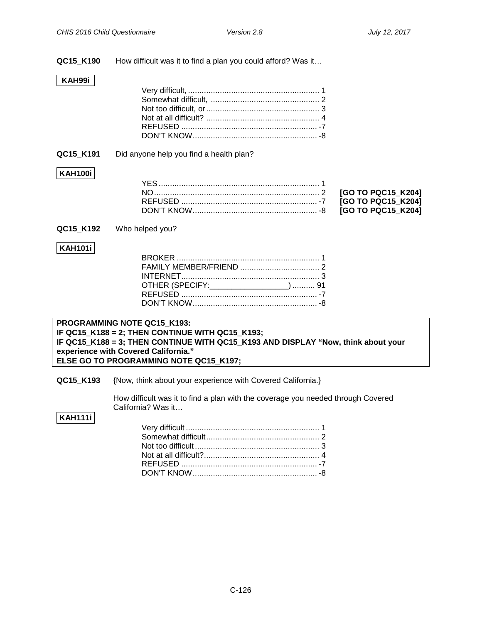**QC15\_K190** How difficult was it to find a plan you could afford? Was it…

## **KAH99i**

## **QC15 K191** Did anyone help you find a health plan?

# **KAH100i**

**QC15\_K192** Who helped you?

# **KAH101i**

| OTHER (SPECIFY: ___________________)  91 |  |
|------------------------------------------|--|
|                                          |  |
|                                          |  |

## **PROGRAMMING NOTE QC15\_K193: IF QC15\_K188 = 2; THEN CONTINUE WITH QC15\_K193; IF QC15\_K188 = 3; THEN CONTINUE WITH QC15\_K193 AND DISPLAY "Now, think about your experience with Covered California." ELSE GO TO PROGRAMMING NOTE QC15\_K197;**

**QC15\_K193** {Now, think about your experience with Covered California.}

How difficult was it to find a plan with the coverage you needed through Covered California? Was it…

# **KAH111i**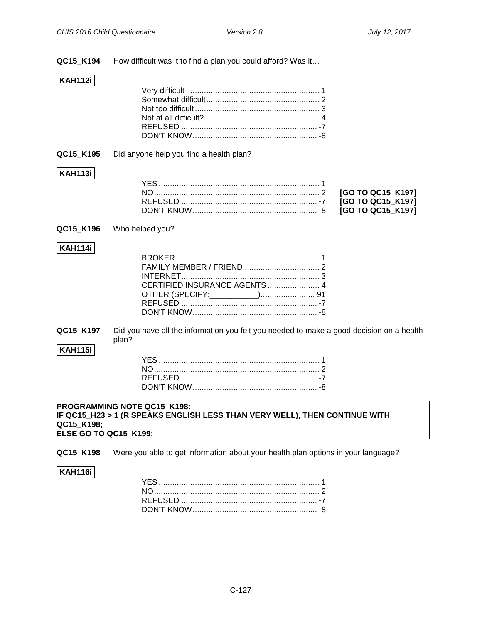**QC15\_K194** How difficult was it to find a plan you could afford? Was it…

## **KAH112i**

## **QC15\_K195** Did anyone help you find a health plan?

# **KAH113i**

**QC15\_K196** Who helped you?

## **KAH114i**

**QC15\_K197** Did you have all the information you felt you needed to make a good decision on a health plan?

#### **KAH115i**

#### **PROGRAMMING NOTE QC15\_K198: IF QC15\_H23 > 1 (R SPEAKS ENGLISH LESS THAN VERY WELL), THEN CONTINUE WITH QC15\_K198; ELSE GO TO QC15\_K199;**

**QC15\_K198** Were you able to get information about your health plan options in your language?

## **KAH116i**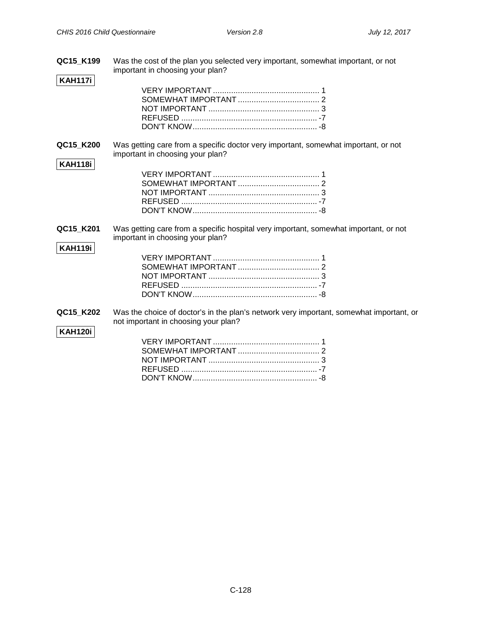**QC15\_K199** Was the cost of the plan you selected very important, somewhat important, or not important in choosing your plan?

# **KAH117i**

**QC15\_K200** Was getting care from a specific doctor very important, somewhat important, or not important in choosing your plan?

**QC15\_K201** Was getting care from a specific hospital very important, somewhat important, or not important in choosing your plan?

## **KAH119i**

**KAH118i**

**QC15\_K202** Was the choice of doctor's in the plan's network very important, somewhat important, or not important in choosing your plan?

# **KAH120i**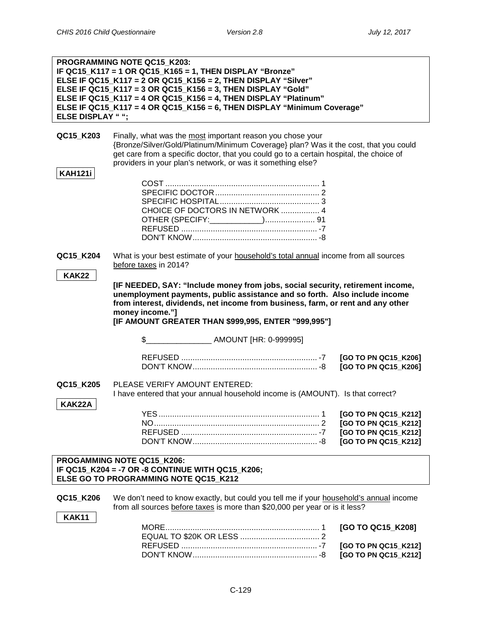|                                                                                                                         | PROGRAMMING NOTE QC15_K203:<br>IF QC15_K117 = 1 OR QC15_K165 = 1, THEN DISPLAY "Bronze"<br>ELSE IF QC15_K117 = 2 OR QC15_K156 = 2, THEN DISPLAY "Silver"                                                                                                                                                                  |                                              |
|-------------------------------------------------------------------------------------------------------------------------|---------------------------------------------------------------------------------------------------------------------------------------------------------------------------------------------------------------------------------------------------------------------------------------------------------------------------|----------------------------------------------|
|                                                                                                                         | ELSE IF QC15_K117 = 3 OR QC15_K156 = 3, THEN DISPLAY "Gold"                                                                                                                                                                                                                                                               |                                              |
|                                                                                                                         | ELSE IF QC15_K117 = 4 OR QC15_K156 = 4, THEN DISPLAY "Platinum"<br>ELSE IF QC15 K117 = 4 OR QC15_K156 = 6, THEN DISPLAY "Minimum Coverage"                                                                                                                                                                                |                                              |
| <b>ELSE DISPLAY "";</b>                                                                                                 |                                                                                                                                                                                                                                                                                                                           |                                              |
|                                                                                                                         |                                                                                                                                                                                                                                                                                                                           |                                              |
| QC15_K203                                                                                                               | Finally, what was the most important reason you chose your<br>{Bronze/Silver/Gold/Platinum/Minimum Coverage} plan? Was it the cost, that you could<br>get care from a specific doctor, that you could go to a certain hospital, the choice of<br>providers in your plan's network, or was it something else?              |                                              |
| <b>KAH121i</b>                                                                                                          |                                                                                                                                                                                                                                                                                                                           |                                              |
|                                                                                                                         | CHOICE OF DOCTORS IN NETWORK  4                                                                                                                                                                                                                                                                                           |                                              |
| QC15_K204                                                                                                               | What is your best estimate of your household's total annual income from all sources<br>before taxes in 2014?                                                                                                                                                                                                              |                                              |
| <b>KAK22</b>                                                                                                            |                                                                                                                                                                                                                                                                                                                           |                                              |
|                                                                                                                         | [IF NEEDED, SAY: "Include money from jobs, social security, retirement income,<br>unemployment payments, public assistance and so forth. Also include income<br>from interest, dividends, net income from business, farm, or rent and any other<br>money income."]<br>[IF AMOUNT GREATER THAN \$999,995, ENTER "999,995"] |                                              |
|                                                                                                                         |                                                                                                                                                                                                                                                                                                                           |                                              |
|                                                                                                                         |                                                                                                                                                                                                                                                                                                                           | [GO TO PN QC15_K206]<br>[GO TO PN QC15_K206] |
| QC15_K205                                                                                                               | PLEASE VERIFY AMOUNT ENTERED:<br>I have entered that your annual household income is (AMOUNT). Is that correct?                                                                                                                                                                                                           |                                              |
| KAK22A                                                                                                                  |                                                                                                                                                                                                                                                                                                                           |                                              |
|                                                                                                                         |                                                                                                                                                                                                                                                                                                                           | [GO TO PN QC15_K212]<br>[GO TO PN QC15_K212] |
|                                                                                                                         |                                                                                                                                                                                                                                                                                                                           | [GO TO PN QC15_K212]                         |
|                                                                                                                         |                                                                                                                                                                                                                                                                                                                           | [GO TO PN QC15_K212]                         |
| PROGAMMING NOTE QC15_K206:<br>IF QC15_K204 = -7 OR -8 CONTINUE WITH QC15_K206;<br>ELSE GO TO PROGRAMMING NOTE QC15 K212 |                                                                                                                                                                                                                                                                                                                           |                                              |
|                                                                                                                         |                                                                                                                                                                                                                                                                                                                           |                                              |
| QC15 K206                                                                                                               | We don't need to know exactly, but could you tell me if your household's annual income<br>from all sources before taxes is more than \$20,000 per year or is it less?                                                                                                                                                     |                                              |
| <b>KAK11</b>                                                                                                            |                                                                                                                                                                                                                                                                                                                           |                                              |
|                                                                                                                         |                                                                                                                                                                                                                                                                                                                           | [GO TO QC15_K208]                            |
|                                                                                                                         | $-7$<br><b>REELISED</b>                                                                                                                                                                                                                                                                                                   | $ICOMOMO$ ON $OCHR$ $K2121$                  |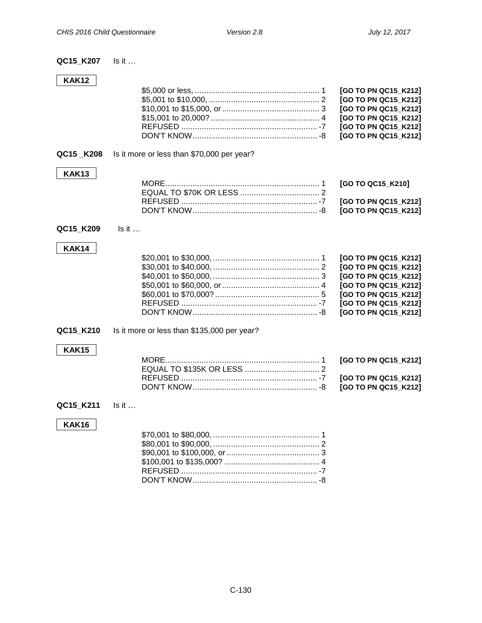# **QC15\_K207** Is it …

# **KAK12**

|  | [GO TO PN QC15_K212] |
|--|----------------------|
|  | [GO TO PN QC15_K212] |
|  | [GO TO PN QC15_K212] |
|  | [GO TO PN QC15_K212] |
|  |                      |

# **QC15 \_K208** Is it more or less than \$70,000 per year?

# **KAK13**

# **QC15\_K209** Is it …

# **KAK14**

# **QC15\_K210** Is it more or less than \$135,000 per year?

# **KAK15**

## **QC15\_K211** Is it …

# **KAK16**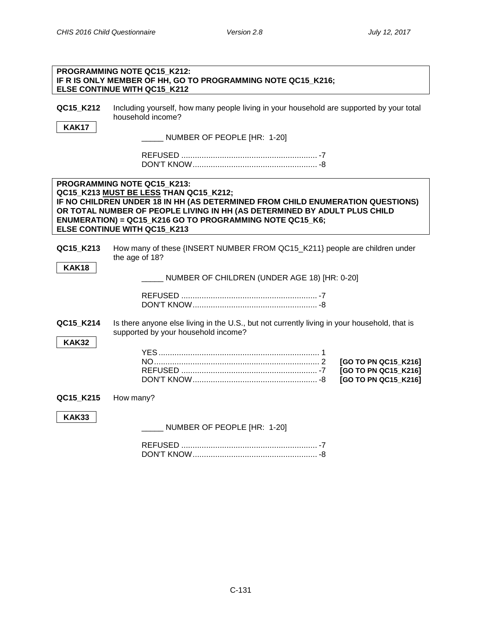**Number of Persons Supported**

|                           | PROGRAMMING NOTE QC15_K212:<br>IF R IS ONLY MEMBER OF HH, GO TO PROGRAMMING NOTE QC15_K216;<br>ELSE CONTINUE WITH QC15 K212                                                                                                                                                                                                      |
|---------------------------|----------------------------------------------------------------------------------------------------------------------------------------------------------------------------------------------------------------------------------------------------------------------------------------------------------------------------------|
| QC15_K212<br><b>KAK17</b> | Including yourself, how many people living in your household are supported by your total<br>household income?<br>NUMBER OF PEOPLE [HR: 1-20]                                                                                                                                                                                     |
|                           |                                                                                                                                                                                                                                                                                                                                  |
|                           | PROGRAMMING NOTE QC15 K213:<br>QC15_K213 MUST BE LESS THAN QC15_K212;<br>IF NO CHILDREN UNDER 18 IN HH (AS DETERMINED FROM CHILD ENUMERATION QUESTIONS)<br>OR TOTAL NUMBER OF PEOPLE LIVING IN HH (AS DETERMINED BY ADULT PLUS CHILD<br>ENUMERATION) = QC15_K216 GO TO PROGRAMMING NOTE QC15_K6;<br>ELSE CONTINUE WITH QC15 K213 |
| QC15_K213<br><b>KAK18</b> | How many of these {INSERT NUMBER FROM QC15_K211} people are children under<br>the age of 18?<br>NUMBER OF CHILDREN (UNDER AGE 18) [HR: 0-20]                                                                                                                                                                                     |
|                           |                                                                                                                                                                                                                                                                                                                                  |
| QC15 K214<br><b>KAK32</b> | Is there anyone else living in the U.S., but not currently living in your household, that is<br>supported by your household income?                                                                                                                                                                                              |
|                           | [GO TO PN QC15_K216]<br>[GO TO PN QC15_K216]<br>[GO TO PN QC15_K216]                                                                                                                                                                                                                                                             |
| QC15_K215                 | How many?                                                                                                                                                                                                                                                                                                                        |
| <b>KAK33</b>              | NUMBER OF PEOPLE [HR: 1-20]                                                                                                                                                                                                                                                                                                      |
|                           |                                                                                                                                                                                                                                                                                                                                  |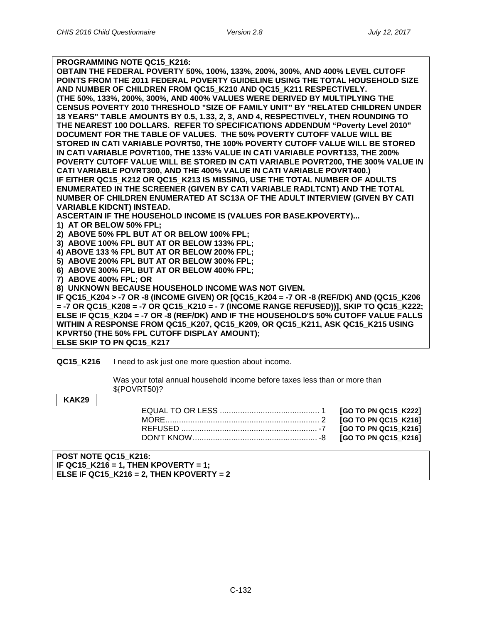| PROGRAMMING NOTE QC15 K216:                                                             |
|-----------------------------------------------------------------------------------------|
| OBTAIN THE FEDERAL POVERTY 50%, 100%, 133%, 200%, 300%, AND 400% LEVEL CUTOFF           |
| POINTS FROM THE 2011 FEDERAL POVERTY GUIDELINE USING THE TOTAL HOUSEHOLD SIZE           |
| AND NUMBER OF CHILDREN FROM QC15 K210 AND QC15 K211 RESPECTIVELY.                       |
| (THE 50%, 133%, 200%, 300%, AND 400% VALUES WERE DERIVED BY MULTIPLYING THE             |
| CENSUS POVERTY 2010 THRESHOLD "SIZE OF FAMILY UNIT" BY "RELATED CHILDREN UNDER          |
| 18 YEARS" TABLE AMOUNTS BY 0.5, 1.33, 2, 3, AND 4, RESPECTIVELY, THEN ROUNDING TO       |
| THE NEAREST 100 DOLLARS. REFER TO SPECIFICATIONS ADDENDUM "Poverty Level 2010"          |
| DOCUMENT FOR THE TABLE OF VALUES. THE 50% POVERTY CUTOFF VALUE WILL BE                  |
| STORED IN CATI VARIABLE POVRT50, THE 100% POVERTY CUTOFF VALUE WILL BE STORED           |
| IN CATI VARIABLE POVRT100, THE 133% VALUE IN CATI VARIABLE POVRT133, THE 200%           |
| POVERTY CUTOFF VALUE WILL BE STORED IN CATI VARIABLE POVRT200, THE 300% VALUE IN        |
| CATI VARIABLE POVRT300, AND THE 400% VALUE IN CATI VARIABLE POVRT400.)                  |
| IF EITHER QC15_K212 OR QC15_K213 IS MISSING, USE THE TOTAL NUMBER OF ADULTS             |
| ENUMERATED IN THE SCREENER (GIVEN BY CATI VARIABLE RADLTCNT) AND THE TOTAL              |
| NUMBER OF CHILDREN ENUMERATED AT SC13A OF THE ADULT INTERVIEW (GIVEN BY CATI            |
| <b>VARIABLE KIDCNT) INSTEAD.</b>                                                        |
| ASCERTAIN IF THE HOUSEHOLD INCOME IS (VALUES FOR BASE.KPOVERTY)                         |
| 1) AT OR BELOW 50% FPL;                                                                 |
|                                                                                         |
| 2) ABOVE 50% FPL BUT AT OR BELOW 100% FPL;                                              |
| 3) ABOVE 100% FPL BUT AT OR BELOW 133% FPL;                                             |
| 4) ABOVE 133 % FPL BUT AT OR BELOW 200% FPL;                                            |
| 5) ABOVE 200% FPL BUT AT OR BELOW 300% FPL;                                             |
| 6) ABOVE 300% FPL BUT AT OR BELOW 400% FPL;                                             |
| 7) ABOVE 400% FPL; OR                                                                   |
| 8) UNKNOWN BECAUSE HOUSEHOLD INCOME WAS NOT GIVEN.                                      |
| IF QC15_K204 > -7 OR -8 (INCOME GIVEN) OR [QC15_K204 = -7 OR -8 (REF/DK) AND (QC15_K206 |
| = -7 OR QC15_K208 = -7 OR QC15_K210 = - 7 (INCOME RANGE REFUSED))], SKIP TO QC15_K222;  |
| ELSE IF QC15_K204 = -7 OR -8 (REF/DK) AND IF THE HOUSEHOLD'S 50% CUTOFF VALUE FALLS     |
| WITHIN A RESPONSE FROM QC15_K207, QC15_K209, OR QC15_K211, ASK QC15_K215 USING          |
| KPVRT50 (THE 50% FPL CUTOFF DISPLAY AMOUNT);                                            |
| ELSE SKIP TO PN QC15 K217                                                               |

**QC15\_K216** I need to ask just one more question about income.

Was your total annual household income before taxes less than or more than \${POVRT50}?

**KAK29**

**POST NOTE QC15\_K216: IF QC15\_K216 = 1, THEN KPOVERTY = 1; ELSE IF QC15\_K216 = 2, THEN KPOVERTY = 2**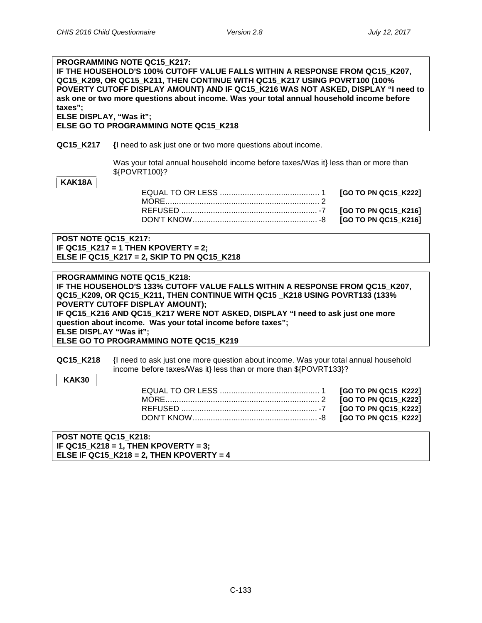## **PROGRAMMING NOTE QC15\_K217: IF THE HOUSEHOLD'S 100% CUTOFF VALUE FALLS WITHIN A RESPONSE FROM QC15\_K207, QC15\_K209, OR QC15\_K211, THEN CONTINUE WITH QC15\_K217 USING POVRT100 (100% POVERTY CUTOFF DISPLAY AMOUNT) AND IF QC15\_K216 WAS NOT ASKED, DISPLAY "I need to ask one or two more questions about income. Was your total annual household income before taxes"; ELSE DISPLAY, "Was it";**

**ELSE GO TO PROGRAMMING NOTE QC15\_K218**

#### **QC15\_K217 {**I need to ask just one or two more questions about income.

Was your total annual household income before taxes/Was it} less than or more than \${POVRT100}?

**KAK18A**

**POST NOTE QC15\_K217: IF QC15\_K217 = 1 THEN KPOVERTY = 2; ELSE IF QC15\_K217 = 2, SKIP TO PN QC15\_K218**

**PROGRAMMING NOTE QC15\_K218: IF THE HOUSEHOLD'S 133% CUTOFF VALUE FALLS WITHIN A RESPONSE FROM QC15\_K207, QC15\_K209, OR QC15\_K211, THEN CONTINUE WITH QC15 \_K218 USING POVRT133 (133% POVERTY CUTOFF DISPLAY AMOUNT); IF QC15\_K216 AND QC15\_K217 WERE NOT ASKED, DISPLAY "I need to ask just one more question about income. Was your total income before taxes"; ELSE DISPLAY "Was it"; ELSE GO TO PROGRAMMING NOTE QC15\_K219**

| QC15 K218 | I need to ask just one more question about income. Was your total annual household |
|-----------|------------------------------------------------------------------------------------|
|           | income before taxes/Was it} less than or more than \${POVRT133}?                   |

**POST NOTE QC15\_K218: IF QC15\_K218 = 1, THEN KPOVERTY = 3; ELSE IF QC15\_K218 = 2, THEN KPOVERTY = 4**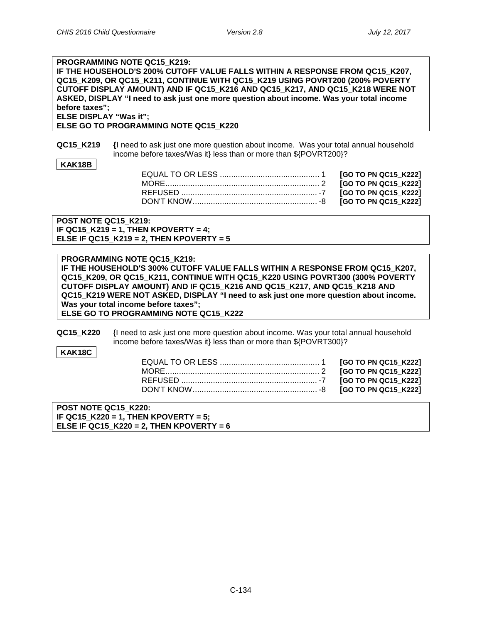## **PROGRAMMING NOTE QC15\_K219: IF THE HOUSEHOLD'S 200% CUTOFF VALUE FALLS WITHIN A RESPONSE FROM QC15\_K207, QC15\_K209, OR QC15\_K211, CONTINUE WITH QC15\_K219 USING POVRT200 (200% POVERTY CUTOFF DISPLAY AMOUNT) AND IF QC15\_K216 AND QC15\_K217, AND QC15\_K218 WERE NOT ASKED, DISPLAY "I need to ask just one more question about income. Was your total income before taxes"; ELSE DISPLAY "Was it";**

**ELSE GO TO PROGRAMMING NOTE QC15\_K220**

**QC15 K219** {I need to ask just one more question about income. Was your total annual household income before taxes/Was it} less than or more than \${POVRT200}?

## **KAK18B**

 $[GO TO PN QC15_K222]$  $[GO TO PN QC15 K222]$ [GO TO PN QC15\_K222] [GO TO PN QC15\_K222]

**POST NOTE QC15\_K219: IF QC15\_K219 = 1, THEN KPOVERTY = 4; ELSE IF QC15\_K219 = 2, THEN KPOVERTY = 5**

**PROGRAMMING NOTE QC15\_K219: IF THE HOUSEHOLD'S 300% CUTOFF VALUE FALLS WITHIN A RESPONSE FROM QC15\_K207, QC15\_K209, OR QC15\_K211, CONTINUE WITH QC15\_K220 USING POVRT300 (300% POVERTY CUTOFF DISPLAY AMOUNT) AND IF QC15\_K216 AND QC15\_K217, AND QC15\_K218 AND QC15\_K219 WERE NOT ASKED, DISPLAY "I need to ask just one more question about income. Was your total income before taxes"; ELSE GO TO PROGRAMMING NOTE QC15\_K222**

**QC15 K220** {I need to ask just one more question about income. Was your total annual household income before taxes/Was it} less than or more than \${POVRT300}?

**KAK18C**

**POST NOTE QC15\_K220: IF QC15\_K220 = 1, THEN KPOVERTY = 5; ELSE IF QC15\_K220 = 2, THEN KPOVERTY = 6**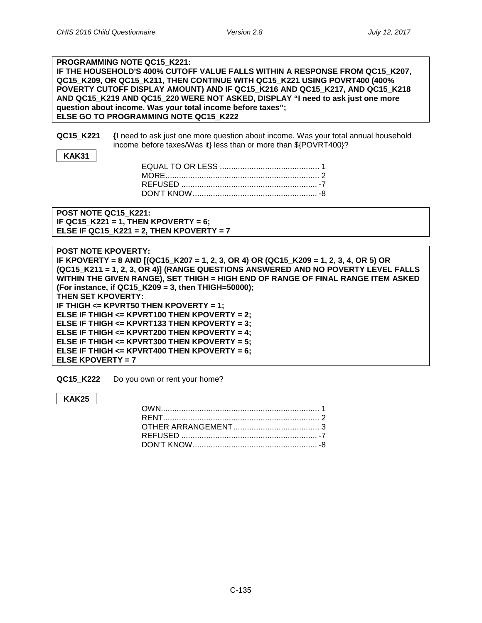#### **PROGRAMMING NOTE QC15\_K221: IF THE HOUSEHOLD'S 400% CUTOFF VALUE FALLS WITHIN A RESPONSE FROM QC15\_K207, QC15\_K209, OR QC15\_K211, THEN CONTINUE WITH QC15\_K221 USING POVRT400 (400% POVERTY CUTOFF DISPLAY AMOUNT) AND IF QC15\_K216 AND QC15\_K217, AND QC15\_K218 AND QC15\_K219 AND QC15\_220 WERE NOT ASKED, DISPLAY "I need to ask just one more question about income. Was your total income before taxes"; ELSE GO TO PROGRAMMING NOTE QC15\_K222**

**QC15\_K221 {**I need to ask just one more question about income. Was your total annual household income before taxes/Was it} less than or more than \${POVRT400}?

**POST NOTE QC15\_K221: IF QC15\_K221 = 1, THEN KPOVERTY = 6; ELSE IF QC15\_K221 = 2, THEN KPOVERTY = 7**

| <b>POST NOTE KPOVERTY:</b>                                                            |
|---------------------------------------------------------------------------------------|
| IF KPOVERTY = 8 AND [(QC15_K207 = 1, 2, 3, OR 4) OR (QC15_K209 = 1, 2, 3, 4, OR 5) OR |
| (QC15_K211 = 1, 2, 3, OR 4)] (RANGE QUESTIONS ANSWERED AND NO POVERTY LEVEL FALLS     |
| WITHIN THE GIVEN RANGE), SET THIGH = HIGH END OF RANGE OF FINAL RANGE ITEM ASKED      |
| (For instance, if QC15_K209 = 3, then THIGH=50000);                                   |
| THEN SET KPOVERTY:                                                                    |
| IF THIGH $\leq$ KPVRT50 THEN KPOVERTY = 1;                                            |
| ELSE IF THIGH $\le$ KPVRT100 THEN KPOVERTY = 2;                                       |
| ELSE IF THIGH $\le$ KPVRT133 THEN KPOVERTY = 3;                                       |
| ELSE IF THIGH $\le$ KPVRT200 THEN KPOVERTY = 4;                                       |
| ELSE IF THIGH $\leq$ KPVRT300 THEN KPOVERTY = 5;                                      |
| ELSE IF THIGH $\le$ = KPVRT400 THEN KPOVERTY = 6;                                     |
| ELSE KPOVERTY = $7$                                                                   |

**QC15\_K222** Do you own or rent your home?

**KAK25**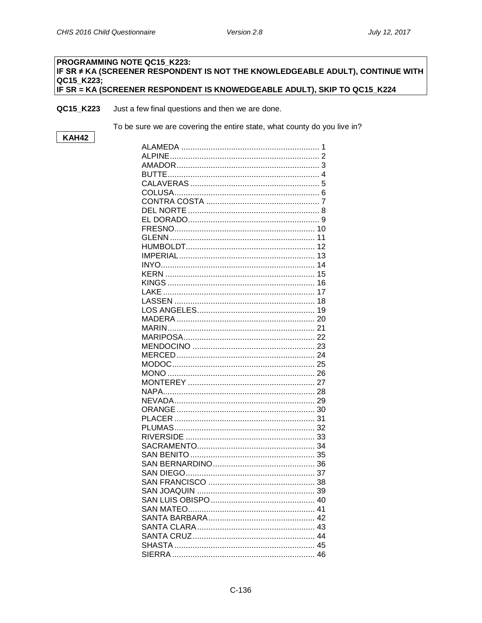## PROGRAMMING NOTE QC15 K223: IF SR ≠ KA (SCREENER RESPONDENT IS NOT THE KNOWLEDGEABLE ADULT), CONTINUE WITH QC15 K223; IF SR = KA (SCREENER RESPONDENT IS KNOWEDGEABLE ADULT), SKIP TO QC15\_K224

QC15 K223 Just a few final questions and then we are done.

To be sure we are covering the entire state, what county do you live in?

# **KAH42**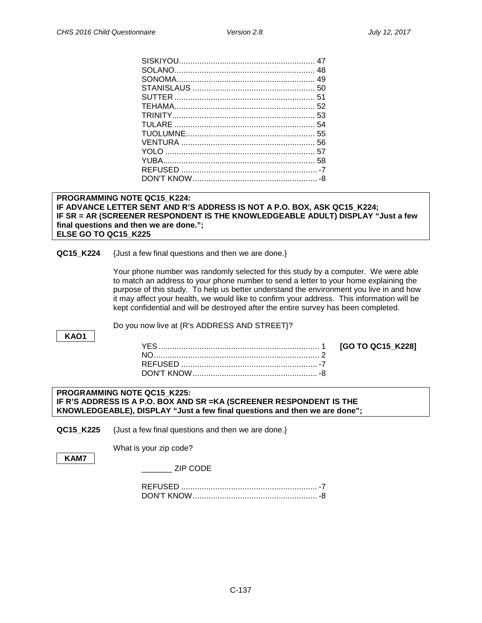## **PROGRAMMING NOTE QC15\_K224: IF ADVANCE LETTER SENT AND R'S ADDRESS IS NOT A P.O. BOX, ASK QC15\_K224; IF SR = AR (SCREENER RESPONDENT IS THE KNOWLEDGEABLE ADULT) DISPLAY "Just a few final questions and then we are done."; ELSE GO TO QC15\_K225**

#### **QC15 K224** {Just a few final questions and then we are done.}

**Address Confirmation, Cross Streets, Zip Code**

Your phone number was randomly selected for this study by a computer. We were able to match an address to your phone number to send a letter to your home explaining the purpose of this study. To help us better understand the environment you live in and how it may affect your health, we would like to confirm your address. This information will be kept confidential and will be destroyed after the entire survey has been completed.

**KAO1**

Do you now live at {R's ADDRESS AND STREET}?

YES....................................................................... 1 **[GO TO QC15\_K228]**

#### **PROGRAMMING NOTE QC15\_K225: IF R'S ADDRESS IS A P.O. BOX AND SR =KA (SCREENER RESPONDENT IS THE KNOWLEDGEABLE), DISPLAY "Just a few final questions and then we are done";**

**QC15 K225** {Just a few final questions and then we are done.}

What is your zip code?

**KAM7**

\_\_\_\_\_\_\_ ZIP CODE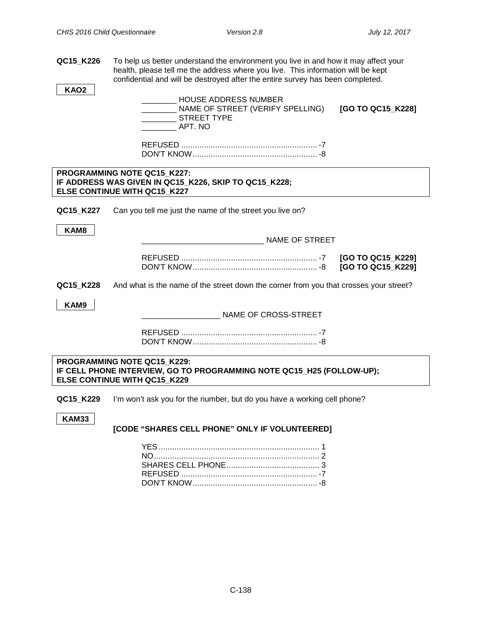**QC15\_K226** To help us better understand the environment you live in and how it may affect your health, please tell me the address where you live. This information will be kept confidential and will be destroyed after the entire survey has been completed.

**KAO2**

\_\_\_\_\_\_\_\_ HOUSE ADDRESS NUMBER NAME OF STREET (VERIFY SPELLING) **[GO TO QC15 K228]** \_\_\_\_\_\_\_\_ STREET TYPE \_\_\_\_\_\_\_\_ APT. NO

REFUSED ............................................................ -7 DON'T KNOW....................................................... -8

#### **PROGRAMMING NOTE QC15\_K227: IF ADDRESS WAS GIVEN IN QC15\_K226, SKIP TO QC15\_K228; ELSE CONTINUE WITH QC15\_K227**

**QC15 K227** Can you tell me just the name of the street you live on?

**KAM8**

\_\_\_\_\_\_\_\_\_\_\_\_\_\_\_\_\_\_\_\_\_\_\_\_\_\_\_\_ NAME OF STREET

|  | [GO TO QC15_K229] |
|--|-------------------|
|  | [GO TO QC15_K229] |

**QC15\_K228** And what is the name of the street down the corner from you that crosses your street?

**KAM9**

**Cell Phone Use**

\_\_\_\_\_\_\_\_\_\_\_\_\_\_\_\_\_\_ NAME OF CROSS-STREET

REFUSED ............................................................ -7 DON'T KNOW....................................................... -8

**PROGRAMMING NOTE QC15\_K229: IF CELL PHONE INTERVIEW, GO TO PROGRAMMING NOTE QC15\_H25 (FOLLOW-UP); ELSE CONTINUE WITH QC15\_K229**

**QC15 K229** I'm won't ask you for the number, but do you have a working cell phone?

**KAM33**

**[CODE "SHARES CELL PHONE" ONLY IF VOLUNTEERED]**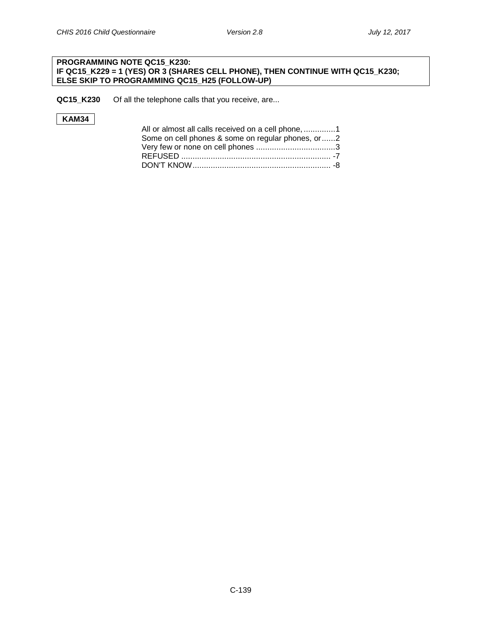## **PROGRAMMING NOTE QC15\_K230: IF QC15\_K229 = 1 (YES) OR 3 (SHARES CELL PHONE), THEN CONTINUE WITH QC15\_K230; ELSE SKIP TO PROGRAMMING QC15\_H25 (FOLLOW-UP)**

**QC15\_K230** Of all the telephone calls that you receive, are...

# **KAM34**

| All or almost all calls received on a cell phone, 1 |  |
|-----------------------------------------------------|--|
| Some on cell phones & some on regular phones, or2   |  |
|                                                     |  |
|                                                     |  |
|                                                     |  |